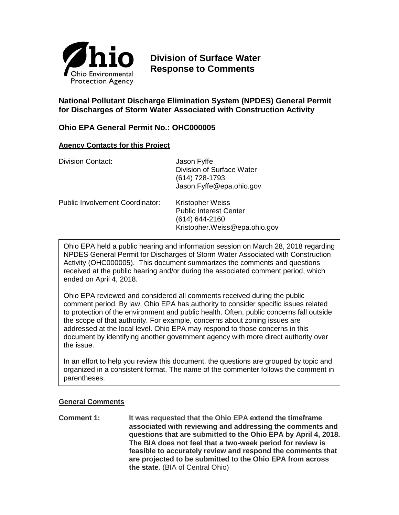

# **Division of Surface Water Response to Comments**

## **National Pollutant Discharge Elimination System (NPDES) General Permit for Discharges of Storm Water Associated with Construction Activity**

## **Ohio EPA General Permit No.: OHC000005**

### **Agency Contacts for this Project**

| <b>Division Contact:</b>               | Jason Fyffe<br>Division of Surface Water<br>$(614)$ 728-1793<br>Jason.Fyffe@epa.ohio.gov                        |
|----------------------------------------|-----------------------------------------------------------------------------------------------------------------|
| <b>Public Involvement Coordinator:</b> | <b>Kristopher Weiss</b><br><b>Public Interest Center</b><br>$(614) 644 - 2160$<br>Kristopher.Weiss@epa.ohio.gov |

Ohio EPA held a public hearing and information session on March 28, 2018 regarding NPDES General Permit for Discharges of Storm Water Associated with Construction Activity (OHC000005). This document summarizes the comments and questions received at the public hearing and/or during the associated comment period, which ended on April 4, 2018.

Ohio EPA reviewed and considered all comments received during the public comment period. By law, Ohio EPA has authority to consider specific issues related to protection of the environment and public health. Often, public concerns fall outside the scope of that authority. For example, concerns about zoning issues are addressed at the local level. Ohio EPA may respond to those concerns in this document by identifying another government agency with more direct authority over the issue.

In an effort to help you review this document, the questions are grouped by topic and organized in a consistent format. The name of the commenter follows the comment in parentheses.

## **General Comments**

**Comment 1: It was requested that the Ohio EPA extend the timeframe associated with reviewing and addressing the comments and questions that are submitted to the Ohio EPA by April 4, 2018. The BIA does not feel that a two-week period for review is feasible to accurately review and respond the comments that are projected to be submitted to the Ohio EPA from across the state.** (BIA of Central Ohio)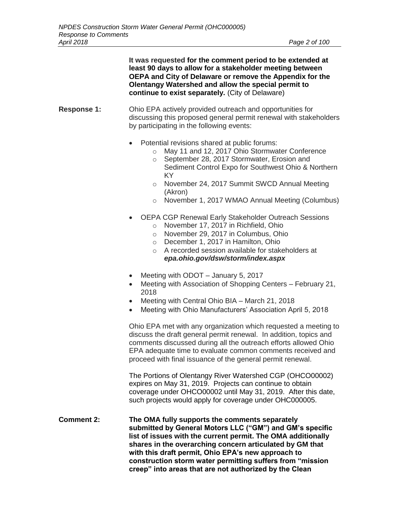**It was requested for the comment period to be extended at least 90 days to allow for a stakeholder meeting between OEPA and City of Delaware or remove the Appendix for the Olentangy Watershed and allow the special permit to continue to exist separately.** (City of Delaware)

### **Response 1:** Ohio EPA actively provided outreach and opportunities for discussing this proposed general permit renewal with stakeholders by participating in the following events:

- Potential revisions shared at public forums:
	- o May 11 and 12, 2017 Ohio Stormwater Conference
	- o September 28, 2017 Stormwater, Erosion and Sediment Control Expo for Southwest Ohio & Northern KY
	- o November 24, 2017 Summit SWCD Annual Meeting (Akron)
	- o November 1, 2017 WMAO Annual Meeting (Columbus)
- OEPA CGP Renewal Early Stakeholder Outreach Sessions
	- o November 17, 2017 in Richfield, Ohio
	- o November 29, 2017 in Columbus, Ohio
	- o December 1, 2017 in Hamilton, Ohio
	- o A recorded session available for stakeholders at *epa.ohio.gov/dsw/storm/index.aspx*
- Meeting with ODOT January 5, 2017
- Meeting with Association of Shopping Centers February 21, 2018
- Meeting with Central Ohio BIA March 21, 2018
- Meeting with Ohio Manufacturers' Association April 5, 2018

Ohio EPA met with any organization which requested a meeting to discuss the draft general permit renewal. In addition, topics and comments discussed during all the outreach efforts allowed Ohio EPA adequate time to evaluate common comments received and proceed with final issuance of the general permit renewal.

The Portions of Olentangy River Watershed CGP (OHCO00002) expires on May 31, 2019. Projects can continue to obtain coverage under OHCO00002 until May 31, 2019. After this date, such projects would apply for coverage under OHC000005.

**Comment 2: The OMA fully supports the comments separately submitted by General Motors LLC ("GM") and GM's specific list of issues with the current permit. The OMA additionally shares in the overarching concern articulated by GM that with this draft permit, Ohio EPA's new approach to construction storm water permitting suffers from "mission creep" into areas that are not authorized by the Clean**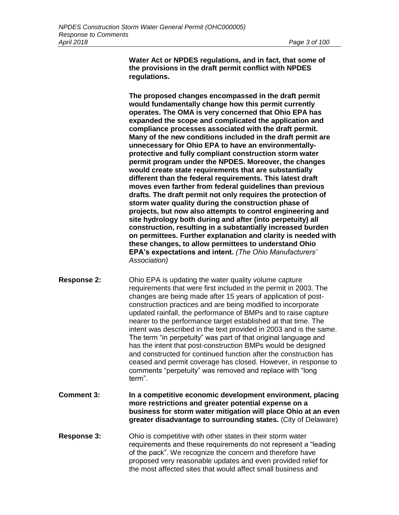**Water Act or NPDES regulations, and in fact, that some of the provisions in the draft permit conflict with NPDES regulations.**

**The proposed changes encompassed in the draft permit would fundamentally change how this permit currently operates. The OMA is very concerned that Ohio EPA has expanded the scope and complicated the application and compliance processes associated with the draft permit. Many of the new conditions included in the draft permit are unnecessary for Ohio EPA to have an environmentallyprotective and fully compliant construction storm water permit program under the NPDES. Moreover, the changes would create state requirements that are substantially different than the federal requirements. This latest draft moves even farther from federal guidelines than previous drafts. The draft permit not only requires the protection of storm water quality during the construction phase of projects, but now also attempts to control engineering and site hydrology both during and after (into perpetuity) all construction, resulting in a substantially increased burden on permittees. Further explanation and clarity is needed with these changes, to allow permittees to understand Ohio EPA's expectations and intent.** *(The Ohio Manufacturers' Association)*

- **Response 2:** Ohio EPA is updating the water quality volume capture requirements that were first included in the permit in 2003. The changes are being made after 15 years of application of postconstruction practices and are being modified to incorporate updated rainfall, the performance of BMPs and to raise capture nearer to the performance target established at that time. The intent was described in the text provided in 2003 and is the same. The term "in perpetuity" was part of that original language and has the intent that post-construction BMPs would be designed and constructed for continued function after the construction has ceased and permit coverage has closed. However, in response to comments "perpetuity" was removed and replace with "long term".
- **Comment 3: In a competitive economic development environment, placing more restrictions and greater potential expense on a business for storm water mitigation will place Ohio at an even greater disadvantage to surrounding states.** (City of Delaware)
- **Response 3:** Ohio is competitive with other states in their storm water requirements and these requirements do not represent a "leading of the pack". We recognize the concern and therefore have proposed very reasonable updates and even provided relief for the most affected sites that would affect small business and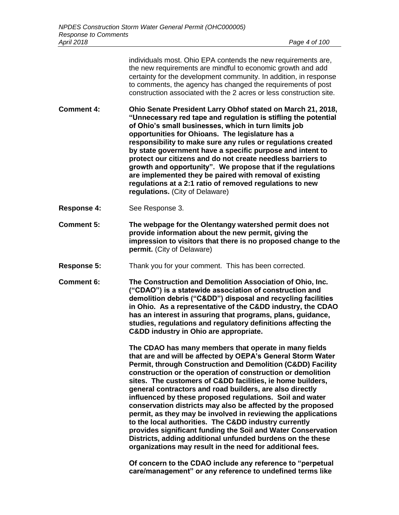individuals most. Ohio EPA contends the new requirements are, the new requirements are mindful to economic growth and add certainty for the development community. In addition, in response to comments, the agency has changed the requirements of post construction associated with the 2 acres or less construction site.

**Comment 4: Ohio Senate President Larry Obhof stated on March 21, 2018, "Unnecessary red tape and regulation is stifling the potential of Ohio's small businesses, which in turn limits job opportunities for Ohioans. The legislature has a responsibility to make sure any rules or regulations created by state government have a specific purpose and intent to protect our citizens and do not create needless barriers to growth and opportunity". We propose that if the regulations are implemented they be paired with removal of existing regulations at a 2:1 ratio of removed regulations to new regulations.** (City of Delaware)

**Response 4:** See Response 3.

**Comment 5: The webpage for the Olentangy watershed permit does not provide information about the new permit, giving the impression to visitors that there is no proposed change to the permit.** (City of Delaware)

**Response 5:** Thank you for your comment. This has been corrected.

**Comment 6: The Construction and Demolition Association of Ohio, Inc. ("CDAO") is a statewide association of construction and demolition debris ("C&DD") disposal and recycling facilities in Ohio. As a representative of the C&DD industry, the CDAO has an interest in assuring that programs, plans, guidance, studies, regulations and regulatory definitions affecting the C&DD industry in Ohio are appropriate.**

> **The CDAO has many members that operate in many fields that are and will be affected by OEPA's General Storm Water Permit, through Construction and Demolition (C&DD) Facility construction or the operation of construction or demolition sites. The customers of C&DD facilities, ie home builders, general contractors and road builders, are also directly influenced by these proposed regulations. Soil and water conservation districts may also be affected by the proposed permit, as they may be involved in reviewing the applications to the local authorities. The C&DD industry currently provides significant funding the Soil and Water Conservation Districts, adding additional unfunded burdens on the these organizations may result in the need for additional fees.**

**Of concern to the CDAO include any reference to "perpetual care/management" or any reference to undefined terms like**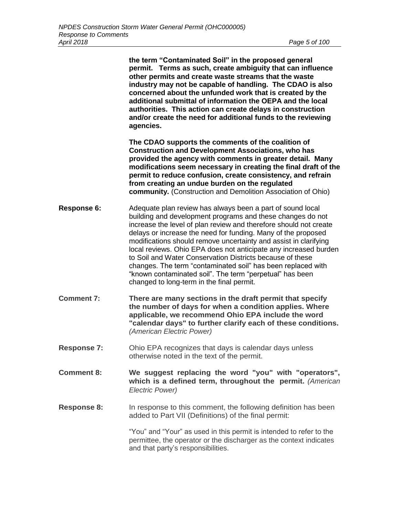**the term "Contaminated Soil" in the proposed general permit. Terms as such, create ambiguity that can influence other permits and create waste streams that the waste industry may not be capable of handling. The CDAO is also concerned about the unfunded work that is created by the additional submittal of information the OEPA and the local authorities. This action can create delays in construction and/or create the need for additional funds to the reviewing agencies. The CDAO supports the comments of the coalition of Construction and Development Associations, who has provided the agency with comments in greater detail. Many modifications seem necessary in creating the final draft of the permit to reduce confusion, create consistency, and refrain from creating an undue burden on the regulated community.** (Construction and Demolition Association of Ohio) **Response 6:** Adequate plan review has always been a part of sound local building and development programs and these changes do not increase the level of plan review and therefore should not create delays or increase the need for funding. Many of the proposed modifications should remove uncertainty and assist in clarifying local reviews. Ohio EPA does not anticipate any increased burden to Soil and Water Conservation Districts because of these changes. The term "contaminated soil" has been replaced with "known contaminated soil". The term "perpetual" has been changed to long-term in the final permit. **Comment 7: There are many sections in the draft permit that specify the number of days for when a condition applies. Where applicable, we recommend Ohio EPA include the word "calendar days" to further clarify each of these conditions.**  *(American Electric Power)* **Response 7:** Ohio EPA recognizes that days is calendar days unless otherwise noted in the text of the permit. **Comment 8: We suggest replacing the word "you" with "operators", which is a defined term, throughout the permit.** *(American Electric Power)* **Response 8:** In response to this comment, the following definition has been added to Part VII (Definitions) of the final permit: "You" and "Your" as used in this permit is intended to refer to the permittee, the operator or the discharger as the context indicates and that party's responsibilities.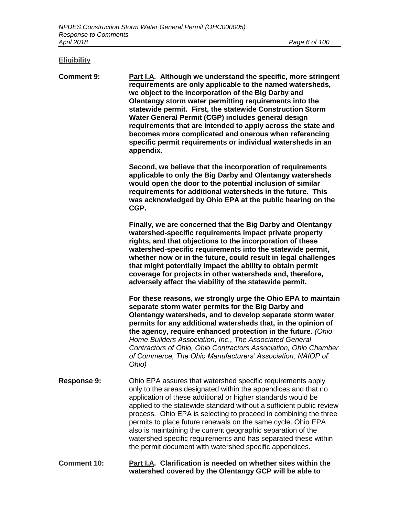# **Eligibility**

| <b>Comment 9:</b>  | Part I.A. Although we understand the specific, more stringent<br>requirements are only applicable to the named watersheds,<br>we object to the incorporation of the Big Darby and<br>Olentangy storm water permitting requirements into the<br>statewide permit. First, the statewide Construction Storm<br>Water General Permit (CGP) includes general design<br>requirements that are intended to apply across the state and<br>becomes more complicated and onerous when referencing<br>specific permit requirements or individual watersheds in an<br>appendix.                                    |
|--------------------|--------------------------------------------------------------------------------------------------------------------------------------------------------------------------------------------------------------------------------------------------------------------------------------------------------------------------------------------------------------------------------------------------------------------------------------------------------------------------------------------------------------------------------------------------------------------------------------------------------|
|                    | Second, we believe that the incorporation of requirements<br>applicable to only the Big Darby and Olentangy watersheds<br>would open the door to the potential inclusion of similar<br>requirements for additional watersheds in the future. This<br>was acknowledged by Ohio EPA at the public hearing on the<br>CGP.                                                                                                                                                                                                                                                                                 |
|                    | Finally, we are concerned that the Big Darby and Olentangy<br>watershed-specific requirements impact private property<br>rights, and that objections to the incorporation of these<br>watershed-specific requirements into the statewide permit,<br>whether now or in the future, could result in legal challenges<br>that might potentially impact the ability to obtain permit<br>coverage for projects in other watersheds and, therefore,<br>adversely affect the viability of the statewide permit.                                                                                               |
|                    | For these reasons, we strongly urge the Ohio EPA to maintain<br>separate storm water permits for the Big Darby and<br>Olentangy watersheds, and to develop separate storm water<br>permits for any additional watersheds that, in the opinion of<br>the agency, require enhanced protection in the future. (Ohio<br>Home Builders Association, Inc., The Associated General<br>Contractors of Ohio, Ohio Contractors Association, Ohio Chamber<br>of Commerce, The Ohio Manufacturers' Association, NAIOP of<br>Ohio)                                                                                  |
| <b>Response 9:</b> | Ohio EPA assures that watershed specific requirements apply<br>only to the areas designated within the appendices and that no<br>application of these additional or higher standards would be<br>applied to the statewide standard without a sufficient public review<br>process. Ohio EPA is selecting to proceed in combining the three<br>permits to place future renewals on the same cycle. Ohio EPA<br>also is maintaining the current geographic separation of the<br>watershed specific requirements and has separated these within<br>the permit document with watershed specific appendices. |

#### **Comment 10: Part I.A. Clarification is needed on whether sites within the watershed covered by the Olentangy GCP will be able to**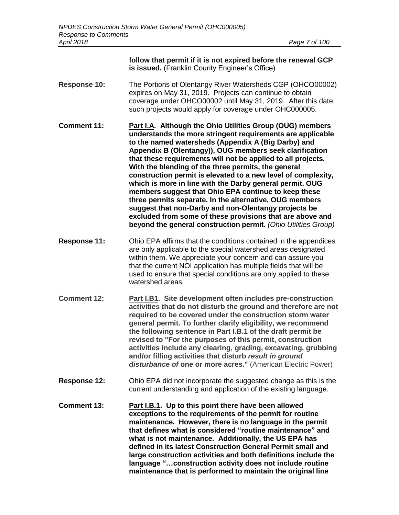**follow that permit if it is not expired before the renewal GCP is issued.** (Franklin County Engineer's Office)

**Response 10:** The Portions of Olentangy River Watersheds CGP (OHCO00002) expires on May 31, 2019. Projects can continue to obtain coverage under OHCO00002 until May 31, 2019. After this date, such projects would apply for coverage under OHC000005.

**Comment 11: Part I.A. Although the Ohio Utilities Group (OUG) members understands the more stringent requirements are applicable to the named watersheds (Appendix A (Big Darby) and Appendix B (Olentangy)), OUG members seek clarification that these requirements will not be applied to all projects. With the blending of the three permits, the general construction permit is elevated to a new level of complexity, which is more in line with the Darby general permit. OUG members suggest that Ohio EPA continue to keep these three permits separate. In the alternative, OUG members suggest that non-Darby and non-Olentangy projects be excluded from some of these provisions that are above and beyond the general construction permit.** *(Ohio Utilities Group)*

- **Response 11:** Ohio EPA affirms that the conditions contained in the appendices are only applicable to the special watershed areas designated within them. We appreciate your concern and can assure you that the current NOI application has multiple fields that will be used to ensure that special conditions are only applied to these watershed areas.
- **Comment 12: Part I.B1. Site development often includes pre-construction activities that do not disturb the ground and therefore are not required to be covered under the construction storm water general permit. To further clarify eligibility, we recommend the following sentence in Part I.B.1 of the draft permit be revised to "For the purposes of this permit, construction activities include any clearing, grading, excavating, grubbing and/or filling activities that disturb** *result in ground disturbance of* **one or more acres."** (American Electric Power)
- **Response 12:** Ohio EPA did not incorporate the suggested change as this is the current understanding and application of the existing language.
- **Comment 13: Part I.B.1. Up to this point there have been allowed exceptions to the requirements of the permit for routine maintenance. However, there is no language in the permit that defines what is considered "routine maintenance" and what is not maintenance. Additionally, the US EPA has defined in its latest Construction General Permit small and large construction activities and both definitions include the language "…construction activity does not include routine maintenance that is performed to maintain the original line**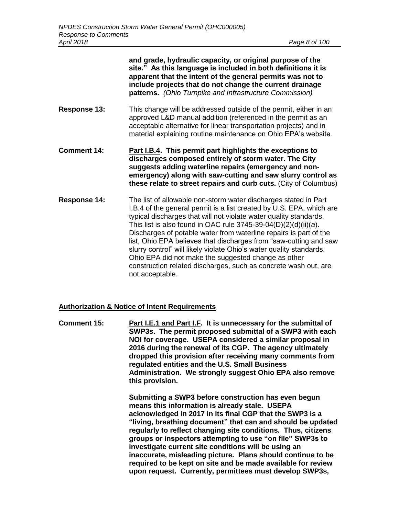**and grade, hydraulic capacity, or original purpose of the site." As this language is included in both definitions it is apparent that the intent of the general permits was not to include projects that do not change the current drainage patterns.** *(Ohio Turnpike and Infrastructure Commission)*  **Response 13:** This change will be addressed outside of the permit, either in an approved L&D manual addition (referenced in the permit as an acceptable alternative for linear transportation projects) and in material explaining routine maintenance on Ohio EPA's website.

- **Comment 14: Part I.B.4. This permit part highlights the exceptions to discharges composed entirely of storm water. The City suggests adding waterline repairs (emergency and nonemergency) along with saw-cutting and saw slurry control as these relate to street repairs and curb cuts.** (City of Columbus)
- **Response 14:** The list of allowable non-storm water discharges stated in Part I.B.4 of the general permit is a list created by U.S. EPA, which are typical discharges that will not violate water quality standards. This list is also found in OAC rule 3745-39-04(D)(2)(d)(ii)(*a*). Discharges of potable water from waterline repairs is part of the list, Ohio EPA believes that discharges from "saw-cutting and saw slurry control" will likely violate Ohio's water quality standards. Ohio EPA did not make the suggested change as other construction related discharges, such as concrete wash out, are not acceptable.

#### **Authorization & Notice of Intent Requirements**

**Comment 15: Part I.E.1 and Part I.F. It is unnecessary for the submittal of SWP3s. The permit proposed submittal of a SWP3 with each NOI for coverage. USEPA considered a similar proposal in 2016 during the renewal of its CGP. The agency ultimately dropped this provision after receiving many comments from regulated entities and the U.S. Small Business Administration. We strongly suggest Ohio EPA also remove this provision.**

> **Submitting a SWP3 before construction has even begun means this information is already stale. USEPA acknowledged in 2017 in its final CGP that the SWP3 is a "living, breathing document" that can and should be updated regularly to reflect changing site conditions. Thus, citizens groups or inspectors attempting to use "on file" SWP3s to investigate current site conditions will be using an inaccurate, misleading picture. Plans should continue to be required to be kept on site and be made available for review upon request. Currently, permittees must develop SWP3s,**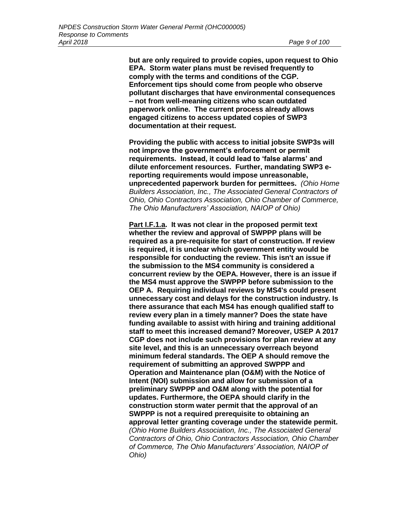**but are only required to provide copies, upon request to Ohio EPA. Storm water plans must be revised frequently to comply with the terms and conditions of the CGP. Enforcement tips should come from people who observe pollutant discharges that have environmental consequences – not from well-meaning citizens who scan outdated paperwork online. The current process already allows engaged citizens to access updated copies of SWP3 documentation at their request.**

**Providing the public with access to initial jobsite SWP3s will not improve the government's enforcement or permit requirements. Instead, it could lead to 'false alarms' and dilute enforcement resources. Further, mandating SWP3 ereporting requirements would impose unreasonable, unprecedented paperwork burden for permittees.** *(Ohio Home Builders Association, Inc., The Associated General Contractors of Ohio, Ohio Contractors Association, Ohio Chamber of Commerce, The Ohio Manufacturers' Association, NAIOP of Ohio)*

**Part I.F.1.a. It was not clear in the proposed permit text whether the review and approval of SWPPP plans will be required as a pre-requisite for start of construction. If review is required, it is unclear which government entity would be responsible for conducting the review. This isn't an issue if the submission to the MS4 community is considered a concurrent review by the OEPA. However, there is an issue if the MS4 must approve the SWPPP before submission to the OEP A. Requiring individual reviews by MS4's could present unnecessary cost and delays for the construction industry. Is there assurance that each MS4 has enough qualified staff to review every plan in a timely manner? Does the state have funding available to assist with hiring and training additional staff to meet this increased demand? Moreover, USEP A 2017 CGP does not include such provisions for plan review at any site level, and this is an unnecessary overreach beyond minimum federal standards. The OEP A should remove the requirement of submitting an approved SWPPP and Operation and Maintenance plan (O&M) with the Notice of Intent (NOI) submission and allow for submission of a preliminary SWPPP and O&M along with the potential for updates. Furthermore, the OEPA should clarify in the construction storm water permit that the approval of an SWPPP is not a required prerequisite to obtaining an approval letter granting coverage under the statewide permit.**  *(Ohio Home Builders Association, Inc., The Associated General Contractors of Ohio, Ohio Contractors Association, Ohio Chamber of Commerce, The Ohio Manufacturers' Association, NAIOP of Ohio)*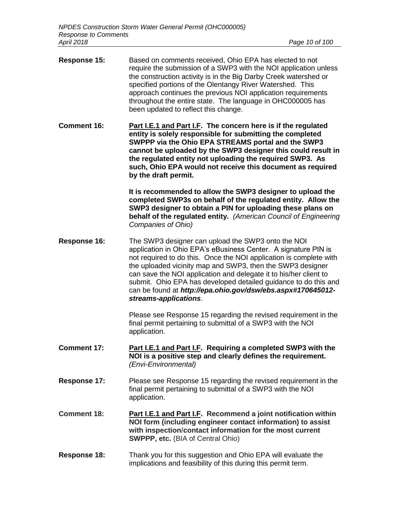- **Response 15:** Based on comments received, Ohio EPA has elected to not require the submission of a SWP3 with the NOI application unless the construction activity is in the Big Darby Creek watershed or specified portions of the Olentangy River Watershed. This approach continues the previous NOI application requirements throughout the entire state. The language in OHC000005 has been updated to reflect this change.
- **Comment 16: Part I.E.1 and Part I.F. The concern here is if the regulated entity is solely responsible for submitting the completed SWPPP via the Ohio EPA STREAMS portal and the SWP3 cannot be uploaded by the SWP3 designer this could result in the regulated entity not uploading the required SWP3. As such, Ohio EPA would not receive this document as required by the draft permit.**

**It is recommended to allow the SWP3 designer to upload the completed SWP3s on behalf of the regulated entity. Allow the SWP3 designer to obtain a PIN for uploading these plans on behalf of the regulated entity.** *(American Council of Engineering Companies of Ohio)*

**Response 16:** The SWP3 designer can upload the SWP3 onto the NOI application in Ohio EPA's eBusiness Center. A signature PIN is not required to do this. Once the NOI application is complete with the uploaded vicinity map and SWP3, then the SWP3 designer can save the NOI application and delegate it to his/her client to submit. Ohio EPA has developed detailed guidance to do this and can be found at *http://epa.ohio.gov/dsw/ebs.aspx#170645012 streams-applications*.

> Please see Response 15 regarding the revised requirement in the final permit pertaining to submittal of a SWP3 with the NOI application.

- **Comment 17: Part I.E.1 and Part I.F. Requiring a completed SWP3 with the NOI is a positive step and clearly defines the requirement.**  *(Envi-Environmental)*
- **Response 17:** Please see Response 15 regarding the revised requirement in the final permit pertaining to submittal of a SWP3 with the NOI application.
- **Comment 18: Part I.E.1 and Part I.F. Recommend a joint notification within NOI form (including engineer contact information) to assist with inspection/contact information for the most current SWPPP, etc.** (BIA of Central Ohio)
- **Response 18:** Thank you for this suggestion and Ohio EPA will evaluate the implications and feasibility of this during this permit term.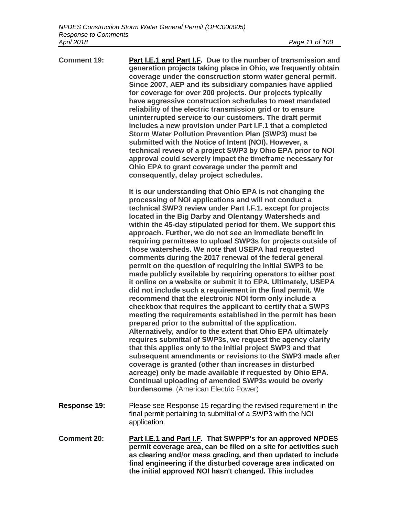| <b>Comment 19:</b>  | Part I.E.1 and Part I.F. Due to the number of transmission and<br>generation projects taking place in Ohio, we frequently obtain<br>coverage under the construction storm water general permit.<br>Since 2007, AEP and its subsidiary companies have applied<br>for coverage for over 200 projects. Our projects typically<br>have aggressive construction schedules to meet mandated<br>reliability of the electric transmission grid or to ensure<br>uninterrupted service to our customers. The draft permit<br>includes a new provision under Part I.F.1 that a completed<br><b>Storm Water Pollution Prevention Plan (SWP3) must be</b><br>submitted with the Notice of Intent (NOI). However, a<br>technical review of a project SWP3 by Ohio EPA prior to NOI<br>approval could severely impact the timeframe necessary for<br>Ohio EPA to grant coverage under the permit and<br>consequently, delay project schedules.                                                                                                                                                                                                                                                                                                                                                                                                                                                                                                                                                                                                                        |
|---------------------|--------------------------------------------------------------------------------------------------------------------------------------------------------------------------------------------------------------------------------------------------------------------------------------------------------------------------------------------------------------------------------------------------------------------------------------------------------------------------------------------------------------------------------------------------------------------------------------------------------------------------------------------------------------------------------------------------------------------------------------------------------------------------------------------------------------------------------------------------------------------------------------------------------------------------------------------------------------------------------------------------------------------------------------------------------------------------------------------------------------------------------------------------------------------------------------------------------------------------------------------------------------------------------------------------------------------------------------------------------------------------------------------------------------------------------------------------------------------------------------------------------------------------------------------------------|
|                     | It is our understanding that Ohio EPA is not changing the<br>processing of NOI applications and will not conduct a<br>technical SWP3 review under Part I.F.1. except for projects<br>located in the Big Darby and Olentangy Watersheds and<br>within the 45-day stipulated period for them. We support this<br>approach. Further, we do not see an immediate benefit in<br>requiring permittees to upload SWP3s for projects outside of<br>those watersheds. We note that USEPA had requested<br>comments during the 2017 renewal of the federal general<br>permit on the question of requiring the initial SWP3 to be<br>made publicly available by requiring operators to either post<br>it online on a website or submit it to EPA. Ultimately, USEPA<br>did not include such a requirement in the final permit. We<br>recommend that the electronic NOI form only include a<br>checkbox that requires the applicant to certify that a SWP3<br>meeting the requirements established in the permit has been<br>prepared prior to the submittal of the application.<br>Alternatively, and/or to the extent that Ohio EPA ultimately<br>requires submittal of SWP3s, we request the agency clarify<br>that this applies only to the initial project SWP3 and that<br>subsequent amendments or revisions to the SWP3 made after<br>coverage is granted (other than increases in disturbed<br>acreage) only be made available if requested by Ohio EPA.<br>Continual uploading of amended SWP3s would be overly<br>burdensome. (American Electric Power) |
| <b>Response 19:</b> | Please see Response 15 regarding the revised requirement in the<br>final permit pertaining to submittal of a SWP3 with the NOI<br>application.                                                                                                                                                                                                                                                                                                                                                                                                                                                                                                                                                                                                                                                                                                                                                                                                                                                                                                                                                                                                                                                                                                                                                                                                                                                                                                                                                                                                         |
| <b>Comment 20:</b>  | Part I.E.1 and Part I.F. That SWPPP's for an approved NPDES<br>permit coverage area, can be filed on a site for activities such<br>as clearing and/or mass grading, and then updated to include<br>final engineering if the disturbed coverage area indicated on                                                                                                                                                                                                                                                                                                                                                                                                                                                                                                                                                                                                                                                                                                                                                                                                                                                                                                                                                                                                                                                                                                                                                                                                                                                                                       |

**the initial approved NOI hasn't changed. This includes**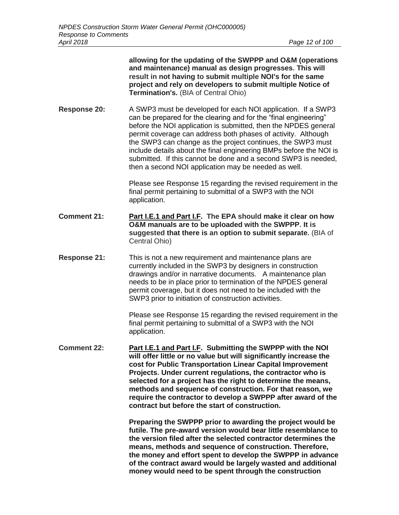|                     | allowing for the updating of the SWPPP and O&M (operations<br>and maintenance) manual as design progresses. This will<br>result in not having to submit multiple NOI's for the same<br>project and rely on developers to submit multiple Notice of<br>Termination's. (BIA of Central Ohio)                                                                                                                                                                                                                                          |
|---------------------|-------------------------------------------------------------------------------------------------------------------------------------------------------------------------------------------------------------------------------------------------------------------------------------------------------------------------------------------------------------------------------------------------------------------------------------------------------------------------------------------------------------------------------------|
| <b>Response 20:</b> | A SWP3 must be developed for each NOI application. If a SWP3<br>can be prepared for the clearing and for the "final engineering"<br>before the NOI application is submitted, then the NPDES general<br>permit coverage can address both phases of activity. Although<br>the SWP3 can change as the project continues, the SWP3 must<br>include details about the final engineering BMPs before the NOI is<br>submitted. If this cannot be done and a second SWP3 is needed,<br>then a second NOI application may be needed as well. |
|                     | Please see Response 15 regarding the revised requirement in the<br>final permit pertaining to submittal of a SWP3 with the NOI<br>application.                                                                                                                                                                                                                                                                                                                                                                                      |
| <b>Comment 21:</b>  | Part I.E.1 and Part I.F. The EPA should make it clear on how<br>O&M manuals are to be uploaded with the SWPPP. It is<br>suggested that there is an option to submit separate. (BIA of<br>Central Ohio)                                                                                                                                                                                                                                                                                                                              |
| <b>Response 21:</b> | This is not a new requirement and maintenance plans are<br>currently included in the SWP3 by designers in construction<br>drawings and/or in narrative documents. A maintenance plan<br>needs to be in place prior to termination of the NPDES general<br>permit coverage, but it does not need to be included with the<br>SWP3 prior to initiation of construction activities.                                                                                                                                                     |
|                     | Please see Response 15 regarding the revised requirement in the<br>final permit pertaining to submittal of a SWP3 with the NOI<br>application.                                                                                                                                                                                                                                                                                                                                                                                      |
| <b>Comment 22:</b>  | Part I.E.1 and Part I.F. Submitting the SWPPP with the NOI<br>will offer little or no value but will significantly increase the<br>cost for Public Transportation Linear Capital Improvement<br>Projects. Under current regulations, the contractor who is<br>selected for a project has the right to determine the means,<br>methods and sequence of construction. For that reason, we<br>require the contractor to develop a SWPPP after award of the<br>contract but before the start of construction.                           |
|                     | Preparing the SWPPP prior to awarding the project would be<br>futile. The pre-award version would bear little resemblance to<br>the version filed after the selected contractor determines the<br>means, methods and sequence of construction. Therefore,<br>the money and effort spent to develop the SWPPP in advance<br>of the contract award would be largely wasted and additional<br>money would need to be spent through the construction                                                                                    |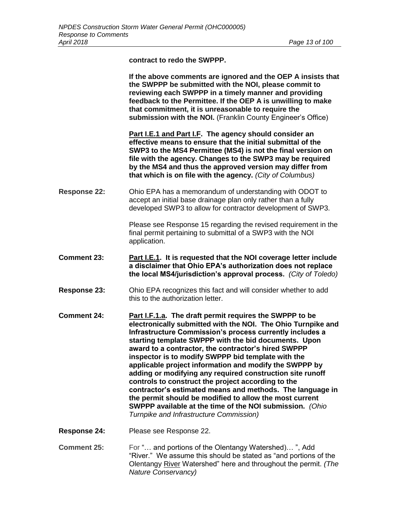**contract to redo the SWPPP.**

**If the above comments are ignored and the OEP A insists that the SWPPP be submitted with the NOI, please commit to reviewing each SWPPP in a timely manner and providing feedback to the Permittee. If the OEP A is unwilling to make that commitment, it is unreasonable to require the submission with the NOI.** (Franklin County Engineer's Office) **Part I.E.1 and Part I.F. The agency should consider an effective means to ensure that the initial submittal of the** 

**SWP3 to the MS4 Permittee (MS4) is not the final version on file with the agency. Changes to the SWP3 may be required by the MS4 and thus the approved version may differ from that which is on file with the agency.** *(City of Columbus)*

**Response 22:** Ohio EPA has a memorandum of understanding with ODOT to accept an initial base drainage plan only rather than a fully developed SWP3 to allow for contractor development of SWP3.

> Please see Response 15 regarding the revised requirement in the final permit pertaining to submittal of a SWP3 with the NOI application.

- **Comment 23: Part I.E.1. It is requested that the NOI coverage letter include a disclaimer that Ohio EPA's authorization does not replace the local MS4/jurisdiction's approval process.** *(City of Toledo)*
- **Response 23:** Ohio EPA recognizes this fact and will consider whether to add this to the authorization letter.
- **Comment 24: Part I.F.1.a. The draft permit requires the SWPPP to be electronically submitted with the NOI. The Ohio Turnpike and Infrastructure Commission's process currently includes a starting template SWPPP with the bid documents. Upon award to a contractor, the contractor's hired SWPPP inspector is to modify SWPPP bid template with the applicable project information and modify the SWPPP by adding or modifying any required construction site runoff controls to construct the project according to the contractor's estimated means and methods. The language in the permit should be modified to allow the most current SWPPP available at the time of the NOI submission.** *(Ohio Turnpike and Infrastructure Commission)*
- **Response 24:** Please see Response 22.
- **Comment 25:** For "... and portions of the Olentangy Watershed)... ", Add "River." We assume this should be stated as "and portions of the Olentangy River Watershed" here and throughout the permit. *(The Nature Conservancy)*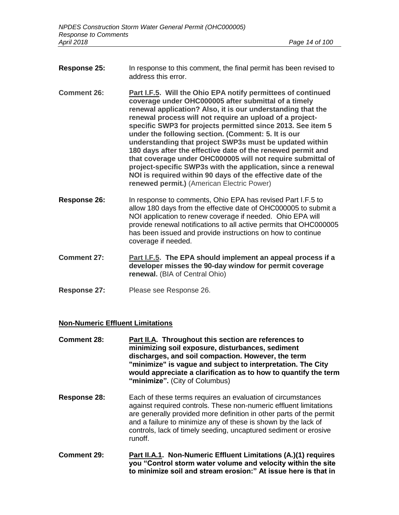- **Response 25:** In response to this comment, the final permit has been revised to address this error.
- **Comment 26: Part I.F.5. Will the Ohio EPA notify permittees of continued coverage under OHC000005 after submittal of a timely renewal application? Also, it is our understanding that the renewal process will not require an upload of a projectspecific SWP3 for projects permitted since 2013. See item 5 under the following section. (Comment: 5. It is our understanding that project SWP3s must be updated within 180 days after the effective date of the renewed permit and that coverage under OHC000005 will not require submittal of project-specific SWP3s with the application, since a renewal NOI is required within 90 days of the effective date of the renewed permit.)** (American Electric Power)
- **Response 26:** In response to comments, Ohio EPA has revised Part I.F.5 to allow 180 days from the effective date of OHC000005 to submit a NOI application to renew coverage if needed. Ohio EPA will provide renewal notifications to all active permits that OHC000005 has been issued and provide instructions on how to continue coverage if needed.
- **Comment 27: Part I.F.5. The EPA should implement an appeal process if a developer misses the 90-day window for permit coverage renewal.** (BIA of Central Ohio)
- **Response 27:** Please see Response 26.

#### **Non-Numeric Effluent Limitations**

- **Comment 28: Part II.A. Throughout this section are references to minimizing soil exposure, disturbances, sediment discharges, and soil compaction. However, the term "minimize" is vague and subject to interpretation. The City would appreciate a clarification as to how to quantify the term "minimize".** (City of Columbus)
- **Response 28:** Each of these terms requires an evaluation of circumstances against required controls. These non-numeric effluent limitations are generally provided more definition in other parts of the permit and a failure to minimize any of these is shown by the lack of controls, lack of timely seeding, uncaptured sediment or erosive runoff.
- **Comment 29: Part II.A.1. Non-Numeric Effluent Limitations (A.)(1) requires you "Control storm water volume and velocity within the site to minimize soil and stream erosion:" At issue here is that in**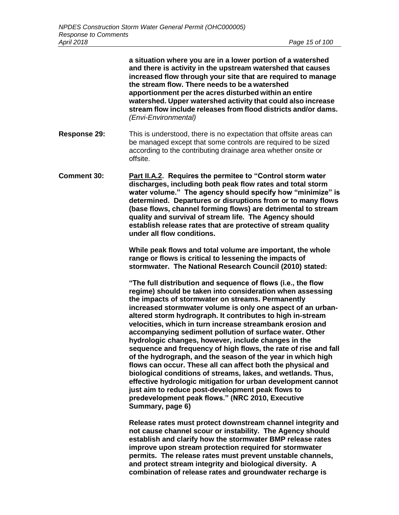**a situation where you are in a lower portion of a watershed and there is activity in the upstream watershed that causes increased flow through your site that are required to manage the stream flow. There needs to be a watershed apportionment per the acres disturbed within an entire watershed. Upper watershed activity that could also increase stream flow include releases from flood districts and/or dams.**  *(Envi-Environmental)*

- **Response 29:** This is understood, there is no expectation that offsite areas can be managed except that some controls are required to be sized according to the contributing drainage area whether onsite or offsite.
- **Comment 30: Part II.A.2. Requires the permitee to "Control storm water discharges, including both peak flow rates and total storm water volume." The agency should specify how "minimize" is determined. Departures or disruptions from or to many flows (base flows, channel forming flows) are detrimental to stream quality and survival of stream life. The Agency should establish release rates that are protective of stream quality under all flow conditions.**

**While peak flows and total volume are important, the whole range or flows is critical to lessening the impacts of stormwater. The National Research Council (2010) stated:** 

**"The full distribution and sequence of flows (i.e., the flow regime) should be taken into consideration when assessing the impacts of stormwater on streams. Permanently increased stormwater volume is only one aspect of an urbanaltered storm hydrograph. It contributes to high in-stream velocities, which in turn increase streambank erosion and accompanying sediment pollution of surface water. Other hydrologic changes, however, include changes in the sequence and frequency of high flows, the rate of rise and fall of the hydrograph, and the season of the year in which high flows can occur. These all can affect both the physical and biological conditions of streams, lakes, and wetlands. Thus, effective hydrologic mitigation for urban development cannot just aim to reduce post-development peak flows to predevelopment peak flows." (NRC 2010, Executive Summary, page 6)**

**Release rates must protect downstream channel integrity and not cause channel scour or instability. The Agency should establish and clarify how the stormwater BMP release rates improve upon stream protection required for stormwater permits. The release rates must prevent unstable channels, and protect stream integrity and biological diversity. A combination of release rates and groundwater recharge is**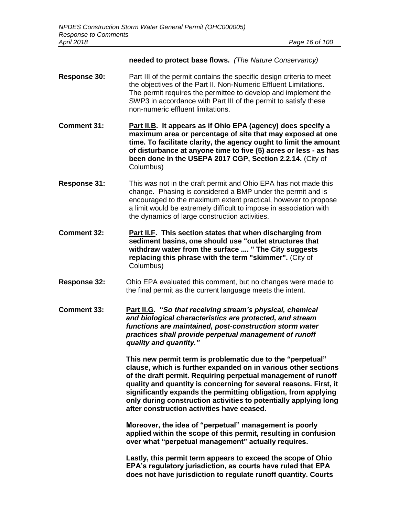#### **needed to protect base flows.** *(The Nature Conservancy)*

- **Response 30:** Part III of the permit contains the specific design criteria to meet the objectives of the Part II. Non-Numeric Effluent Limitations. The permit requires the permittee to develop and implement the SWP3 in accordance with Part III of the permit to satisfy these non-numeric effluent limitations.
- **Comment 31: Part II.B. It appears as if Ohio EPA (agency) does specify a maximum area or percentage of site that may exposed at one time. To facilitate clarity, the agency ought to limit the amount of disturbance at anyone time to five (5) acres or less - as has been done in the USEPA 2017 CGP, Section 2.2.14.** (City of Columbus)
- **Response 31:** This was not in the draft permit and Ohio EPA has not made this change. Phasing is considered a BMP under the permit and is encouraged to the maximum extent practical, however to propose a limit would be extremely difficult to impose in association with the dynamics of large construction activities.
- **Comment 32: Part II.F. This section states that when discharging from sediment basins, one should use "outlet structures that withdraw water from the surface .... " The City suggests replacing this phrase with the term "skimmer".** (City of Columbus)
- **Response 32:** Ohio EPA evaluated this comment, but no changes were made to the final permit as the current language meets the intent.
- **Comment 33: Part II.G. "***So that receiving stream's physical, chemical and biological characteristics are protected, and stream functions are maintained, post-construction storm water practices shall provide perpetual management of runoff quality and quantity."*

**This new permit term is problematic due to the "perpetual" clause, which is further expanded on in various other sections of the draft permit. Requiring perpetual management of runoff quality and quantity is concerning for several reasons. First, it significantly expands the permitting obligation, from applying only during construction activities to potentially applying long after construction activities have ceased.**

**Moreover, the idea of "perpetual" management is poorly applied within the scope of this permit, resulting in confusion over what "perpetual management" actually requires.**

**Lastly, this permit term appears to exceed the scope of Ohio EPA's regulatory jurisdiction, as courts have ruled that EPA does not have jurisdiction to regulate runoff quantity. Courts**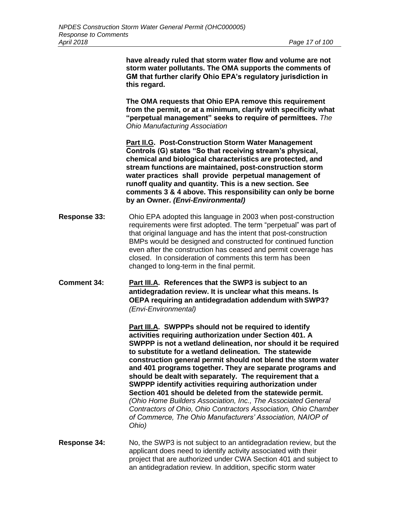**have already ruled that storm water flow and volume are not storm water pollutants. The OMA supports the comments of GM that further clarify Ohio EPA's regulatory jurisdiction in this regard.**

**The OMA requests that Ohio EPA remove this requirement from the permit, or at a minimum, clarify with specificity what "perpetual management" seeks to require of permittees.** *The Ohio Manufacturing Association*

**Part II.G. Post-Construction Storm Water Management Controls (G) states "So that receiving stream's physical, chemical and biological characteristics are protected, and stream functions are maintained, post-construction storm water practices shall provide perpetual management of runoff quality and quantity. This is a new section. See comments 3 & 4 above. This responsibility can only be borne by an Owner.** *(Envi-Environmental)*

- **Response 33:** Ohio EPA adopted this language in 2003 when post-construction requirements were first adopted. The term "perpetual" was part of that original language and has the intent that post-construction BMPs would be designed and constructed for continued function even after the construction has ceased and permit coverage has closed. In consideration of comments this term has been changed to long-term in the final permit.
- **Comment 34: Part III.A. References that the SWP3 is subject to an antidegradation review. It is unclear what this means. Is OEPA requiring an antidegradation addendum with SWP3?**  *(Envi-Environmental)*

**Part III.A. SWPPPs should not be required to identify activities requiring authorization under Section 401. A SWPPP is not a wetland delineation, nor should it be required to substitute for a wetland delineation. The statewide construction general permit should not blend the storm water and 401 programs together. They are separate programs and should be dealt with separately. The requirement that a SWPPP identify activities requiring authorization under Section 401 should be deleted from the statewide permit.**  *(Ohio Home Builders Association, Inc., The Associated General Contractors of Ohio, Ohio Contractors Association, Ohio Chamber of Commerce, The Ohio Manufacturers' Association, NAIOP of Ohio)*

**Response 34:** No, the SWP3 is not subject to an antidegradation review, but the applicant does need to identify activity associated with their project that are authorized under CWA Section 401 and subject to an antidegradation review. In addition, specific storm water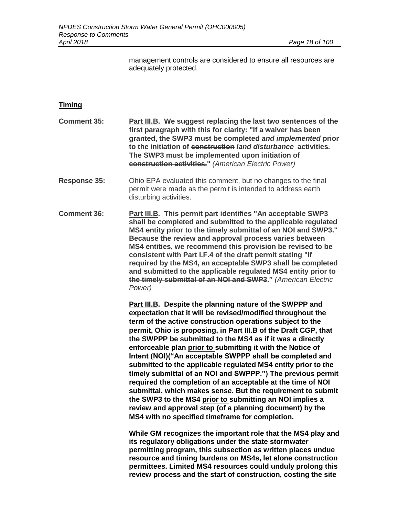management controls are considered to ensure all resources are adequately protected.

## **Timing**

| <b>Comment 35:</b>  | Part III.B. We suggest replacing the last two sentences of the<br>first paragraph with this for clarity: "If a waiver has been<br>granted, the SWP3 must be completed and implemented prior<br>to the initiation of construction land disturbance activities.<br>The SWP3 must be implemented upon initiation of<br>construction activities." (American Electric Power)                                                                                                                                                                                                                     |
|---------------------|---------------------------------------------------------------------------------------------------------------------------------------------------------------------------------------------------------------------------------------------------------------------------------------------------------------------------------------------------------------------------------------------------------------------------------------------------------------------------------------------------------------------------------------------------------------------------------------------|
| <b>Response 35:</b> | Ohio EPA evaluated this comment, but no changes to the final<br>permit were made as the permit is intended to address earth<br>disturbing activities.                                                                                                                                                                                                                                                                                                                                                                                                                                       |
| <b>Comment 36:</b>  | Part III.B. This permit part identifies "An acceptable SWP3<br>shall be completed and submitted to the applicable regulated<br>MS4 entity prior to the timely submittal of an NOI and SWP3."<br>Because the review and approval process varies between<br>MS4 entities, we recommend this provision be revised to be<br>consistent with Part I.F.4 of the draft permit stating "If<br>required by the MS4, an acceptable SWP3 shall be completed<br>and submitted to the applicable regulated MS4 entity prior to<br>the timely submittal of an NOI and SWP3." (American Electric<br>Power) |

**Part III.B. Despite the planning nature of the SWPPP and expectation that it will be revised/modified throughout the term of the active construction operations subject to the permit, Ohio is proposing, in Part III.B of the Draft CGP, that the SWPPP be submitted to the MS4 as if it was a directly enforceable plan prior to submitting it with the Notice of Intent (NOI)("An acceptable SWPPP shall be completed and submitted to the applicable regulated MS4 entity prior to the timely submittal of an NOI and SWPPP.") The previous permit required the completion of an acceptable at the time of NOI submittal, which makes sense. But the requirement to submit the SWP3 to the MS4 prior to submitting an NOI implies a review and approval step (of a planning document) by the MS4 with no specified timeframe for completion.**

**While GM recognizes the important role that the MS4 play and its regulatory obligations under the state stormwater permitting program, this subsection as written places undue resource and timing burdens on MS4s, let alone construction permittees. Limited MS4 resources could unduly prolong this review process and the start of construction, costing the site**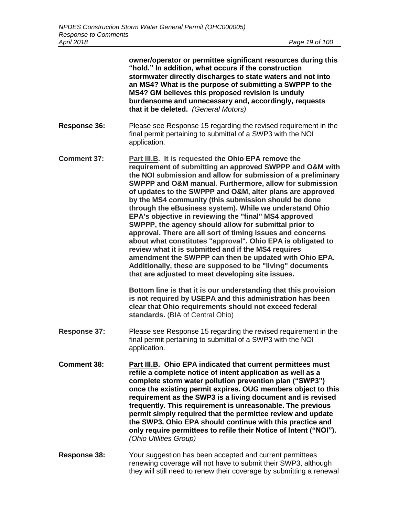|                     | owner/operator or permittee significant resources during this<br>"hold." In addition, what occurs if the construction<br>stormwater directly discharges to state waters and not into<br>an MS4? What is the purpose of submitting a SWPPP to the<br>MS4? GM believes this proposed revision is unduly<br>burdensome and unnecessary and, accordingly, requests<br>that it be deleted. (General Motors)                                                                                                                                                                                                                                                                                                                                                                                                                                                                                                                                                                                 |
|---------------------|----------------------------------------------------------------------------------------------------------------------------------------------------------------------------------------------------------------------------------------------------------------------------------------------------------------------------------------------------------------------------------------------------------------------------------------------------------------------------------------------------------------------------------------------------------------------------------------------------------------------------------------------------------------------------------------------------------------------------------------------------------------------------------------------------------------------------------------------------------------------------------------------------------------------------------------------------------------------------------------|
| <b>Response 36:</b> | Please see Response 15 regarding the revised requirement in the<br>final permit pertaining to submittal of a SWP3 with the NOI<br>application.                                                                                                                                                                                                                                                                                                                                                                                                                                                                                                                                                                                                                                                                                                                                                                                                                                         |
| <b>Comment 37:</b>  | <b>Part III.B.</b> It is requested the Ohio EPA remove the<br>requirement of submitting an approved SWPPP and O&M with<br>the NOI submission and allow for submission of a preliminary<br>SWPPP and O&M manual. Furthermore, allow for submission<br>of updates to the SWPPP and O&M, alter plans are approved<br>by the MS4 community (this submission should be done<br>through the eBusiness system). While we understand Ohio<br>EPA's objective in reviewing the "final" MS4 approved<br>SWPPP, the agency should allow for submittal prior to<br>approval. There are all sort of timing issues and concerns<br>about what constitutes "approval". Ohio EPA is obligated to<br>review what it is submitted and if the MS4 requires<br>amendment the SWPPP can then be updated with Ohio EPA.<br>Additionally, these are supposed to be "living" documents<br>that are adjusted to meet developing site issues.<br>Bottom line is that it is our understanding that this provision |
|                     | is not required by USEPA and this administration has been<br>clear that Ohio requirements should not exceed federal<br>standards. (BIA of Central Ohio)                                                                                                                                                                                                                                                                                                                                                                                                                                                                                                                                                                                                                                                                                                                                                                                                                                |
| <b>Response 37:</b> | Please see Response 15 regarding the revised requirement in the<br>final permit pertaining to submittal of a SWP3 with the NOI<br>application.                                                                                                                                                                                                                                                                                                                                                                                                                                                                                                                                                                                                                                                                                                                                                                                                                                         |
| <b>Comment 38:</b>  | Part III.B. Ohio EPA indicated that current permittees must<br>refile a complete notice of intent application as well as a<br>complete storm water pollution prevention plan ("SWP3")<br>once the existing permit expires. OUG members object to this<br>requirement as the SWP3 is a living document and is revised<br>frequently. This requirement is unreasonable. The previous<br>permit simply required that the permittee review and update<br>the SWP3. Ohio EPA should continue with this practice and<br>only require permittees to refile their Notice of Intent ("NOI").<br>(Ohio Utilities Group)                                                                                                                                                                                                                                                                                                                                                                          |
| Response 38:        | Your suggestion has been accepted and current permittees<br>repewing coverage will not have to submit their SWP3, although                                                                                                                                                                                                                                                                                                                                                                                                                                                                                                                                                                                                                                                                                                                                                                                                                                                             |

renewing coverage will not have to submit their SWP3, although they will still need to renew their coverage by submitting a renewal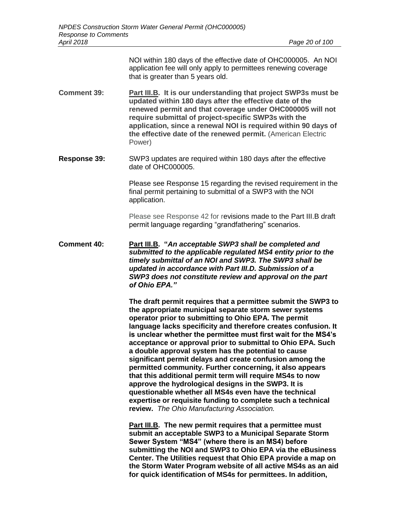NOI within 180 days of the effective date of OHC000005. An NOI application fee will only apply to permittees renewing coverage that is greater than 5 years old.

- **Comment 39: Part III.B. It is our understanding that project SWP3s must be updated within 180 days after the effective date of the renewed permit and that coverage under OHC000005 will not require submittal of project-specific SWP3s with the application, since a renewal NOI is required within 90 days of the effective date of the renewed permit.** (American Electric Power)
- **Response 39:** SWP3 updates are required within 180 days after the effective date of OHC000005.

Please see Response 15 regarding the revised requirement in the final permit pertaining to submittal of a SWP3 with the NOI application.

Please see Response 42 for revisions made to the Part III.B draft permit language regarding "grandfathering" scenarios.

**Comment 40: Part III.B. "***An acceptable SWP3 shall be completed and submitted to the applicable regulated MS4 entity prior to the timely submittal of an NOI and SWP3. The SWP3 shall be updated in accordance with Part III.D. Submission of a SWP3 does not constitute review and approval on the part of Ohio EPA."*

> **The draft permit requires that a permittee submit the SWP3 to the appropriate municipal separate storm sewer systems operator prior to submitting to Ohio EPA. The permit language lacks specificity and therefore creates confusion. It is unclear whether the permittee must first wait for the MS4's acceptance or approval prior to submittal to Ohio EPA. Such a double approval system has the potential to cause significant permit delays and create confusion among the permitted community. Further concerning, it also appears that this additional permit term will require MS4s to now approve the hydrological designs in the SWP3. It is questionable whether all MS4s even have the technical expertise or requisite funding to complete such a technical review.** *The Ohio Manufacturing Association.*

> **Part III.B. The new permit requires that a permittee must submit an acceptable SWP3 to a Municipal Separate Storm Sewer System "MS4" (where there is an MS4) before submitting the NOI and SWP3 to Ohio EPA via the eBusiness Center. The Utilities request that Ohio EPA provide a map on the Storm Water Program website of all active MS4s as an aid for quick identification of MS4s for permittees. In addition,**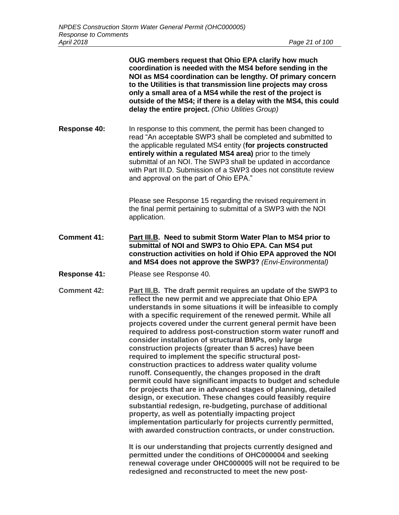**OUG members request that Ohio EPA clarify how much coordination is needed with the MS4 before sending in the NOI as MS4 coordination can be lengthy. Of primary concern to the Utilities is that transmission line projects may cross only a small area of a MS4 while the rest of the project is outside of the MS4; if there is a delay with the MS4, this could delay the entire project.** *(Ohio Utilities Group)*

**Response 40:** In response to this comment, the permit has been changed to read "An acceptable SWP3 shall be completed and submitted to the applicable regulated MS4 entity (**for projects constructed entirely within a regulated MS4 area)** prior to the timely submittal of an NOI. The SWP3 shall be updated in accordance with Part III.D. Submission of a SWP3 does not constitute review and approval on the part of Ohio EPA."

> Please see Response 15 regarding the revised requirement in the final permit pertaining to submittal of a SWP3 with the NOI application.

- **Comment 41: Part III.B. Need to submit Storm Water Plan to MS4 prior to submittal of NOI and SWP3 to Ohio EPA. Can MS4 put construction activities on hold if Ohio EPA approved the NOI and MS4 does not approve the SWP3?** *(Envi-Environmental)*
- **Response 41:** Please see Response 40.
- **Comment 42: Part III.B. The draft permit requires an update of the SWP3 to reflect the new permit and we appreciate that Ohio EPA understands in some situations it will be infeasible to comply with a specific requirement of the renewed permit. While all projects covered under the current general permit have been required to address post-construction storm water runoff and consider installation of structural BMPs, only large construction projects (greater than 5 acres) have been required to implement the specific structural postconstruction practices to address water quality volume runoff. Consequently, the changes proposed in the draft permit could have significant impacts to budget and schedule for projects that are in advanced stages of planning, detailed design, or execution. These changes could feasibly require substantial redesign, re-budgeting, purchase of additional property, as well as potentially impacting project implementation particularly for projects currently permitted, with awarded construction contracts, or under construction.**

**It is our understanding that projects currently designed and permitted under the conditions of OHC000004 and seeking renewal coverage under OHC000005 will not be required to be redesigned and reconstructed to meet the new post-**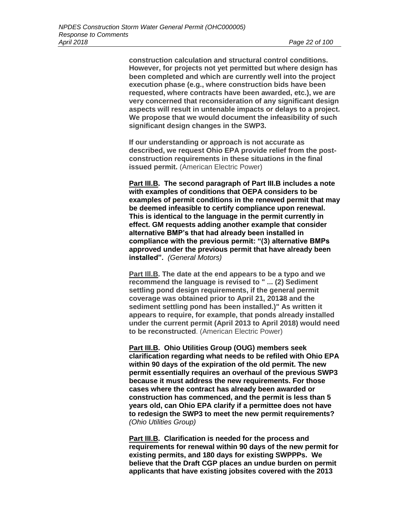**construction calculation and structural control conditions. However, for projects not yet permitted but where design has been completed and which are currently well into the project execution phase (e.g., where construction bids have been requested, where contracts have been awarded, etc.), we are very concerned that reconsideration of any significant design aspects will result in untenable impacts or delays to a project. We propose that we would document the infeasibility of such significant design changes in the SWP3.**

**If our understanding or approach is not accurate as described, we request Ohio EPA provide relief from the postconstruction requirements in these situations in the final issued permit.** (American Electric Power)

**Part III.B. The second paragraph of Part III.B includes a note with examples of conditions that OEPA considers to be examples of permit conditions in the renewed permit that may be deemed infeasible to certify compliance upon renewal. This is identical to the language in the permit currently in effect. GM requests adding another example that consider alternative BMP's that had already been installed in compliance with the previous permit: "(3) alternative BMPs approved under the previous permit that have already been installed".** *(General Motors)*

**Part Ill.B. The date at the end appears to be a typo and we recommend the language is revised to " ... (2) Sediment settling pond design requirements, if the general permit coverage was obtained prior to April 21, 20138 and the sediment settling pond has been installed.)" As written it appears to require, for example, that ponds already installed under the current permit (April 2013 to April 2018) would need to be reconstructed**. (American Electric Power)

**Part III.B. Ohio Utilities Group (OUG) members seek clarification regarding what needs to be refiled with Ohio EPA within 90 days of the expiration of the old permit. The new permit essentially requires an overhaul of the previous SWP3 because it must address the new requirements. For those cases where the contract has already been awarded or construction has commenced, and the permit is less than 5 years old, can Ohio EPA clarify if a permittee does not have to redesign the SWP3 to meet the new permit requirements?** *(Ohio Utilities Group)*

**Part III.B. Clarification is needed for the process and requirements for renewal within 90 days of the new permit for existing permits, and 180 days for existing SWPPPs. We believe that the Draft CGP places an undue burden on permit applicants that have existing jobsites covered with the 2013**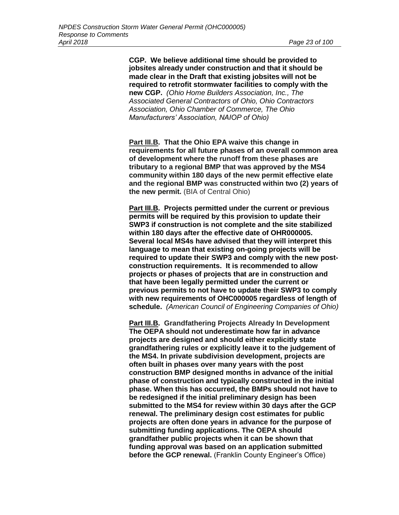**CGP. We believe additional time should be provided to jobsites already under construction and that it should be made clear in the Draft that existing jobsites will not be required to retrofit stormwater facilities to comply with the new CGP.** *(Ohio Home Builders Association, Inc., The Associated General Contractors of Ohio, Ohio Contractors Association, Ohio Chamber of Commerce, The Ohio Manufacturers' Association, NAIOP of Ohio)*

**Part III.B. That the Ohio EPA waive this change in requirements for all future phases of an overall common area of development where the runoff from these phases are tributary to a regional BMP that was approved by the MS4 community within 180 days of the new permit effective elate and the regional BMP was constructed within two (2) years of the new permit.** (BIA of Central Ohio)

**Part III.B. Projects permitted under the current or previous permits will be required by this provision to update their SWP3 if construction is not complete and the site stabilized within 180 days after the effective date of OHR000005. Several local MS4s have advised that they will interpret this language to mean that existing on-going projects will be required to update their SWP3 and comply with the new postconstruction requirements. It is recommended to allow projects or phases of projects that are in construction and that have been legally permitted under the current or previous permits to not have to update their SWP3 to comply with new requirements of OHC000005 regardless of length of schedule.** *(American Council of Engineering Companies of Ohio)*

**Part III.B. Grandfathering Projects Already In Development The OEPA should not underestimate how far in advance projects are designed and should either explicitly state grandfathering rules or explicitly leave it to the judgement of the MS4. In private subdivision development, projects are often built in phases over many years with the post construction BMP designed months in advance of the initial phase of construction and typically constructed in the initial phase. When this has occurred, the BMPs should not have to be redesigned if the initial preliminary design has been submitted to the MS4 for review within 30 days after the GCP renewal. The preliminary design cost estimates for public projects are often done years in advance for the purpose of submitting funding applications. The OEPA should grandfather public projects when it can be shown that funding approval was based on an application submitted before the GCP renewal.** (Franklin County Engineer's Office)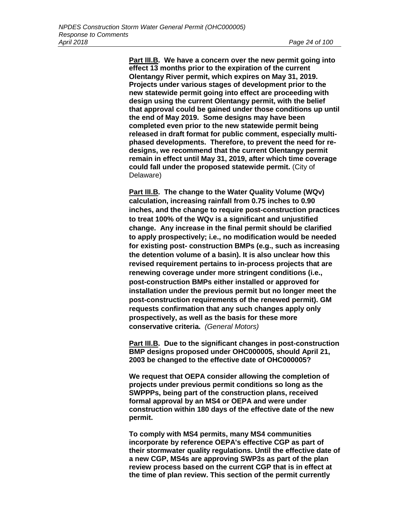**Part III.B. We have a concern over the new permit going into effect 13 months prior to the expiration of the current Olentangy River permit, which expires on May 31, 2019. Projects under various stages of development prior to the new statewide permit going into effect are proceeding with design using the current Olentangy permit, with the belief that approval could be gained under those conditions up until the end of May 2019. Some designs may have been completed even prior to the new statewide permit being released in draft format for public comment, especially multiphased developments. Therefore, to prevent the need for redesigns, we recommend that the current Olentangy permit remain in effect until May 31, 2019, after which time coverage could fall under the proposed statewide permit.** (City of Delaware)

**Part III.B. The change to the Water Quality Volume (WQv) calculation, increasing rainfall from 0.75 inches to 0.90 inches, and the change to require post-construction practices to treat 100% of the WQv is a significant and unjustified change. Any increase in the final permit should be clarified to apply prospectively; i.e., no modification would be needed for existing post- construction BMPs (e.g., such as increasing the detention volume of a basin). It is also unclear how this revised requirement pertains to in-process projects that are renewing coverage under more stringent conditions (i.e., post-construction BMPs either installed or approved for installation under the previous permit but no longer meet the post-construction requirements of the renewed permit). GM requests confirmation that any such changes apply only prospectively, as well as the basis for these more conservative criteria.** *(General Motors)* 

**Part III.B. Due to the significant changes in post-construction BMP designs proposed under OHC000005, should April 21, 2003 be changed to the effective date of OHC000005?**

**We request that OEPA consider allowing the completion of projects under previous permit conditions so long as the SWPPPs, being part of the construction plans, received formal approval by an MS4 or OEPA and were under construction within 180 days of the effective date of the new permit.**

**To comply with MS4 permits, many MS4 communities incorporate by reference OEPA's effective CGP as part of their stormwater quality regulations. Until the effective date of a new CGP, MS4s are approving SWP3s as part of the plan review process based on the current CGP that is in effect at the time of plan review. This section of the permit currently**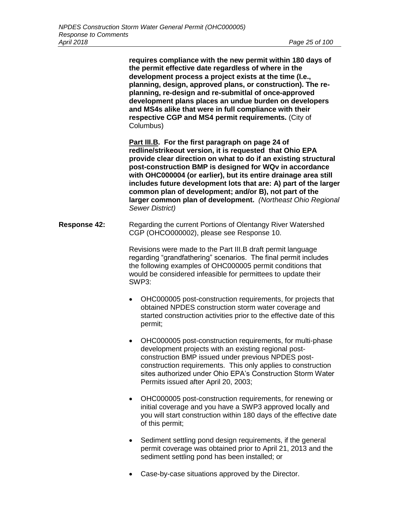**requires compliance with the new permit within 180 days of the permit effective date regardless of where in the development process a project exists at the time (I.e., planning, design, approved plans, or construction). The replanning, re-design and re-submitlal of once-approved development plans places an undue burden on developers and MS4s alike that were in full compliance with their respective CGP and MS4 permit requirements.** (City of Columbus)

**Part III.B. For the first paragraph on page 24 of redline/strikeout version, it is requested that Ohio EPA provide clear direction on what to do if an existing structural post-construction BMP is designed for WQv in accordance with OHC000004 (or earlier), but its entire drainage area still includes future development lots that are: A) part of the larger common plan of development; and/or B), not part of the larger common plan of development.** *(Northeast Ohio Regional Sewer District)*

**Response 42:** Regarding the current Portions of Olentangy River Watershed CGP (OHCO000002), please see Response 10.

> Revisions were made to the Part III.B draft permit language regarding "grandfathering" scenarios. The final permit includes the following examples of OHC000005 permit conditions that would be considered infeasible for permittees to update their SWP3:

- OHC000005 post-construction requirements, for projects that obtained NPDES construction storm water coverage and started construction activities prior to the effective date of this permit;
- OHC000005 post-construction requirements, for multi-phase development projects with an existing regional postconstruction BMP issued under previous NPDES postconstruction requirements. This only applies to construction sites authorized under Ohio EPA's Construction Storm Water Permits issued after April 20, 2003;
- OHC000005 post-construction requirements, for renewing or initial coverage and you have a SWP3 approved locally and you will start construction within 180 days of the effective date of this permit;
- Sediment settling pond design requirements, if the general permit coverage was obtained prior to April 21, 2013 and the sediment settling pond has been installed; or
- Case-by-case situations approved by the Director.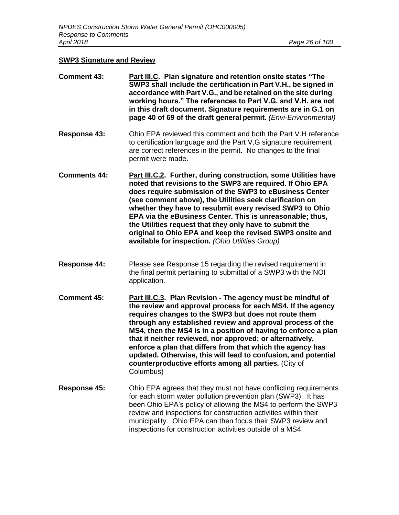# **SWP3 Signature and Review**

| <b>Comment 43:</b>  | Part III.C. Plan signature and retention onsite states "The<br>SWP3 shall include the certification in Part V.H., be signed in<br>accordance with Part V.G., and be retained on the site during<br>working hours." The references to Part V.G. and V.H. are not<br>in this draft document. Signature requirements are in G.1 on<br>page 40 of 69 of the draft general permit. (Envi-Environmental)                                                                                                                                                                                    |
|---------------------|---------------------------------------------------------------------------------------------------------------------------------------------------------------------------------------------------------------------------------------------------------------------------------------------------------------------------------------------------------------------------------------------------------------------------------------------------------------------------------------------------------------------------------------------------------------------------------------|
| <b>Response 43:</b> | Ohio EPA reviewed this comment and both the Part V.H reference<br>to certification language and the Part V.G signature requirement<br>are correct references in the permit. No changes to the final<br>permit were made.                                                                                                                                                                                                                                                                                                                                                              |
| <b>Comments 44:</b> | Part III.C.2. Further, during construction, some Utilities have<br>noted that revisions to the SWP3 are required. If Ohio EPA<br>does require submission of the SWP3 to eBusiness Center<br>(see comment above), the Utilities seek clarification on<br>whether they have to resubmit every revised SWP3 to Ohio<br>EPA via the eBusiness Center. This is unreasonable; thus,<br>the Utilities request that they only have to submit the<br>original to Ohio EPA and keep the revised SWP3 onsite and<br>available for inspection. (Ohio Utilities Group)                             |
| <b>Response 44:</b> | Please see Response 15 regarding the revised requirement in<br>the final permit pertaining to submittal of a SWP3 with the NOI<br>application.                                                                                                                                                                                                                                                                                                                                                                                                                                        |
| <b>Comment 45:</b>  | Part III.C.3. Plan Revision - The agency must be mindful of<br>the review and approval process for each MS4. If the agency<br>requires changes to the SWP3 but does not route them<br>through any established review and approval process of the<br>MS4, then the MS4 is in a position of having to enforce a plan<br>that it neither reviewed, nor approved; or alternatively,<br>enforce a plan that differs from that which the agency has<br>updated. Otherwise, this will lead to confusion, and potential<br>counterproductive efforts among all parties. (City of<br>Columbus) |
| Response 45:        | Ohio EPA agrees that they must not have conflicting requirements<br>for each storm water pollution prevention plan (SWP3). It has<br>been Ohio EPA's policy of allowing the MS4 to perform the SWP3<br>review and inspections for construction activities within their<br>municipality. Ohio EPA can then focus their SWP3 review and<br>inspections for construction activities outside of a MS4.                                                                                                                                                                                    |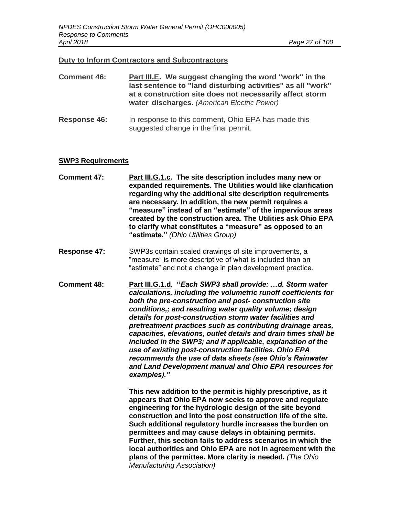#### **Duty to Inform Contractors and Subcontractors**

| <b>Comment 46:</b> | Part III.E. We suggest changing the word "work" in the<br>last sentence to "land disturbing activities" as all "work" |
|--------------------|-----------------------------------------------------------------------------------------------------------------------|
|                    | at a construction site does not necessarily affect storm<br>water discharges. (American Electric Power)               |

**Response 46:** In response to this comment, Ohio EPA has made this suggested change in the final permit.

#### **SWP3 Requirements**

- **Comment 47: Part III.G.1.c. The site description includes many new or expanded requirements. The Utilities would like clarification regarding why the additional site description requirements are necessary. In addition, the new permit requires a "measure" instead of an "estimate" of the impervious areas created by the construction area. The Utilities ask Ohio EPA to clarify what constitutes a "measure" as opposed to an "estimate."** *(Ohio Utilities Group)*
- **Response 47:** SWP3s contain scaled drawings of site improvements, a "measure" is more descriptive of what is included than an "estimate" and not a change in plan development practice.
- **Comment 48: Part III.G.1.d. "***Each SWP3 shall provide: …d. Storm water calculations, including the volumetric runoff coefficients for both the pre-construction and post- construction site conditions,; and resulting water quality volume; design details for post-construction storm water facilities and pretreatment practices such as contributing drainage areas, capacities, elevations, outlet details and drain times shall be included in the SWP3; and if applicable, explanation of the use of existing post-construction facilities. Ohio EPA recommends the use of data sheets (see Ohio's Rainwater and Land Development manual and Ohio EPA resources for examples)."*

**This new addition to the permit is highly prescriptive, as it appears that Ohio EPA now seeks to approve and regulate engineering for the hydrologic design of the site beyond construction and into the post construction life of the site. Such additional regulatory hurdle increases the burden on permittees and may cause delays in obtaining permits. Further, this section fails to address scenarios in which the local authorities and Ohio EPA are not in agreement with the plans of the permittee. More clarity is needed.** *(The Ohio Manufacturing Association)*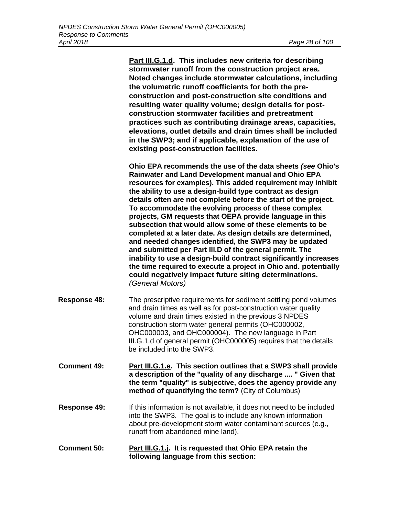**Part III.G.1.d. This includes new criteria for describing stormwater runoff from the construction project area. Noted changes include stormwater calculations, including the volumetric runoff coefficients for both the preconstruction and post-construction site conditions and resulting water quality volume; design details for postconstruction stormwater facilities and pretreatment practices such as contributing drainage areas, capacities, elevations, outlet details and drain times shall be included in the SWP3; and if applicable, explanation of the use of existing post-construction facilities.**

**Ohio EPA recommends the use of the data sheets** *(see* **Ohio's Rainwater and Land Development manual and Ohio EPA resources for examples). This added requirement may inhibit the ability to use a design-build type contract as design details often are not complete before the start of the project. To accommodate the evolving process of these complex projects, GM requests that OEPA provide language in this subsection that would allow some of these elements to be completed at a later date. As design details are determined, and needed changes identified, the SWP3 may be updated and submitted per Part Ill.D of the general permit. The inability to use a design-build contract significantly increases the time required to execute a project in Ohio and. potentially could negatively impact future siting determinations.**  *(General Motors)*

- **Response 48:** The prescriptive requirements for sediment settling pond volumes and drain times as well as for post-construction water quality volume and drain times existed in the previous 3 NPDES construction storm water general permits (OHC000002, OHC000003, and OHC000004). The new language in Part III.G.1.d of general permit (OHC000005) requires that the details be included into the SWP3.
- **Comment 49: Part III.G.1.e. This section outlines that a SWP3 shall provide a description of the "quality of any discharge .... " Given that the term "quality" is subjective, does the agency provide any method of quantifying the term?** (City of Columbus)
- **Response 49:** If this information is not available, it does not need to be included into the SWP3. The goal is to include any known information about pre-development storm water contaminant sources (e.g., runoff from abandoned mine land).
- **Comment 50: Part III.G.1.j. It is requested that Ohio EPA retain the following language from this section:**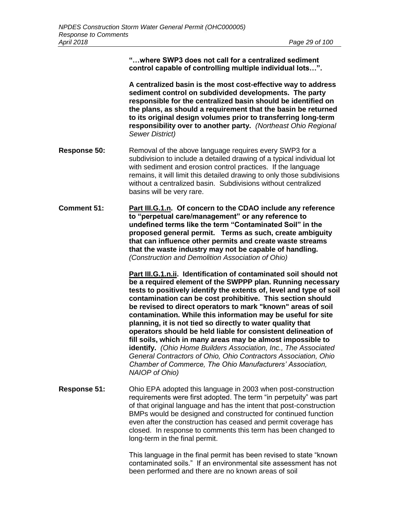**"…where SWP3 does not call for a centralized sediment control capable of controlling multiple individual lots…".**

**A centralized basin is the most cost-effective way to address sediment control on subdivided developments. The party responsible for the centralized basin should be identified on the plans, as should a requirement that the basin be returned to its original design volumes prior to transferring long-term responsibility over to another party.** *(Northeast Ohio Regional Sewer District)*

- **Response 50:** Removal of the above language requires every SWP3 for a subdivision to include a detailed drawing of a typical individual lot with sediment and erosion control practices. If the language remains, it will limit this detailed drawing to only those subdivisions without a centralized basin. Subdivisions without centralized basins will be very rare.
- **Comment 51: Part III.G.1.n. Of concern to the CDAO include any reference to "perpetual care/management" or any reference to undefined terms like the term "Contaminated Soil" in the proposed general permit. Terms as such, create ambiguity that can influence other permits and create waste streams that the waste industry may not be capable of handling.** *(Construction and Demolition Association of Ohio)*

**Part III.G.1.n.ii. Identification of contaminated soil should not be a required element of the SWPPP plan. Running necessary tests to positively identify the extents of, level and type of soil contamination can be cost prohibitive. This section should be revised to direct operators to mark "known" areas of soil contamination. While this information may be useful for site planning, it is not tied so directly to water quality that operators should be held liable for consistent delineation of fill soils, which in many areas may be almost impossible to identify.** *(Ohio Home Builders Association, Inc., The Associated General Contractors of Ohio, Ohio Contractors Association, Ohio Chamber of Commerce, The Ohio Manufacturers' Association, NAIOP of Ohio)*

**Response 51:** Ohio EPA adopted this language in 2003 when post-construction requirements were first adopted. The term "in perpetuity" was part of that original language and has the intent that post-construction BMPs would be designed and constructed for continued function even after the construction has ceased and permit coverage has closed. In response to comments this term has been changed to long-term in the final permit.

> This language in the final permit has been revised to state "known contaminated soils." If an environmental site assessment has not been performed and there are no known areas of soil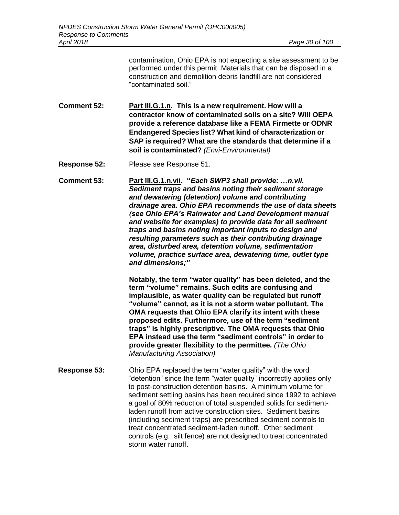contamination, Ohio EPA is not expecting a site assessment to be performed under this permit. Materials that can be disposed in a construction and demolition debris landfill are not considered "contaminated soil."

- **Comment 52: Part III.G.1.n. This is a new requirement. How will a contractor know of contaminated soils on a site? Will OEPA provide a reference database like a FEMA Firmette or ODNR Endangered Species list? What kind of characterization or SAP is required? What are the standards that determine if a soil is contaminated?** *(Envi-Environmental)*
- **Response 52:** Please see Response 51.
- **Comment 53: Part III.G.1.n.vii. "***Each SWP3 shall provide: …n.vii. Sediment traps and basins noting their sediment storage and dewatering (detention) volume and contributing drainage area. Ohio EPA recommends the use of data sheets (see Ohio EPA's Rainwater and Land Development manual and website for examples) to provide data for all sediment traps and basins noting important inputs to design and resulting parameters such as their contributing drainage area, disturbed area, detention volume, sedimentation volume, practice surface area, dewatering time, outlet type and dimensions;"*

**Notably, the term "water quality" has been deleted, and the term "volume" remains. Such edits are confusing and implausible, as water quality can be regulated but runoff "volume" cannot, as it is not a storm water pollutant. The OMA requests that Ohio EPA clarify its intent with these proposed edits. Furthermore, use of the term "sediment traps" is highly prescriptive. The OMA requests that Ohio EPA instead use the term "sediment controls" in order to provide greater flexibility to the permittee.** *(The Ohio Manufacturing Association)*

**Response 53:** Ohio EPA replaced the term "water quality" with the word "detention" since the term "water quality" incorrectly applies only to post-construction detention basins. A minimum volume for sediment settling basins has been required since 1992 to achieve a goal of 80% reduction of total suspended solids for sedimentladen runoff from active construction sites. Sediment basins (including sediment traps) are prescribed sediment controls to treat concentrated sediment-laden runoff. Other sediment controls (e.g., silt fence) are not designed to treat concentrated storm water runoff.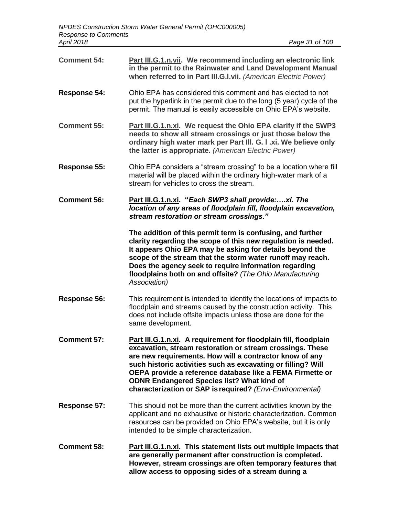| <b>Comment 54:</b>  | Part III.G.1.n.vii. We recommend including an electronic link<br>in the permit to the Rainwater and Land Development Manual<br>when referred to in Part III.G.I.vii. (American Electric Power)                                                                                                                                                                                                                                          |
|---------------------|-----------------------------------------------------------------------------------------------------------------------------------------------------------------------------------------------------------------------------------------------------------------------------------------------------------------------------------------------------------------------------------------------------------------------------------------|
| <b>Response 54:</b> | Ohio EPA has considered this comment and has elected to not<br>put the hyperlink in the permit due to the long (5 year) cycle of the<br>permit. The manual is easily accessible on Ohio EPA's website.                                                                                                                                                                                                                                  |
| <b>Comment 55:</b>  | Part III.G.1.n.xi. We request the Ohio EPA clarify if the SWP3<br>needs to show all stream crossings or just those below the<br>ordinary high water mark per Part III. G. I .xi. We believe only<br>the latter is appropriate. (American Electric Power)                                                                                                                                                                                |
| Response 55:        | Ohio EPA considers a "stream crossing" to be a location where fill<br>material will be placed within the ordinary high-water mark of a<br>stream for vehicles to cross the stream.                                                                                                                                                                                                                                                      |
| <b>Comment 56:</b>  | Part III.G.1.n.xi. "Each SWP3 shall provide:xi. The<br>location of any areas of floodplain fill, floodplain excavation,<br>stream restoration or stream crossings."                                                                                                                                                                                                                                                                     |
|                     | The addition of this permit term is confusing, and further<br>clarity regarding the scope of this new regulation is needed.<br>It appears Ohio EPA may be asking for details beyond the<br>scope of the stream that the storm water runoff may reach.<br>Does the agency seek to require information regarding<br>floodplains both on and offsite? (The Ohio Manufacturing<br>Association)                                              |
| Response 56:        | This requirement is intended to identify the locations of impacts to<br>floodplain and streams caused by the construction activity. This<br>does not include offsite impacts unless those are done for the<br>same development.                                                                                                                                                                                                         |
| <b>Comment 57:</b>  | Part III.G.1.n.xi. A requirement for floodplain fill, floodplain<br>excavation, stream restoration or stream crossings. These<br>are new requirements. How will a contractor know of any<br>such historic activities such as excavating or filling? Will<br>OEPA provide a reference database like a FEMA Firmette or<br><b>ODNR Endangered Species list? What kind of</b><br>characterization or SAP is required? (Envi-Environmental) |
| Response 57:        | This should not be more than the current activities known by the<br>applicant and no exhaustive or historic characterization. Common<br>resources can be provided on Ohio EPA's website, but it is only<br>intended to be simple characterization.                                                                                                                                                                                      |
| <b>Comment 58:</b>  | <b>Part III.G.1.n.xi.</b> This statement lists out multiple impacts that<br>are generally permanent after construction is completed.<br>However, stream crossings are often temporary features that<br>allow access to opposing sides of a stream during a                                                                                                                                                                              |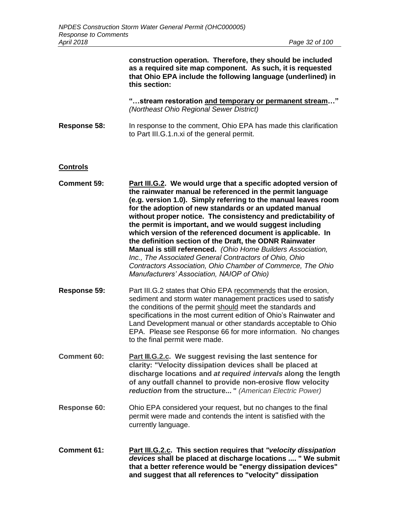|                     | construction operation. Therefore, they should be included<br>as a required site map component. As such, it is requested<br>that Ohio EPA include the following language (underlined) in<br>this section:                                                                                                                                                                                                                                                                                                                                                                                                                                                                                                                                          |
|---------------------|----------------------------------------------------------------------------------------------------------------------------------------------------------------------------------------------------------------------------------------------------------------------------------------------------------------------------------------------------------------------------------------------------------------------------------------------------------------------------------------------------------------------------------------------------------------------------------------------------------------------------------------------------------------------------------------------------------------------------------------------------|
|                     | "stream restoration and temporary or permanent stream"<br>(Northeast Ohio Regional Sewer District)                                                                                                                                                                                                                                                                                                                                                                                                                                                                                                                                                                                                                                                 |
| <b>Response 58:</b> | In response to the comment, Ohio EPA has made this clarification<br>to Part III.G.1.n.xi of the general permit.                                                                                                                                                                                                                                                                                                                                                                                                                                                                                                                                                                                                                                    |
| <b>Controls</b>     |                                                                                                                                                                                                                                                                                                                                                                                                                                                                                                                                                                                                                                                                                                                                                    |
| <b>Comment 59:</b>  | Part III.G.2. We would urge that a specific adopted version of<br>the rainwater manual be referenced in the permit language<br>(e.g. version 1.0). Simply referring to the manual leaves room<br>for the adoption of new standards or an updated manual<br>without proper notice. The consistency and predictability of<br>the permit is important, and we would suggest including<br>which version of the referenced document is applicable. In<br>the definition section of the Draft, the ODNR Rainwater<br>Manual is still referenced. (Ohio Home Builders Association,<br>Inc., The Associated General Contractors of Ohio, Ohio<br>Contractors Association, Ohio Chamber of Commerce, The Ohio<br>Manufacturers' Association, NAIOP of Ohio) |
| <b>Response 59:</b> | Part III.G.2 states that Ohio EPA recommends that the erosion,<br>sediment and storm water management practices used to satisfy<br>the conditions of the permit should meet the standards and<br>specifications in the most current edition of Ohio's Rainwater and<br>Land Development manual or other standards acceptable to Ohio<br>EPA. Please see Response 66 for more information. No changes<br>to the final permit were made.                                                                                                                                                                                                                                                                                                             |
| <b>Comment 60:</b>  | <b>Part III.G.2.c.</b> We suggest revising the last sentence for<br>clarity: "Velocity dissipation devices shall be placed at<br>discharge locations and at required intervals along the length<br>of any outfall channel to provide non-erosive flow velocity<br>reduction from the structure " (American Electric Power)                                                                                                                                                                                                                                                                                                                                                                                                                         |
| <b>Response 60:</b> | Ohio EPA considered your request, but no changes to the final<br>permit were made and contends the intent is satisfied with the<br>currently language.                                                                                                                                                                                                                                                                                                                                                                                                                                                                                                                                                                                             |
| <b>Comment 61:</b>  | Part III.G.2.c. This section requires that "velocity dissipation<br>devices shall be placed at discharge locations  " We submit<br>that a better reference would be "energy dissipation devices"                                                                                                                                                                                                                                                                                                                                                                                                                                                                                                                                                   |

**and suggest that all references to "velocity" dissipation**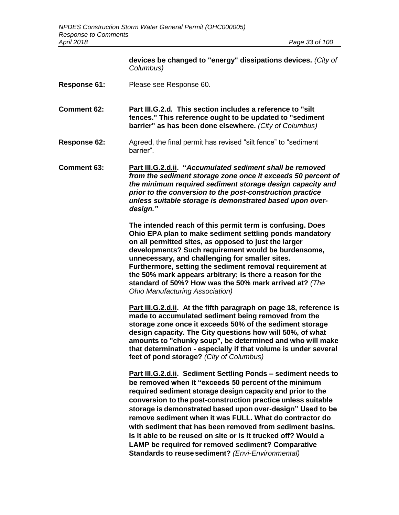|                     | devices be changed to "energy" dissipations devices. (City of<br>Columbus)                                                                                                                                                                                                                                                                                                                                                                                                                                                                                                                                              |
|---------------------|-------------------------------------------------------------------------------------------------------------------------------------------------------------------------------------------------------------------------------------------------------------------------------------------------------------------------------------------------------------------------------------------------------------------------------------------------------------------------------------------------------------------------------------------------------------------------------------------------------------------------|
| <b>Response 61:</b> | Please see Response 60.                                                                                                                                                                                                                                                                                                                                                                                                                                                                                                                                                                                                 |
| Comment 62:         | Part III.G.2.d. This section includes a reference to "silt"<br>fences." This reference ought to be updated to "sediment<br>barrier" as has been done elsewhere. (City of Columbus)                                                                                                                                                                                                                                                                                                                                                                                                                                      |
| Response 62:        | Agreed, the final permit has revised "silt fence" to "sediment<br>barrier".                                                                                                                                                                                                                                                                                                                                                                                                                                                                                                                                             |
| Comment 63:         | Part III.G.2.d.ii. "Accumulated sediment shall be removed<br>from the sediment storage zone once it exceeds 50 percent of<br>the minimum required sediment storage design capacity and<br>prior to the conversion to the post-construction practice<br>unless suitable storage is demonstrated based upon over-<br>design."                                                                                                                                                                                                                                                                                             |
|                     | The intended reach of this permit term is confusing. Does<br>Ohio EPA plan to make sediment settling ponds mandatory<br>on all permitted sites, as opposed to just the larger<br>developments? Such requirement would be burdensome,<br>unnecessary, and challenging for smaller sites.<br>Furthermore, setting the sediment removal requirement at<br>the 50% mark appears arbitrary; is there a reason for the<br>standard of 50%? How was the 50% mark arrived at? (The<br>Ohio Manufacturing Association)                                                                                                           |
|                     | Part III.G.2.d.ii. At the fifth paragraph on page 18, reference is<br>made to accumulated sediment being removed from the<br>storage zone once it exceeds 50% of the sediment storage<br>design capacity. The City questions how will 50%, of what<br>amounts to "chunky soup", be determined and who will make<br>that determination - especially if that volume is under several<br>feet of pond storage? (City of Columbus)                                                                                                                                                                                          |
|                     | Part III.G.2.d.ii. Sediment Settling Ponds - sediment needs to<br>be removed when it "exceeds 50 percent of the minimum<br>required sediment storage design capacity and prior to the<br>conversion to the post-construction practice unless suitable<br>storage is demonstrated based upon over-design" Used to be<br>remove sediment when it was FULL. What do contractor do<br>with sediment that has been removed from sediment basins.<br>Is it able to be reused on site or is it trucked off? Would a<br>LAMP be required for removed sediment? Comparative<br>Standards to reuse sediment? (Envi-Environmental) |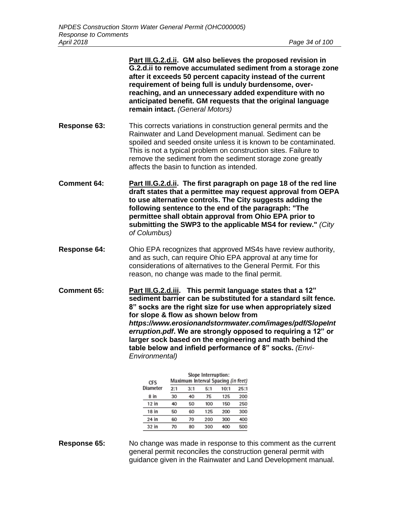|                     | Part III.G.2.d.ii. GM also believes the proposed revision in<br>G.2.d.ii to remove accumulated sediment from a storage zone<br>after it exceeds 50 percent capacity instead of the current<br>requirement of being full is unduly burdensome, over-<br>reaching, and an unnecessary added expenditure with no<br>anticipated benefit. GM requests that the original language<br>remain intact. (General Motors)                                                                                           |
|---------------------|-----------------------------------------------------------------------------------------------------------------------------------------------------------------------------------------------------------------------------------------------------------------------------------------------------------------------------------------------------------------------------------------------------------------------------------------------------------------------------------------------------------|
| Response 63:        | This corrects variations in construction general permits and the<br>Rainwater and Land Development manual. Sediment can be<br>spoiled and seeded onsite unless it is known to be contaminated.<br>This is not a typical problem on construction sites. Failure to<br>remove the sediment from the sediment storage zone greatly<br>affects the basin to function as intended.                                                                                                                             |
| <b>Comment 64:</b>  | Part III.G.2.d.ii. The first paragraph on page 18 of the red line<br>draft states that a permittee may request approval from OEPA<br>to use alternative controls. The City suggests adding the<br>following sentence to the end of the paragraph: "The<br>permittee shall obtain approval from Ohio EPA prior to<br>submitting the SWP3 to the applicable MS4 for review." (City<br>of Columbus)                                                                                                          |
| <b>Response 64:</b> | Ohio EPA recognizes that approved MS4s have review authority,<br>and as such, can require Ohio EPA approval at any time for<br>considerations of alternatives to the General Permit. For this<br>reason, no change was made to the final permit.                                                                                                                                                                                                                                                          |
| <b>Comment 65:</b>  | Part III.G.2.d.iii. This permit language states that a 12"<br>sediment barrier can be substituted for a standard silt fence.<br>8" socks are the right size for use when appropriately sized<br>for slope & flow as shown below from<br>https://www.erosionandstormwater.com/images/pdf/SlopeInt<br>erruption.pdf. We are strongly opposed to requiring a 12" or<br>larger sock based on the engineering and math behind the<br>table below and infield performance of 8" socks. (Envi-<br>Environmental) |
|                     | Slope Interruption:<br>.<br>.                                                                                                                                                                                                                                                                                                                                                                                                                                                                             |

| CFS      |     |     | and he turned to the money<br>Maximum Interval Spacing (in feet) |      |      |
|----------|-----|-----|------------------------------------------------------------------|------|------|
| Diameter | 2:1 | 3:1 | 5:1                                                              | 10:1 | 25:1 |
| 8 in     | 30  | 40  | 75                                                               | 125  | 200  |
| 12 in    | 40  | 50  | 100                                                              | 150  | 250  |
| 18 in    | 50  | 60  | 125                                                              | 200  | 300  |
| 24 in    | 60  | 70  | 200                                                              | 300  | 400  |
| 32 in    | 70  | 80  | 300                                                              | 400  | 500  |

**Response 65:** No change was made in response to this comment as the current general permit reconciles the construction general permit with guidance given in the Rainwater and Land Development manual.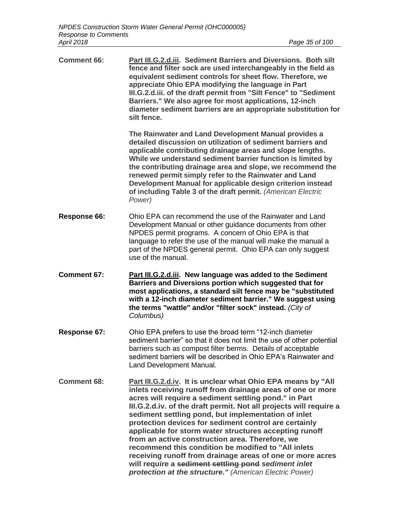| <b>Comment 66:</b> | Part III.G.2.d.iii. Sediment Barriers and Diversions. Both silt<br>fence and filter sock are used interchangeably in the field as<br>equivalent sediment controls for sheet flow. Therefore, we<br>appreciate Ohio EPA modifying the language in Part<br>III.G.2.d.iii. of the draft permit from "Silt Fence" to "Sediment<br>Barriers." We also agree for most applications, 12-inch<br>diameter sediment barriers are an appropriate substitution for<br>silt fence.                                         |
|--------------------|----------------------------------------------------------------------------------------------------------------------------------------------------------------------------------------------------------------------------------------------------------------------------------------------------------------------------------------------------------------------------------------------------------------------------------------------------------------------------------------------------------------|
|                    | The Rainwater and Land Development Manual provides a<br>detailed discussion on utilization of sediment barriers and<br>applicable contributing drainage areas and slope lengths.<br>While we understand sediment barrier function is limited by<br>the contributing drainage area and slope, we recommend the<br>renewed permit simply refer to the Rainwater and Land<br>Development Manual for applicable design criterion instead<br>of including Table 3 of the draft permit. (American Electric<br>Power) |
| Response 66:       | Ohio EPA can recommend the use of the Rainwater and Land<br>Development Manual or other guidance documents from other<br>NPDES permit programs. A concern of Ohio EPA is that<br>language to refer the use of the manual will make the manual a<br>part of the NPDES general permit. Ohio EPA can only suggest<br>use of the manual.                                                                                                                                                                           |
|                    |                                                                                                                                                                                                                                                                                                                                                                                                                                                                                                                |
| <b>Comment 67:</b> | Part III.G.2.d.iii. New language was added to the Sediment<br>Barriers and Diversions portion which suggested that for<br>most applications, a standard silt fence may be "substituted<br>with a 12-inch diameter sediment barrier." We suggest using<br>the terms "wattle" and/or "filter sock" instead. (City of<br>Columbus)                                                                                                                                                                                |
| Response 67:       | Ohio EPA prefers to use the broad term "12-inch diameter<br>sediment barrier" so that it does not limit the use of other potential<br>barriers such as compost filter berms. Details of acceptable<br>sediment barriers will be described in Ohio EPA's Rainwater and<br>Land Development Manual.                                                                                                                                                                                                              |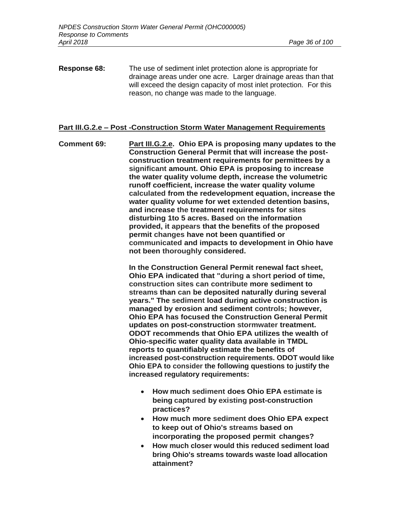**Response 68:** The use of sediment inlet protection alone is appropriate for drainage areas under one acre. Larger drainage areas than that will exceed the design capacity of most inlet protection. For this reason, no change was made to the language.

#### **Part III.G.2.e – Post -Construction Storm Water Management Requirements**

**Comment 69: Part III.G.2.e. Ohio EPA is proposing many updates to the Construction General Permit that will increase the postconstruction treatment requirements for permittees by a significant amount. Ohio EPA is proposing to increase the water quality volume depth, increase the volumetric runoff coefficient, increase the water quality volume calculated from the redevelopment equation, increase the water quality volume for wet extended detention basins, and increase the treatment requirements for sites disturbing 1to 5 acres. Based on the information provided, it appears that the benefits of the proposed permit changes have not been quantified or communicated and impacts to development in Ohio have not been thoroughly considered.**

> **In the Construction General Permit renewal fact sheet, Ohio EPA indicated that "during a short period of time, construction sites can contribute more sediment to streams than can be deposited naturally during several years." The sediment load during active construction is managed by erosion and sediment controls; however, Ohio EPA has focused the Construction General Permit updates on post-construction stormwater treatment. ODOT recommends that Ohio EPA utilizes the wealth of Ohio-specific water quality data available in TMDL reports to quantifiably estimate the benefits of increased post-construction requirements. ODOT would like Ohio EPA to consider the following questions to justify the increased regulatory requirements:**

- **How much sediment does Ohio EPA estimate is being captured by existing post-construction practices?**
- **How much more sediment does Ohio EPA expect to keep out of Ohio's streams based on incorporating the proposed permit changes?**
- **How much closer would this reduced sediment load bring Ohio's streams towards waste load allocation attainment?**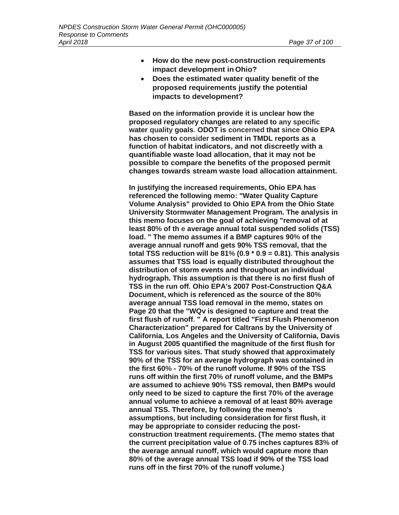- **How do the new post-construction requirements impact development in Ohio?**
- **Does the estimated water quality benefit of the proposed requirements justify the potential impacts to development?**

**Based on the information provide it is unclear how the proposed regulatory changes are related to any specific water quality goals. ODOT is concerned that since Ohio EPA has chosen to consider sediment in TMDL reports as a function of habitat indicators, and not discreetly with a quantifiable waste load allocation, that it may not be possible to compare the benefits of the proposed permit changes towards stream waste load allocation attainment.**

**In justifying the increased requirements, Ohio EPA has referenced the following memo: "Water Quality Capture Volume Analysis" provided to Ohio EPA from the Ohio State University Stormwater Management Program. The analysis in this memo focuses on the goal of achieving "removal of at least 80% of th e average annual total suspended solids (TSS) load. " The memo assumes if a BMP captures 90% of the average annual runoff and gets 90% TSS removal, that the total TSS reduction will be 81% (0.9 \* 0.9 = 0.81). This analysis assumes that TSS load is equally distributed throughout the distribution of storm events and throughout an individual hydrograph. This assumption is that there is no first flush of TSS in the run off. Ohio EPA's 2007 Post-Construction Q&A Document, which is referenced as the source of the 80% average annual TSS load removal in the memo, states on Page 20 that the "WQv is designed to capture and treat the first flush of runoff. " A report titled "First Flush Phenomenon Characterization" prepared for Caltrans by the University of California, Los Angeles and the University of California, Davis in August 2005 quantified the magnitude of the first flush for TSS for various sites. That study showed that approximately 90% of the TSS for an average hydrograph was contained in the first 60% - 70% of the runoff volume. If 90% of the TSS runs off within the first 70% of runoff volume, and the BMPs are assumed to achieve 90% TSS removal, then BMPs would only need to be sized to capture the first 70% of the average annual volume to achieve a removal of at least 80% average annual TSS. Therefore, by following the memo's assumptions, but including consideration for first flush, it may be appropriate to consider reducing the postconstruction treatment requirements. (The memo states that the current precipitation value of 0.75 inches captures 83% of the average annual runoff, which would capture more than 80% of the average annual TSS load if 90% of the TSS load runs off in the first 70% of the runoff volume.)**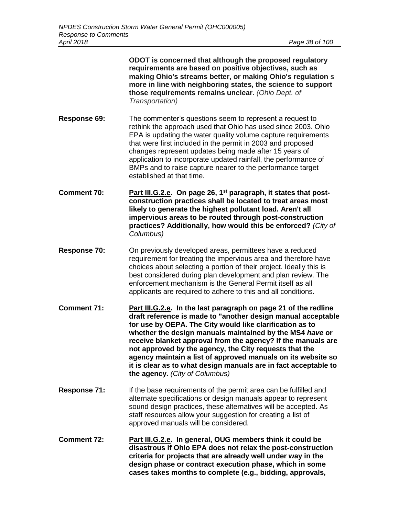**ODOT is concerned that although the proposed regulatory requirements are based on positive objectives, such as making Ohio's streams better, or making Ohio's regulation s more in line with neighboring states, the science to support those requirements remains unclear.** *(Ohio Dept. of Transportation)*

**Response 69:** The commenter's questions seem to represent a request to rethink the approach used that Ohio has used since 2003. Ohio EPA is updating the water quality volume capture requirements that were first included in the permit in 2003 and proposed changes represent updates being made after 15 years of application to incorporate updated rainfall, the performance of BMPs and to raise capture nearer to the performance target established at that time.

- **Comment 70: Part III.G.2.e. On page 26, 1st paragraph, it states that postconstruction practices shall be located to treat areas most likely to generate the highest pollutant load. Aren't all impervious areas to be routed through post-construction practices? Additionally, how would this be enforced?** *(City of Columbus)*
- **Response 70:** On previously developed areas, permittees have a reduced requirement for treating the impervious area and therefore have choices about selecting a portion of their project. Ideally this is best considered during plan development and plan review. The enforcement mechanism is the General Permit itself as all applicants are required to adhere to this and all conditions.
- **Comment 71: Part III.G.2.e. In the last paragraph on page 21 of the redline draft reference is made to "another design manual acceptable for use by OEPA. The City would like clarification as to whether the design manuals maintained by the MS4** *have* **or receive blanket approval from the agency? If the manuals are not approved by the agency, the City requests that the agency maintain a list of approved manuals on its website so it is clear as to what design manuals are in fact acceptable to the agency.** *(City of Columbus)*
- **Response 71:** If the base requirements of the permit area can be fulfilled and alternate specifications or design manuals appear to represent sound design practices, these alternatives will be accepted. As staff resources allow your suggestion for creating a list of approved manuals will be considered.
- **Comment 72: Part III.G.2.e. In general, OUG members think it could be disastrous if Ohio EPA does not relax the post-construction criteria for projects that are already well under way in the design phase or contract execution phase, which in some cases takes months to complete (e.g., bidding, approvals,**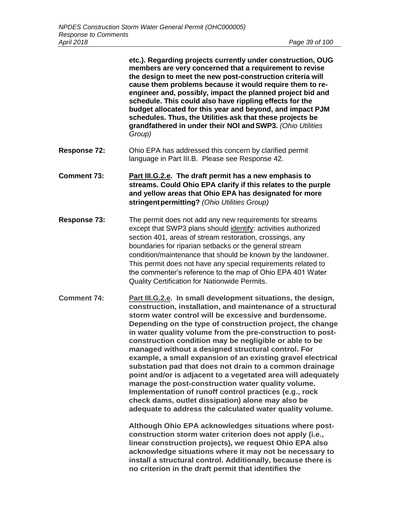**etc.). Regarding projects currently under construction, OUG members are very concerned that a requirement to revise the design to meet the new post-construction criteria will cause them problems because it would require them to reengineer and, possibly, impact the planned project bid and schedule. This could also have rippling effects for the budget allocated for this year and beyond, and impact PJM schedules. Thus, the Utilities ask that these projects be grandfathered in under their NOI andSWP3.** *(Ohio Utilities Group)*

- **Response 72:** Ohio EPA has addressed this concern by clarified permit language in Part III.B. Please see Response 42.
- **Comment 73: Part III.G.2.e. The draft permit has a new emphasis to streams. Could Ohio EPA clarify if this relates to the purple and yellow areas that Ohio EPA has designated for more stringentpermitting?** *(Ohio Utilities Group)*
- **Response 73:** The permit does not add any new requirements for streams except that SWP3 plans should identify: activities authorized section 401, areas of stream restoration, crossings, any boundaries for riparian setbacks or the general stream condition/maintenance that should be known by the landowner. This permit does not have any special requirements related to the commenter's reference to the map of Ohio EPA 401 Water Quality Certification for Nationwide Permits.
- **Comment 74: Part III.G.2.e. In small development situations, the design, construction, installation, and maintenance of a structural storm water control will be excessive and burdensome. Depending on the type of construction project, the change in water quality volume from the pre-construction to postconstruction condition may be negligible or able to be managed without a designed structural control. For example, a small expansion of an existing gravel electrical substation pad that does not drain to a common drainage point and/or is adjacent to a vegetated area will adequately manage the post-construction water quality volume. Implementation of runoff control practices (e.g., rock check dams, outlet dissipation) alone may also be adequate to address the calculated water quality volume.**

**Although Ohio EPA acknowledges situations where postconstruction storm water criterion does not apply (i.e., linear construction projects), we request Ohio EPA also acknowledge situations where it may not be necessary to install a structural control. Additionally, because there is no criterion in the draft permit that identifies the**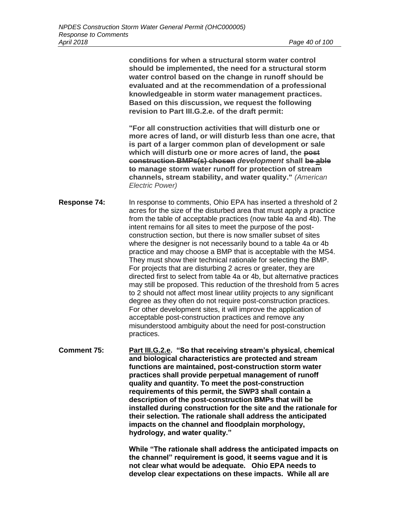**conditions for when a structural storm water control should be implemented, the need for a structural storm water control based on the change in runoff should be evaluated and at the recommendation of a professional knowledgeable in storm water management practices. Based on this discussion, we request the following revision to Part III.G.2.e. of the draft permit:**

**"For all construction activities that will disturb one or more acres of land, or will disturb less than one acre, that is part of a larger common plan of development or sale which will disturb one or more acres of land, the post construction BMPs(s) chosen** *development* **shall be able to manage storm water runoff for protection of stream channels, stream stability, and water quality."** *(American Electric Power)*

**Response 74:** In response to comments, Ohio EPA has inserted a threshold of 2 acres for the size of the disturbed area that must apply a practice from the table of acceptable practices (now table 4a and 4b). The intent remains for all sites to meet the purpose of the postconstruction section, but there is now smaller subset of sites where the designer is not necessarily bound to a table 4a or 4b practice and may choose a BMP that is acceptable with the MS4. They must show their technical rationale for selecting the BMP. For projects that are disturbing 2 acres or greater, they are directed first to select from table 4a or 4b, but alternative practices may still be proposed. This reduction of the threshold from 5 acres to 2 should not affect most linear utility projects to any significant degree as they often do not require post-construction practices. For other development sites, it will improve the application of acceptable post-construction practices and remove any misunderstood ambiguity about the need for post-construction practices.

**Comment 75: Part III.G.2.e. "So that receiving stream's physical, chemical and biological characteristics are protected and stream functions are maintained, post-construction storm water practices shall provide perpetual management of runoff quality and quantity. To meet the post-construction requirements of this permit, the SWP3 shall contain a description of the post-construction BMPs that will be installed during construction for the site and the rationale for their selection. The rationale shall address the anticipated impacts on the channel and floodplain morphology, hydrology, and water quality."**

> **While "The rationale shall address the anticipated impacts on the channel" requirement is good, it seems vague and it is not clear what would be adequate. Ohio EPA needs to develop clear expectations on these impacts. While all are**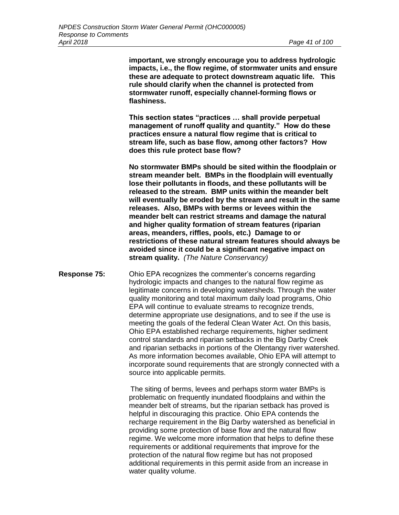**important, we strongly encourage you to address hydrologic impacts, i.e., the flow regime, of stormwater units and ensure these are adequate to protect downstream aquatic life. This rule should clarify when the channel is protected from stormwater runoff, especially channel-forming flows or flashiness.**

**This section states "practices … shall provide perpetual management of runoff quality and quantity." How do these practices ensure a natural flow regime that is critical to stream life, such as base flow, among other factors? How does this rule protect base flow?**

**No stormwater BMPs should be sited within the floodplain or stream meander belt. BMPs in the floodplain will eventually lose their pollutants in floods, and these pollutants will be released to the stream. BMP units within the meander belt will eventually be eroded by the stream and result in the same releases. Also, BMPs with berms or levees within the meander belt can restrict streams and damage the natural and higher quality formation of stream features (riparian areas, meanders, riffles, pools, etc.) Damage to or restrictions of these natural stream features should always be avoided since it could be a significant negative impact on stream quality.** *(The Nature Conservancy)*

**Response 75:** Ohio EPA recognizes the commenter's concerns regarding hydrologic impacts and changes to the natural flow regime as legitimate concerns in developing watersheds. Through the water quality monitoring and total maximum daily load programs, Ohio EPA will continue to evaluate streams to recognize trends, determine appropriate use designations, and to see if the use is meeting the goals of the federal Clean Water Act. On this basis, Ohio EPA established recharge requirements, higher sediment control standards and riparian setbacks in the Big Darby Creek and riparian setbacks in portions of the Olentangy river watershed. As more information becomes available, Ohio EPA will attempt to incorporate sound requirements that are strongly connected with a source into applicable permits.

> The siting of berms, levees and perhaps storm water BMPs is problematic on frequently inundated floodplains and within the meander belt of streams, but the riparian setback has proved is helpful in discouraging this practice. Ohio EPA contends the recharge requirement in the Big Darby watershed as beneficial in providing some protection of base flow and the natural flow regime. We welcome more information that helps to define these requirements or additional requirements that improve for the protection of the natural flow regime but has not proposed additional requirements in this permit aside from an increase in water quality volume.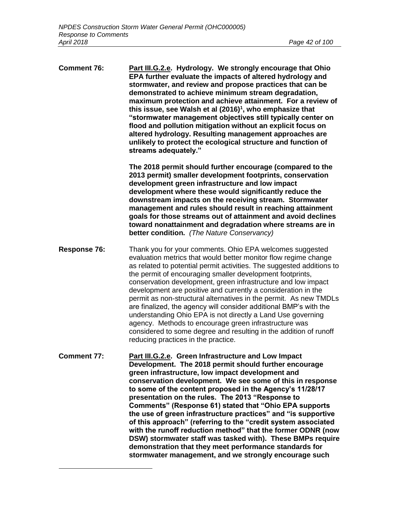$\overline{a}$ 

**Comment 76: Part III.G.2.e. Hydrology. We strongly encourage that Ohio EPA further evaluate the impacts of altered hydrology and stormwater, and review and propose practices that can be demonstrated to achieve minimum stream degradation, maximum protection and achieve attainment. For a review of this issue, see Walsh et al (2016)<sup>1</sup> , who emphasize that "stormwater management objectives still typically center on flood and pollution mitigation without an explicit focus on altered hydrology. Resulting management approaches are unlikely to protect the ecological structure and function of streams adequately." The 2018 permit should further encourage (compared to the 2013 permit) smaller development footprints, conservation development green infrastructure and low impact development where these would significantly reduce the downstream impacts on the receiving stream. Stormwater management and rules should result in reaching attainment goals for those streams out of attainment and avoid declines toward nonattainment and degradation where streams are in better condition.** *(The Nature Conservancy)*  **Response 76:** Thank you for your comments. Ohio EPA welcomes suggested evaluation metrics that would better monitor flow regime change as related to potential permit activities. The suggested additions to the permit of encouraging smaller development footprints, conservation development, green infrastructure and low impact development are positive and currently a consideration in the permit as non-structural alternatives in the permit. As new TMDLs are finalized, the agency will consider additional BMP's with the understanding Ohio EPA is not directly a Land Use governing agency. Methods to encourage green infrastructure was considered to some degree and resulting in the addition of runoff reducing practices in the practice. **Comment 77: Part III.G.2.e. Green Infrastructure and Low Impact Development. The 2018 permit should further encourage green infrastructure, low impact development and conservation development. We see some of this in response to some of the content proposed in the Agency's 11/28/17 presentation on the rules. The 2013 "Response to Comments" (Response 61) stated that "Ohio EPA supports the use of green infrastructure practices" and "is supportive of this approach" (referring to the "credit system associated with the runoff reduction method" that the former ODNR (now DSW) stormwater staff was tasked with). These BMPs require demonstration that they meet performance standards for stormwater management, and we strongly encourage such**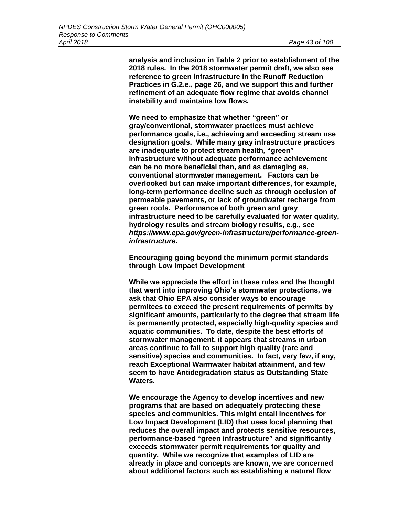**analysis and inclusion in Table 2 prior to establishment of the 2018 rules. In the 2018 stormwater permit draft, we also see reference to green infrastructure in the Runoff Reduction Practices in G.2.e., page 26, and we support this and further refinement of an adequate flow regime that avoids channel instability and maintains low flows.**

**We need to emphasize that whether "green" or gray/conventional, stormwater practices must achieve performance goals, i.e., achieving and exceeding stream use designation goals. While many gray infrastructure practices are inadequate to protect stream health, "green" infrastructure without adequate performance achievement can be no more beneficial than, and as damaging as, conventional stormwater management. Factors can be overlooked but can make important differences, for example, long-term performance decline such as through occlusion of permeable pavements, or lack of groundwater recharge from green roofs. Performance of both green and gray infrastructure need to be carefully evaluated for water quality, hydrology results and stream biology results, e.g., see**  *https://www.epa.gov/green-infrastructure/performance-greeninfrastructure***.** 

**Encouraging going beyond the minimum permit standards through Low Impact Development**

**While we appreciate the effort in these rules and the thought that went into improving Ohio's stormwater protections, we ask that Ohio EPA also consider ways to encourage permitees to exceed the present requirements of permits by significant amounts, particularly to the degree that stream life is permanently protected, especially high-quality species and aquatic communities. To date, despite the best efforts of stormwater management, it appears that streams in urban areas continue to fail to support high quality (rare and sensitive) species and communities. In fact, very few, if any, reach Exceptional Warmwater habitat attainment, and few seem to have Antidegradation status as Outstanding State Waters.** 

**We encourage the Agency to develop incentives and new programs that are based on adequately protecting these species and communities. This might entail incentives for Low Impact Development (LID) that uses local planning that reduces the overall impact and protects sensitive resources, performance-based "green infrastructure" and significantly exceeds stormwater permit requirements for quality and quantity. While we recognize that examples of LID are already in place and concepts are known, we are concerned about additional factors such as establishing a natural flow**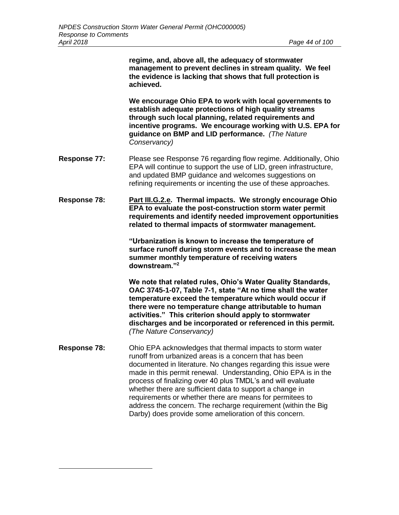**regime, and, above all, the adequacy of stormwater management to prevent declines in stream quality. We feel the evidence is lacking that shows that full protection is achieved.** 

**We encourage Ohio EPA to work with local governments to establish adequate protections of high quality streams through such local planning, related requirements and incentive programs. We encourage working with U.S. EPA for guidance on BMP and LID performance.** *(The Nature Conservancy)* 

- **Response 77:** Please see Response 76 regarding flow regime. Additionally, Ohio EPA will continue to support the use of LID, green infrastructure, and updated BMP guidance and welcomes suggestions on refining requirements or incenting the use of these approaches.
- **Response 78: Part III.G.2.e. Thermal impacts. We strongly encourage Ohio EPA to evaluate the post-construction storm water permit requirements and identify needed improvement opportunities related to thermal impacts of stormwater management.**

**"Urbanization is known to increase the temperature of surface runoff during storm events and to increase the mean summer monthly temperature of receiving waters downstream."<sup>2</sup>** 

**We note that related rules, Ohio's Water Quality Standards, OAC 3745-1-07, Table 7-1, state "At no time shall the water temperature exceed the temperature which would occur if there were no temperature change attributable to human activities." This criterion should apply to stormwater discharges and be incorporated or referenced in this permit.**  *(The Nature Conservancy)*

**Response 78:** Ohio EPA acknowledges that thermal impacts to storm water runoff from urbanized areas is a concern that has been documented in literature. No changes regarding this issue were made in this permit renewal. Understanding, Ohio EPA is in the process of finalizing over 40 plus TMDL's and will evaluate whether there are sufficient data to support a change in requirements or whether there are means for permitees to address the concern. The recharge requirement (within the Big Darby) does provide some amelioration of this concern.

 $\overline{a}$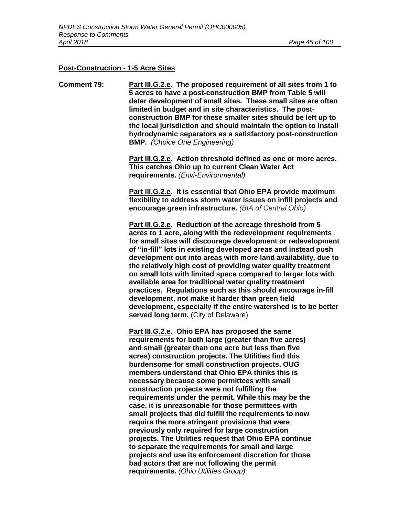#### **Post-Construction - 1-5 Acre Sites**

**Comment 79: Part III.G.2.e. The proposed requirement of all sites from 1 to 5 acres to have a post-construction BMP from Table 5 will deter development of small sites. These small sites are often limited in budget and in site characteristics. The postconstruction BMP for these smaller sites should be left up to the local jurisdiction and should maintain the option to install hydrodynamic separators as a satisfactory post-construction BMP.** *(Choice One Engineering)*

> **Part III.G.2.e. Action threshold defined as one or more acres. This catches Ohio up to current Clean Water Act requirements.** *(Envi-Environmental)*

> **Part III.G.2.e. It is essential that Ohio EPA provide maximum flexibility to address storm water issues on infill projects and encourage green infrastructure.** *(BIA of Central Ohio)*

**Part III.G.2.e. Reduction of the acreage threshold from 5 acres to 1 acre, along with the redevelopment requirements for small sites will discourage development or redevelopment of "in-fill" lots in existing developed areas and instead push development out into areas with more land availability, due to the relatively high cost of providing water quality treatment on small lots with limited space compared to larger lots with available area for traditional water quality treatment practices. Regulations such as this should encourage in-fill development, not make it harder than green field development, especially if the entire watershed is to be better served long term.** (City of Delaware)

**Part III.G.2.e. Ohio EPA has proposed the same requirements for both large (greater than five acres) and small (greater than one acre but less than five acres) construction projects. The Utilities find this burdensome for small construction projects. OUG members understand that Ohio EPA thinks this is necessary because some permittees with small construction projects were not fulfilling the requirements under the permit. While this may be the case, it is unreasonable for those permittees with small projects that did fulfill the requirements to now require the more stringent provisions that were previously only required for large construction projects. The Utilities request that Ohio EPA continue to separate the requirements for small and large projects and use its enforcement discretion for those bad actors that are not following the permit requirements.** *(Ohio Utilities Group)*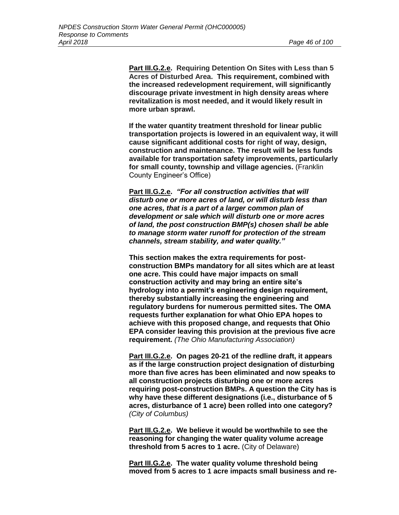**Part III.G.2.e. Requiring Detention On Sites with Less than 5 Acres of Disturbed Area. This requirement, combined with the increased redevelopment requirement, will significantly discourage private investment in high density areas where revitalization is most needed, and it would likely result in more urban sprawl.**

**If the water quantity treatment threshold for linear public transportation projects is lowered in an equivalent way, it will cause significant additional costs for right of way, design, construction and maintenance. The result will be less funds available for transportation safety improvements, particularly for small county, township and village agencies.** (Franklin County Engineer's Office)

**Part III.G.2.e.** *"For all construction activities that will disturb one or more acres of land, or will disturb less than one acres, that is a part of a larger common plan of development or sale which will disturb one or more acres of land, the post construction BMP(s) chosen shall be able to manage storm water runoff for protection of the stream channels, stream stability, and water quality."*

**This section makes the extra requirements for postconstruction BMPs mandatory for all sites which are at least one acre. This could have major impacts on small construction activity and may bring an entire site's hydrology into a permit's engineering design requirement, thereby substantially increasing the engineering and regulatory burdens for numerous permitted sites. The OMA requests further explanation for what Ohio EPA hopes to achieve with this proposed change, and requests that Ohio EPA consider leaving this provision at the previous five acre requirement.** *(The Ohio Manufacturing Association)*

**Part III.G.2.e. On pages 20-21 of the redline draft, it appears as if the large construction project designation of disturbing more than five acres has been eliminated and now speaks to all construction projects disturbing one or more acres requiring post-construction BMPs. A question the City has is why have these different designations (i.e., disturbance of 5 acres, disturbance of 1 acre) been rolled into one category?**  *(City of Columbus)*

**Part III.G.2.e. We believe it would be worthwhile to see the reasoning for changing the water quality volume acreage threshold from 5 acres to 1 acre.** (City of Delaware)

**Part III.G.2.e. The water quality volume threshold being moved from 5 acres to 1 acre impacts small business and re-**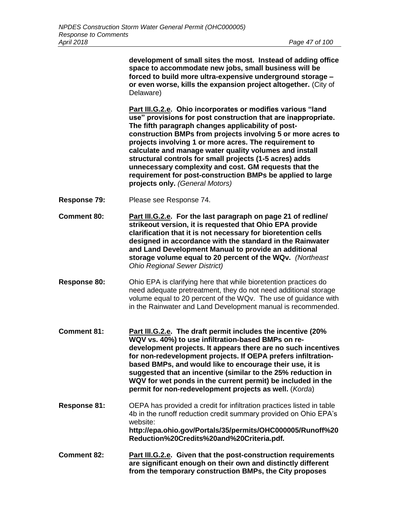**development of small sites the most. Instead of adding office space to accommodate new jobs, small business will be forced to build more ultra-expensive underground storage – or even worse, kills the expansion project altogether.** (City of Delaware)

**Part III.G.2.e. Ohio incorporates or modifies various "land use" provisions for post construction that are inappropriate. The fifth paragraph changes applicability of postconstruction BMPs from projects involving 5 or more acres to projects involving 1 or more acres. The requirement to calculate and manage water quality volumes and install structural controls for small projects (1-5 acres) adds unnecessary complexity and cost. GM requests that the requirement for post-construction BMPs be applied to large projects only.** *(General Motors)*

- **Response 79:** Please see Response 74.
- **Comment 80: Part III.G.2.e. For the last paragraph on page 21 of redline/ strikeout version, it is requested that Ohio EPA provide clarification that it is not necessary for bioretention cells designed in accordance with the standard in the Rainwater and Land Development Manual to provide an additional storage volume equal to 20 percent of the WQv.** *(Northeast Ohio Regional Sewer District)*
- **Response 80:** Ohio EPA is clarifying here that while bioretention practices do need adequate pretreatment, they do not need additional storage volume equal to 20 percent of the WQv. The use of guidance with in the Rainwater and Land Development manual is recommended.
- **Comment 81: Part III.G.2.e. The draft permit includes the incentive (20% WQV vs. 40%) to use infiltration-based BMPs on redevelopment projects. It appears there are no such incentives for non-redevelopment projects. If OEPA prefers infiltrationbased BMPs, and would like to encourage their use, it is suggested that an incentive (similar to the 25% reduction in WQV for wet ponds in the current permit) be included in the permit for non-redevelopment projects as well.** (*Korda*)
- **Response 81:** OEPA has provided a credit for infiltration practices listed in table 4b in the runoff reduction credit summary provided on Ohio EPA's website: **http://epa.ohio.gov/Portals/35/permits/OHC000005/Runoff%20 Reduction%20Credits%20and%20Criteria.pdf***.*
- **Comment 82: Part III.G.2.e. Given that the post-construction requirements are significant enough on their own and distinctly different from the temporary construction BMPs, the City proposes**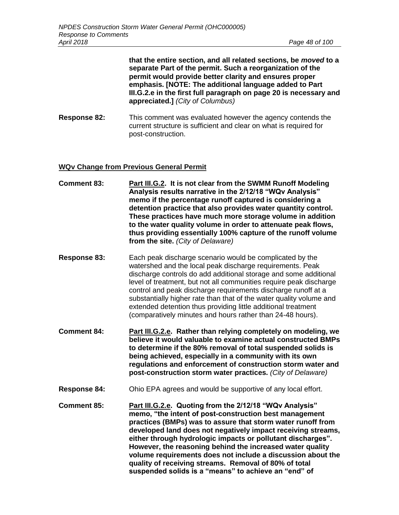**that the entire section, and all related sections, be** *moved* **to a separate Part of the permit. Such a reorganization of the permit would provide better clarity and ensures proper emphasis. [NOTE: The additional language added to Part III.G.2.e in the first full paragraph on page 20 is necessary and appreciated.]** *(City of Columbus)*

**Response 82:** This comment was evaluated however the agency contends the current structure is sufficient and clear on what is required for post-construction.

## **WQv Change from Previous General Permit**

- **Comment 83: Part III.G.2. It is not clear from the SWMM Runoff Modeling Analysis results narrative in the 2/12/18 "WQv Analysis" memo if the percentage runoff captured is considering a detention practice that also provides water quantity control. These practices have much more storage volume in addition to the water quality volume in order to attenuate peak flows, thus providing essentially 100% capture of the runoff volume from the site.** *(City of Delaware)*
- **Response 83:** Each peak discharge scenario would be complicated by the watershed and the local peak discharge requirements. Peak discharge controls do add additional storage and some additional level of treatment, but not all communities require peak discharge control and peak discharge requirements discharge runoff at a substantially higher rate than that of the water quality volume and extended detention thus providing little additional treatment (comparatively minutes and hours rather than 24-48 hours).
- **Comment 84: Part III.G.2.e. Rather than relying completely on modeling, we believe it would valuable to examine actual constructed BMPs to determine if the 80% removal of total suspended solids is being achieved, especially in a community with its own regulations and enforcement of construction storm water and post-construction storm water practices.** *(City of Delaware)*
- **Response 84:** Ohio EPA agrees and would be supportive of any local effort.
- **Comment 85: Part III.G.2.e. Quoting from the 2/12/18 "WQv Analysis" memo, "the intent of post-construction best management practices (BMPs) was to assure that storm water runoff from developed land does not negatively impact receiving streams, either through hydrologic impacts or pollutant discharges". However, the reasoning behind the increased water quality volume requirements does not include a discussion about the quality of receiving streams. Removal of 80% of total suspended solids is a "means" to achieve an "end" of**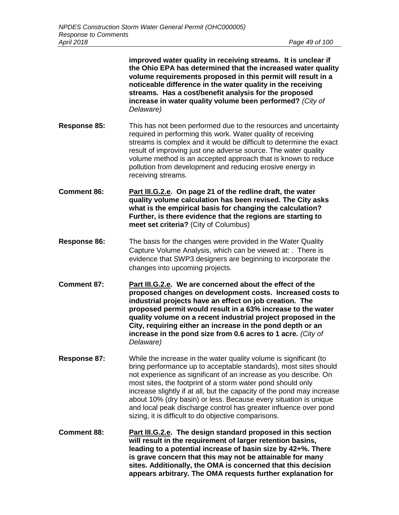|                     | improved water quality in receiving streams. It is unclear if<br>the Ohio EPA has determined that the increased water quality<br>volume requirements proposed in this permit will result in a<br>noticeable difference in the water quality in the receiving<br>streams. Has a cost/benefit analysis for the proposed<br>increase in water quality volume been performed? (City of<br>Delaware)                                                                                                                                                    |
|---------------------|----------------------------------------------------------------------------------------------------------------------------------------------------------------------------------------------------------------------------------------------------------------------------------------------------------------------------------------------------------------------------------------------------------------------------------------------------------------------------------------------------------------------------------------------------|
| Response 85:        | This has not been performed due to the resources and uncertainty<br>required in performing this work. Water quality of receiving<br>streams is complex and it would be difficult to determine the exact<br>result of improving just one adverse source. The water quality<br>volume method is an accepted approach that is known to reduce<br>pollution from development and reducing erosive energy in<br>receiving streams.                                                                                                                      |
| <b>Comment 86:</b>  | Part III.G.2.e. On page 21 of the redline draft, the water<br>quality volume calculation has been revised. The City asks<br>what is the empirical basis for changing the calculation?<br>Further, is there evidence that the regions are starting to<br>meet set criteria? (City of Columbus)                                                                                                                                                                                                                                                      |
| <b>Response 86:</b> | The basis for the changes were provided in the Water Quality<br>Capture Volume Analysis, which can be viewed at: . There is<br>evidence that SWP3 designers are beginning to incorporate the<br>changes into upcoming projects.                                                                                                                                                                                                                                                                                                                    |
| <b>Comment 87:</b>  | Part III.G.2.e. We are concerned about the effect of the<br>proposed changes on development costs. Increased costs to<br>industrial projects have an effect on job creation. The<br>proposed permit would result in a 63% increase to the water<br>quality volume on a recent industrial project proposed in the<br>City, requiring either an increase in the pond depth or an<br>increase in the pond size from 0.6 acres to 1 acre. (City of<br>Delaware)                                                                                        |
| <b>Response 87:</b> | While the increase in the water quality volume is significant (to<br>bring performance up to acceptable standards), most sites should<br>not experience as significant of an increase as you describe. On<br>most sites, the footprint of a storm water pond should only<br>increase slightly if at all, but the capacity of the pond may increase<br>about 10% (dry basin) or less. Because every situation is unique<br>and local peak discharge control has greater influence over pond<br>sizing, it is difficult to do objective comparisons. |
| <b>Comment 88:</b>  | Part III.G.2.e. The design standard proposed in this section<br>will result in the requirement of larger retention basins,<br>leading to a potential increase of basin size by 42+%. There<br>is grave concern that this may not be attainable for many                                                                                                                                                                                                                                                                                            |

**sites. Additionally, the OMA is concerned that this decision appears arbitrary. The OMA requests further explanation for**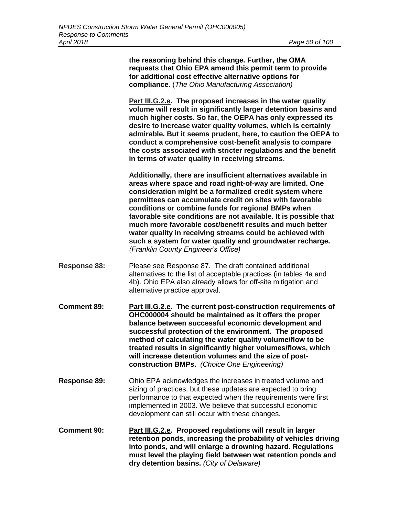**the reasoning behind this change. Further, the OMA requests that Ohio EPA amend this permit term to provide for additional cost effective alternative options for compliance.** (*The Ohio Manufacturing Association)*

**Part III.G.2.e. The proposed increases in the water quality volume will result in significantly larger detention basins and much higher costs. So far, the OEPA has only expressed its desire to increase water quality volumes, which is certainly admirable. But it seems prudent, here, to caution the OEPA to conduct a comprehensive cost-benefit analysis to compare the costs associated with stricter regulations and the benefit in terms of water quality in receiving streams.**

**Additionally, there are insufficient alternatives available in areas where space and road right-of-way are limited. One consideration might be a formalized credit system where permittees can accumulate credit on sites with favorable conditions or combine funds for regional BMPs when favorable site conditions are not available. It is possible that much more favorable cost/benefit results and much better water quality in receiving streams could be achieved with such a system for water quality and groundwater recharge.**  *(Franklin County Engineer's Office)*

- **Response 88:** Please see Response 87. The draft contained additional alternatives to the list of acceptable practices (in tables 4a and 4b). Ohio EPA also already allows for off-site mitigation and alternative practice approval.
- **Comment 89: Part III.G.2.e. The current post-construction requirements of OHC000004 should be maintained as it offers the proper balance between successful economic development and successful protection of the environment. The proposed method of calculating the water quality volume/flow to be treated results in significantly higher volumes/flows, which will increase detention volumes and the size of postconstruction BMPs.** *(Choice One Engineering)*
- **Response 89:** Ohio EPA acknowledges the increases in treated volume and sizing of practices, but these updates are expected to bring performance to that expected when the requirements were first implemented in 2003. We believe that successful economic development can still occur with these changes.
- **Comment 90: Part III.G.2.e. Proposed regulations will result in larger retention ponds, increasing the probability of vehicles driving into ponds, and will enlarge a drowning hazard. Regulations must level the playing field between wet retention ponds and dry detention basins.** *(City of Delaware)*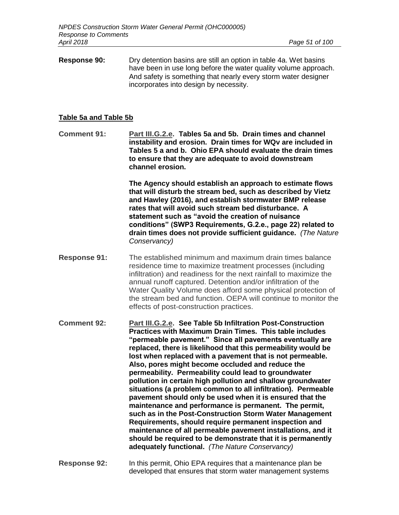**Response 90:** Dry detention basins are still an option in table 4a. Wet basins have been in use long before the water quality volume approach. And safety is something that nearly every storm water designer incorporates into design by necessity.

## **Table 5a and Table 5b**

**Comment 91: Part III.G.2.e. Tables 5a and 5b. Drain times and channel instability and erosion. Drain times for WQv are included in Tables 5 a and b. Ohio EPA should evaluate the drain times to ensure that they are adequate to avoid downstream channel erosion.** 

> **The Agency should establish an approach to estimate flows that will disturb the stream bed, such as described by Vietz and Hawley (2016), and establish stormwater BMP release rates that will avoid such stream bed disturbance. A statement such as "avoid the creation of nuisance conditions" (SWP3 Requirements, G.2.e., page 22) related to drain times does not provide sufficient guidance.** *(The Nature Conservancy)*

**Response 91:** The established minimum and maximum drain times balance residence time to maximize treatment processes (including infiltration) and readiness for the next rainfall to maximize the annual runoff captured. Detention and/or infiltration of the Water Quality Volume does afford some physical protection of the stream bed and function. OEPA will continue to monitor the effects of post-construction practices.

**Comment 92: Part III.G.2.e. See Table 5b Infiltration Post-Construction Practices with Maximum Drain Times. This table includes "permeable pavement." Since all pavements eventually are replaced, there is likelihood that this permeability would be lost when replaced with a pavement that is not permeable. Also, pores might become occluded and reduce the permeability. Permeability could lead to groundwater pollution in certain high pollution and shallow groundwater situations (a problem common to all infiltration). Permeable pavement should only be used when it is ensured that the maintenance and performance is permanent. The permit, such as in the Post-Construction Storm Water Management Requirements, should require permanent inspection and maintenance of all permeable pavement installations, and it should be required to be demonstrate that it is permanently adequately functional.** *(The Nature Conservancy)*

**Response 92:** In this permit, Ohio EPA requires that a maintenance plan be developed that ensures that storm water management systems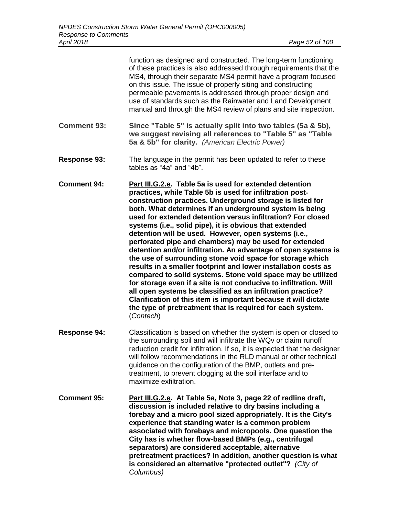|                     | function as designed and constructed. The long-term functioning<br>of these practices is also addressed through requirements that the<br>MS4, through their separate MS4 permit have a program focused<br>on this issue. The issue of properly siting and constructing<br>permeable pavements is addressed through proper design and<br>use of standards such as the Rainwater and Land Development<br>manual and through the MS4 review of plans and site inspection.                                                                                                                                                                                                                                                                                                                                                                                                                                                                                                                                                                    |  |
|---------------------|-------------------------------------------------------------------------------------------------------------------------------------------------------------------------------------------------------------------------------------------------------------------------------------------------------------------------------------------------------------------------------------------------------------------------------------------------------------------------------------------------------------------------------------------------------------------------------------------------------------------------------------------------------------------------------------------------------------------------------------------------------------------------------------------------------------------------------------------------------------------------------------------------------------------------------------------------------------------------------------------------------------------------------------------|--|
| <b>Comment 93:</b>  | Since "Table 5" is actually split into two tables (5a & 5b),<br>we suggest revising all references to "Table 5" as "Table<br>5a & 5b" for clarity. (American Electric Power)                                                                                                                                                                                                                                                                                                                                                                                                                                                                                                                                                                                                                                                                                                                                                                                                                                                              |  |
| <b>Response 93:</b> | The language in the permit has been updated to refer to these<br>tables as "4a" and "4b".                                                                                                                                                                                                                                                                                                                                                                                                                                                                                                                                                                                                                                                                                                                                                                                                                                                                                                                                                 |  |
| <b>Comment 94:</b>  | Part III.G.2.e. Table 5a is used for extended detention<br>practices, while Table 5b is used for infiltration post-<br>construction practices. Underground storage is listed for<br>both. What determines if an underground system is being<br>used for extended detention versus infiltration? For closed<br>systems (i.e., solid pipe), it is obvious that extended<br>detention will be used. However, open systems (i.e.,<br>perforated pipe and chambers) may be used for extended<br>detention and/or infiltration. An advantage of open systems is<br>the use of surrounding stone void space for storage which<br>results in a smaller footprint and lower installation costs as<br>compared to solid systems. Stone void space may be utilized<br>for storage even if a site is not conducive to infiltration. Will<br>all open systems be classified as an infiltration practice?<br>Clarification of this item is important because it will dictate<br>the type of pretreatment that is required for each system.<br>(Contech) |  |
| <b>Response 94:</b> | Classification is based on whether the system is open or closed to<br>the surrounding soil and will infiltrate the WQv or claim runoff<br>reduction credit for infiltration. If so, it is expected that the designer<br>will follow recommendations in the RLD manual or other technical<br>guidance on the configuration of the BMP, outlets and pre-                                                                                                                                                                                                                                                                                                                                                                                                                                                                                                                                                                                                                                                                                    |  |

**Comment 95: Part III.G.2.e. At Table 5a, Note 3, page 22 of redline draft, discussion is included relative to dry basins including a forebay and a micro pool sized appropriately. It is the City's experience that standing water is a common problem associated with forebays and micropools. One question the City has is whether flow-based BMPs (e.g., centrifugal separators) are considered acceptable, alternative pretreatment practices? In addition, another question is what is considered an alternative "protected outlet"?** *(City of Columbus)*

maximize exfiltration.

treatment, to prevent clogging at the soil interface and to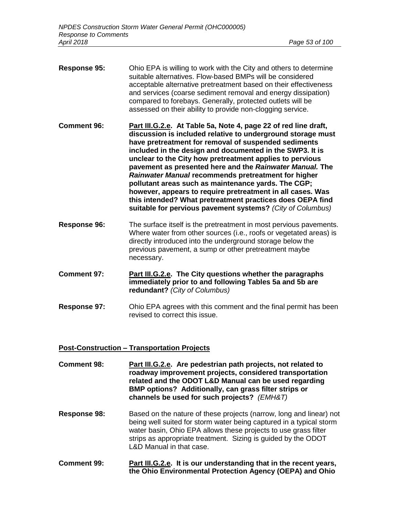- **Response 95:** Ohio EPA is willing to work with the City and others to determine suitable alternatives. Flow-based BMPs will be considered acceptable alternative pretreatment based on their effectiveness and services (coarse sediment removal and energy dissipation) compared to forebays. Generally, protected outlets will be assessed on their ability to provide non-clogging service.
- **Comment 96: Part III.G.2.e. At Table 5a, Note 4, page 22 of red line draft, discussion is included relative to underground storage must have pretreatment for removal of suspended sediments included in the design and documented in the SWP3. It is unclear to the City how pretreatment applies to pervious pavement as presented here and the** *Rainwater Manual.* **The**  *Rainwater Manual* **recommends pretreatment for higher pollutant areas such as maintenance yards. The CGP; however, appears to require pretreatment in all cases. Was this intended? What pretreatment practices does OEPA find suitable for pervious pavement systems?** *(City of Columbus)*
- **Response 96:** The surface itself is the pretreatment in most pervious pavements. Where water from other sources (i.e., roofs or vegetated areas) is directly introduced into the underground storage below the previous pavement, a sump or other pretreatment maybe necessary.
- **Comment 97: Part III.G.2.e. The City questions whether the paragraphs immediately prior to and following Tables 5a and 5b are redundant?** *(City of Columbus)*
- **Response 97:** Ohio EPA agrees with this comment and the final permit has been revised to correct this issue.

# **Post-Construction – Transportation Projects**

- **Comment 98: Part III.G.2.e. Are pedestrian path projects, not related to roadway improvement projects, considered transportation related and the ODOT L&D Manual can be used regarding BMP options? Additionally, can grass filter strips or channels be used for such projects?** *(EMH&T)*
- **Response 98:** Based on the nature of these projects (narrow, long and linear) not being well suited for storm water being captured in a typical storm water basin, Ohio EPA allows these projects to use grass filter strips as appropriate treatment. Sizing is guided by the ODOT L&D Manual in that case.
- **Comment 99: Part III.G.2.e. It is our understanding that in the recent years, the Ohio Environmental Protection Agency (OEPA) and Ohio**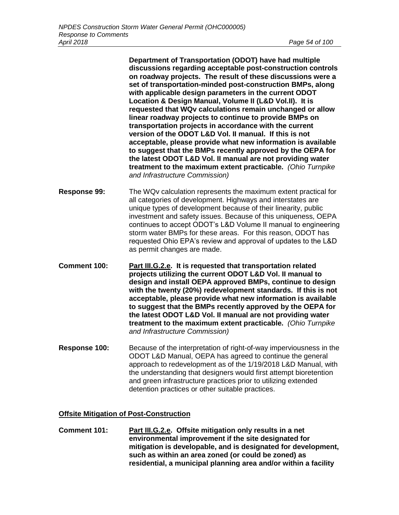**Department of Transportation (ODOT) have had multiple discussions regarding acceptable post-construction controls on roadway projects. The result of these discussions were a set of transportation-minded post-construction BMPs, along with applicable design parameters in the current ODOT Location & Design Manual, Volume II (L&D Vol.II). It is requested that WQv calculations remain unchanged or allow linear roadway projects to continue to provide BMPs on transportation projects in accordance with the current version of the ODOT L&D Vol. II manual. If this is not acceptable, please provide what new information is available to suggest that the BMPs recently approved by the OEPA for the latest ODOT L&D Vol. II manual are not providing water treatment to the maximum extent practicable.** *(Ohio Turnpike and Infrastructure Commission)*

- **Response 99:** The WQv calculation represents the maximum extent practical for all categories of development. Highways and interstates are unique types of development because of their linearity, public investment and safety issues. Because of this uniqueness, OEPA continues to accept ODOT's L&D Volume II manual to engineering storm water BMPs for these areas. For this reason, ODOT has requested Ohio EPA's review and approval of updates to the L&D as permit changes are made.
- **Comment 100: Part III.G.2.e. It is requested that transportation related projects utilizing the current ODOT L&D Vol. II manual to design and install OEPA approved BMPs, continue to design with the twenty (20%) redevelopment standards. If this is not acceptable, please provide what new information is available to suggest that the BMPs recently approved by the OEPA for the latest ODOT L&D Vol. II manual are not providing water treatment to the maximum extent practicable.** *(Ohio Turnpike and Infrastructure Commission)*
- **Response 100:** Because of the interpretation of right-of-way imperviousness in the ODOT L&D Manual, OEPA has agreed to continue the general approach to redevelopment as of the 1/19/2018 L&D Manual, with the understanding that designers would first attempt bioretention and green infrastructure practices prior to utilizing extended detention practices or other suitable practices.

## **Offsite Mitigation of Post-Construction**

**Comment 101: Part III.G.2.e. Offsite mitigation only results in a net environmental improvement if the site designated for mitigation is developable, and is designated for development, such as within an area zoned (or could be zoned) as residential, a municipal planning area and/or within a facility**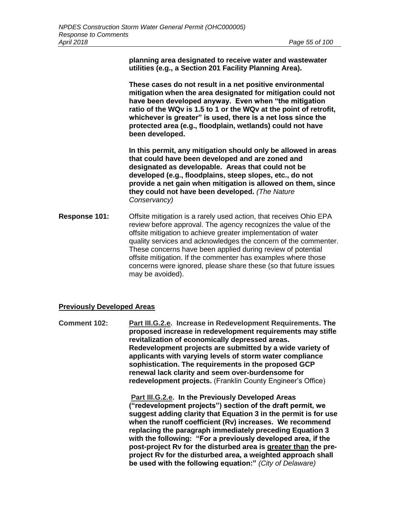**planning area designated to receive water and wastewater utilities (e.g., a Section 201 Facility Planning Area).** 

**These cases do not result in a net positive environmental mitigation when the area designated for mitigation could not have been developed anyway. Even when "the mitigation ratio of the WQv is 1.5 to 1 or the WQv at the point of retrofit, whichever is greater" is used, there is a net loss since the protected area (e.g., floodplain, wetlands) could not have been developed.**

**In this permit, any mitigation should only be allowed in areas that could have been developed and are zoned and designated as developable. Areas that could not be developed (e.g., floodplains, steep slopes, etc., do not provide a net gain when mitigation is allowed on them, since they could not have been developed.** *(The Nature Conservancy)*

**Response 101:** Offsite mitigation is a rarely used action, that receives Ohio EPA review before approval. The agency recognizes the value of the offsite mitigation to achieve greater implementation of water quality services and acknowledges the concern of the commenter. These concerns have been applied during review of potential offsite mitigation. If the commenter has examples where those concerns were ignored, please share these (so that future issues may be avoided).

#### **Previously Developed Areas**

**Comment 102: Part III.G.2.e. Increase in Redevelopment Requirements. The proposed increase in redevelopment requirements may stifle revitalization of economically depressed areas. Redevelopment projects are submitted by a wide variety of applicants with varying levels of storm water compliance sophistication. The requirements in the proposed GCP renewal lack clarity and seem over-burdensome for redevelopment projects.** (Franklin County Engineer's Office)

> **Part III.G.2.e. In the Previously Developed Areas ("redevelopment projects") section of the draft permit, we suggest adding clarity that Equation 3 in the permit is for use when the runoff coefficient (Rv) increases. We recommend replacing the paragraph immediately preceding Equation 3 with the following: "For a previously developed area, if the post-project Rv for the disturbed area is greater than the preproject Rv for the disturbed area, a weighted approach shall be used with the following equation:"** *(City of Delaware)*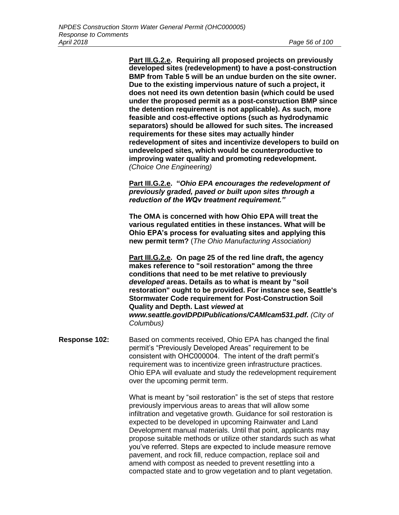**Part III.G.2.e. Requiring all proposed projects on previously developed sites (redevelopment) to have a post-construction BMP from Table 5 will be an undue burden on the site owner. Due to the existing impervious nature of such a project, it does not need its own detention basin (which could be used under the proposed permit as a post-construction BMP since the detention requirement is not applicable). As such, more feasible and cost-effective options (such as hydrodynamic separators) should be allowed for such sites. The increased requirements for these sites may actually hinder redevelopment of sites and incentivize developers to build on undeveloped sites, which would be counterproductive to improving water quality and promoting redevelopment.** *(Choice One Engineering)*

**Part III.G.2.e. "***Ohio EPA encourages the redevelopment of previously graded, paved or built upon sites through a reduction of the WQv treatment requirement."*

**The OMA is concerned with how Ohio EPA will treat the various regulated entities in these instances. What will be Ohio EPA's process for evaluating sites and applying this new permit term?** (*The Ohio Manufacturing Association)*

**Part III.G.2.e. On page 25 of the red line draft, the agency makes reference to "soil restoration" among the three conditions that need to be met relative to previously**  *developed* **areas. Details as to what is meant by "soil restoration" ought to be provided. For instance see, Seattle's Stormwater Code requirement for Post-Construction Soil Quality and Depth. Last** *viewed* **at**  *[www.seattle.govIDPDIPublications/CAMlcam531.pdf.](http://www.seattle.govidpdipublications/CAMlcam531.pdf) (City of Columbus)*

**Response 102:** Based on comments received, Ohio EPA has changed the final permit's "Previously Developed Areas" requirement to be consistent with OHC000004. The intent of the draft permit's requirement was to incentivize green infrastructure practices. Ohio EPA will evaluate and study the redevelopment requirement over the upcoming permit term.

> What is meant by "soil restoration" is the set of steps that restore previously impervious areas to areas that will allow some infiltration and vegetative growth. Guidance for soil restoration is expected to be developed in upcoming Rainwater and Land Development manual materials. Until that point, applicants may propose suitable methods or utilize other standards such as what you've referred. Steps are expected to include measure remove pavement, and rock fill, reduce compaction, replace soil and amend with compost as needed to prevent resettling into a compacted state and to grow vegetation and to plant vegetation.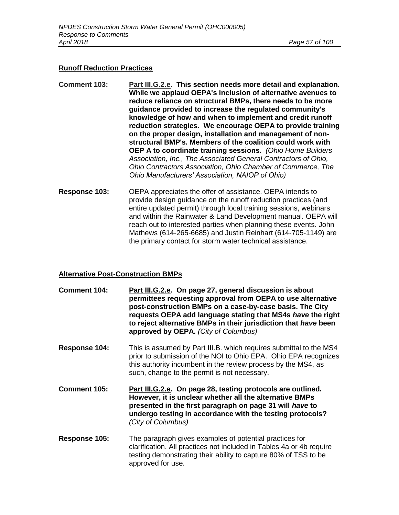#### **Runoff Reduction Practices**

- **Comment 103: Part III.G.2.e. This section needs more detail and explanation. While we applaud OEPA's inclusion of alternative avenues to reduce reliance on structural BMPs, there needs to be more guidance provided to increase the regulated community's knowledge of how and when to implement and credit runoff reduction strategies. We encourage OEPA to provide training on the proper design, installation and management of nonstructural BMP's. Members of the coalition could work with OEP A to coordinate training sessions.** *(Ohio Home Builders Association, Inc., The Associated General Contractors of Ohio, Ohio Contractors Association, Ohio Chamber of Commerce, The Ohio Manufacturers' Association, NAIOP of Ohio)*
- **Response 103:** OEPA appreciates the offer of assistance. OEPA intends to provide design guidance on the runoff reduction practices (and entire updated permit) through local training sessions, webinars and within the Rainwater & Land Development manual. OEPA will reach out to interested parties when planning these events. John Mathews (614-265-6685) and Justin Reinhart (614-705-1149) are the primary contact for storm water technical assistance.

## **Alternative Post-Construction BMPs**

- **Comment 104: Part III.G.2.e. On page 27, general discussion is about permittees requesting approval from OEPA to use alternative post-construction BMPs on a case-by-case basis. The City requests OEPA add language stating that MS4s** *have* **the right to reject alternative BMPs in their jurisdiction that** *have* **been approved by OEPA.** *(City of Columbus)*
- **Response 104:** This is assumed by Part III.B. which requires submittal to the MS4 prior to submission of the NOI to Ohio EPA. Ohio EPA recognizes this authority incumbent in the review process by the MS4, as such, change to the permit is not necessary.
- **Comment 105: Part III.G.2.e. On page 28, testing protocols are outlined. However, it is unclear whether all the alternative BMPs presented in the first paragraph on page 31 will** *have* **to undergo testing in accordance with the testing protocols?**  *(City of Columbus)*
- **Response 105:** The paragraph gives examples of potential practices for clarification. All practices not included in Tables 4a or 4b require testing demonstrating their ability to capture 80% of TSS to be approved for use.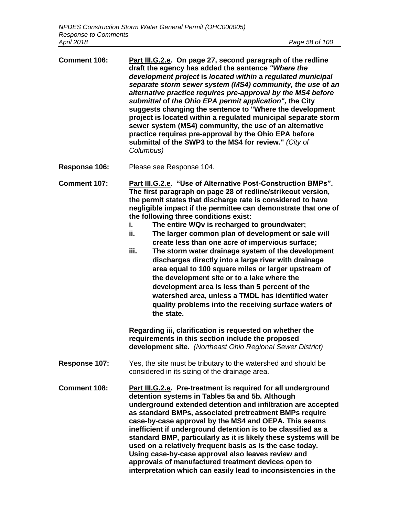| <b>Comment 106:</b> | Part III.G.2.e. On page 27, second paragraph of the redline<br>draft the agency has added the sentence "Where the<br>development project is located within a regulated municipal<br>separate storm sewer system (MS4) community, the use of an<br>alternative practice requires pre-approval by the MS4 before<br>submittal of the Ohio EPA permit application", the City<br>suggests changing the sentence to "Where the development"<br>project is located within a regulated municipal separate storm<br>sewer system (MS4) community, the use of an alternative<br>practice requires pre-approval by the Ohio EPA before<br>submittal of the SWP3 to the MS4 for review." (City of<br>Columbus) |
|---------------------|-----------------------------------------------------------------------------------------------------------------------------------------------------------------------------------------------------------------------------------------------------------------------------------------------------------------------------------------------------------------------------------------------------------------------------------------------------------------------------------------------------------------------------------------------------------------------------------------------------------------------------------------------------------------------------------------------------|
|                     |                                                                                                                                                                                                                                                                                                                                                                                                                                                                                                                                                                                                                                                                                                     |

**Response 106:** Please see Response 104.

**Comment 107: Part III.G.2.e. "Use of Alternative Post-Construction BMPs". The first paragraph on page 28 of redline/strikeout version, the permit states that discharge rate is considered to have negligible impact if the permittee can demonstrate that one of the following three conditions exist:**

- **i. The entire WQv is recharged to groundwater;**
- **ii. The larger common plan of development or sale will create less than one acre of impervious surface;**
- **iii. The storm water drainage system of the development discharges directly into a large river with drainage area equal to 100 square miles or larger upstream of the development site or to a lake where the development area is less than 5 percent of the watershed area, unless a TMDL has identified water quality problems into the receiving surface waters of the state.**

**Regarding iii, clarification is requested on whether the requirements in this section include the proposed development site.** *(Northeast Ohio Regional Sewer District)*

- **Response 107:** Yes, the site must be tributary to the watershed and should be considered in its sizing of the drainage area.
- **Comment 108: Part III.G.2.e. Pre-treatment is required for all underground detention systems in Tables 5a and 5b. Although underground extended detention and infiltration are accepted as standard BMPs, associated pretreatment BMPs require case-by-case approval by the MS4 and OEPA. This seems inefficient if underground detention is to be classified as a standard BMP, particularly as it is likely these systems will be used on a relatively frequent basis as is the case today. Using case-by-case approval also leaves review and approvals of manufactured treatment devices open to interpretation which can easily lead to inconsistencies in the**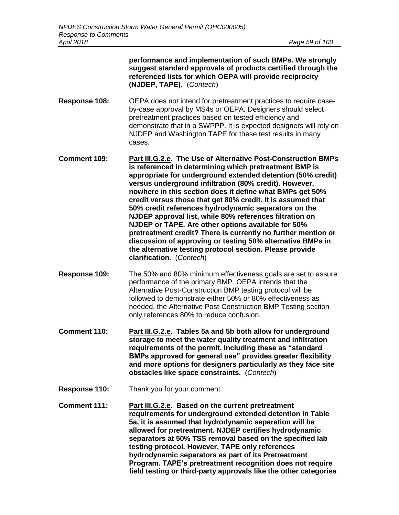|               | performance and implementation of such BMPs. We strongly<br>suggest standard approvals of products certified through the<br>referenced lists for which OEPA will provide reciprocity<br>(NJDEP, TAPE). (Contech)                                                                                                                                                                                                                                                                                                                                                                                                                                                                                                                                                            |
|---------------|-----------------------------------------------------------------------------------------------------------------------------------------------------------------------------------------------------------------------------------------------------------------------------------------------------------------------------------------------------------------------------------------------------------------------------------------------------------------------------------------------------------------------------------------------------------------------------------------------------------------------------------------------------------------------------------------------------------------------------------------------------------------------------|
| Response 108: | OEPA does not intend for pretreatment practices to require case-<br>by-case approval by MS4s or OEPA. Designers should select<br>pretreatment practices based on tested efficiency and<br>demonstrate that in a SWPPP. It is expected designers will rely on<br>NJDEP and Washington TAPE for these test results in many<br>cases.                                                                                                                                                                                                                                                                                                                                                                                                                                          |
| Comment 109:  | Part III.G.2.e. The Use of Alternative Post-Construction BMPs<br>is referenced in determining which pretreatment BMP is<br>appropriate for underground extended detention (50% credit)<br>versus underground infiltration (80% credit). However,<br>nowhere in this section does it define what BMPs get 50%<br>credit versus those that get 80% credit. It is assumed that<br>50% credit references hydrodynamic separators on the<br>NJDEP approval list, while 80% references filtration on<br>NJDEP or TAPE. Are other options available for 50%<br>pretreatment credit? There is currently no further mention or<br>discussion of approving or testing 50% alternative BMPs in<br>the alternative testing protocol section. Please provide<br>clarification. (Contech) |
| Response 109: | The 50% and 80% minimum effectiveness goals are set to assure<br>performance of the primary BMP. OEPA intends that the<br>Alternative Post-Construction BMP testing protocol will be<br>followed to demonstrate either 50% or 80% effectiveness as<br>needed. the Alternative Post-Construction BMP Testing section<br>only references 80% to reduce confusion.                                                                                                                                                                                                                                                                                                                                                                                                             |

- **Comment 110: Part III.G.2.e. Tables 5a and 5b both allow for underground storage to meet the water quality treatment and infiltration requirements of the permit. Including these as "standard BMPs approved for general use" provides greater flexibility and more options for designers particularly as they face site obstacles like space constraints.** (*Contech*)
- **Response 110:** Thank you for your comment.
- **Comment 111: Part III.G.2.e. Based on the current pretreatment requirements for underground extended detention in Table 5a, it is assumed that hydrodynamic separation will be allowed for pretreatment. NJDEP certifies hydrodynamic separators at 50% TSS removal based on the specified lab testing protocol. However, TAPE only references hydrodynamic separators as part of its Pretreatment Program. TAPE's pretreatment recognition does not require field testing or third-party approvals like the other categories**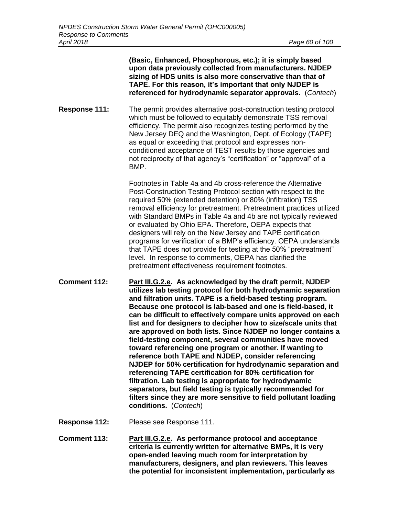**(Basic, Enhanced, Phosphorous, etc.); it is simply based upon data previously collected from manufacturers. NJDEP sizing of HDS units is also more conservative than that of TAPE. For this reason, it's important that only NJDEP is referenced for hydrodynamic separator approvals.** (*Contech*) **Response 111:** The permit provides alternative post-construction testing protocol which must be followed to equitably demonstrate TSS removal efficiency. The permit also recognizes testing performed by the New Jersey DEQ and the Washington, Dept. of Ecology (TAPE) as equal or exceeding that protocol and expresses nonconditioned acceptance of TEST results by those agencies and not reciprocity of that agency's "certification" or "approval" of a BMP. Footnotes in Table 4a and 4b cross-reference the Alternative

Post-Construction Testing Protocol section with respect to the required 50% (extended detention) or 80% (infiltration) TSS removal efficiency for pretreatment. Pretreatment practices utilized with Standard BMPs in Table 4a and 4b are not typically reviewed or evaluated by Ohio EPA. Therefore, OEPA expects that designers will rely on the New Jersey and TAPE certification programs for verification of a BMP's efficiency. OEPA understands that TAPE does not provide for testing at the 50% "pretreatment" level. In response to comments, OEPA has clarified the pretreatment effectiveness requirement footnotes.

- **Comment 112: Part III.G.2.e. As acknowledged by the draft permit, NJDEP utilizes lab testing protocol for both hydrodynamic separation and filtration units. TAPE is a field-based testing program. Because one protocol is lab-based and one is field-based, it can be difficult to effectively compare units approved on each list and for designers to decipher how to size/scale units that are approved on both lists. Since NJDEP no longer contains a field-testing component, several communities have moved toward referencing one program or another. If wanting to reference both TAPE and NJDEP, consider referencing NJDEP for 50% certification for hydrodynamic separation and referencing TAPE certification for 80% certification for filtration. Lab testing is appropriate for hydrodynamic separators, but field testing is typically recommended for filters since they are more sensitive to field pollutant loading conditions.** (*Contech*)
- **Response 112:** Please see Response 111.
- **Comment 113: Part III.G.2.e. As performance protocol and acceptance criteria is currently written for alternative BMPs, it is very open-ended leaving much room for interpretation by manufacturers, designers, and plan reviewers. This leaves the potential for inconsistent implementation, particularly as**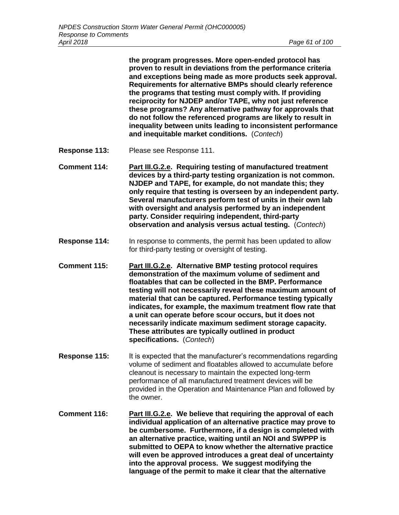**the program progresses. More open-ended protocol has proven to result in deviations from the performance criteria and exceptions being made as more products seek approval. Requirements for alternative BMPs should clearly reference the programs that testing must comply with. If providing reciprocity for NJDEP and/or TAPE, why not just reference these programs? Any alternative pathway for approvals that do not follow the referenced programs are likely to result in inequality between units leading to inconsistent performance and inequitable market conditions.** (*Contech*)

- **Response 113:** Please see Response 111.
- **Comment 114: Part III.G.2.e. Requiring testing of manufactured treatment devices by a third-party testing organization is not common. NJDEP and TAPE, for example, do not mandate this; they only require that testing is overseen by an independent party. Several manufacturers perform test of units in their own lab with oversight and analysis performed by an independent party. Consider requiring independent, third-party observation and analysis versus actual testing.** (*Contech*)
- **Response 114:** In response to comments, the permit has been updated to allow for third-party testing or oversight of testing.
- **Comment 115: Part III.G.2.e. Alternative BMP testing protocol requires demonstration of the maximum volume of sediment and floatables that can be collected in the BMP. Performance testing will not necessarily reveal these maximum amount of material that can be captured. Performance testing typically indicates, for example, the maximum treatment flow rate that a unit can operate before scour occurs, but it does not necessarily indicate maximum sediment storage capacity. These attributes are typically outlined in product specifications.** (*Contech*)
- **Response 115:** It is expected that the manufacturer's recommendations regarding volume of sediment and floatables allowed to accumulate before cleanout is necessary to maintain the expected long-term performance of all manufactured treatment devices will be provided in the Operation and Maintenance Plan and followed by the owner.
- **Comment 116: Part III.G.2.e. We believe that requiring the approval of each individual application of an alternative practice may prove to be cumbersome. Furthermore, if a design is completed with an alternative practice, waiting until an NOI and SWPPP is submitted to OEPA to know whether the alternative practice will even be approved introduces a great deal of uncertainty into the approval process. We suggest modifying the language of the permit to make it clear that the alternative**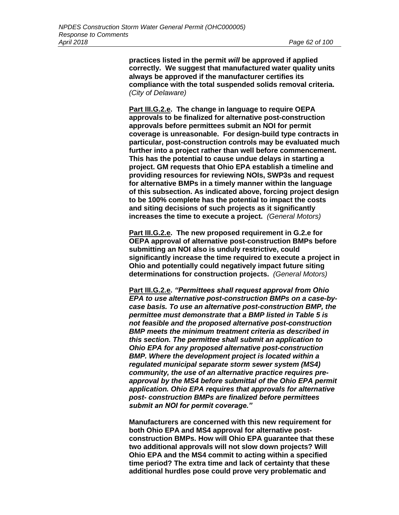**practices listed in the permit** *will* **be approved if applied correctly. We suggest that manufactured water quality units always be approved if the manufacturer certifies its compliance with the total suspended solids removal criteria.**  *(City of Delaware)*

**Part III.G.2.e. The change in language to require OEPA approvals to be finalized for alternative post-construction approvals before permittees submit an NOI for permit coverage is unreasonable. For design-build type contracts in particular, post-construction controls may be evaluated much further into a project rather than well before commencement. This has the potential to cause undue delays in starting a project. GM requests that Ohio EPA establish a timeline and providing resources for reviewing NOIs, SWP3s and request for alternative BMPs in a timely manner within the language of this subsection. As indicated above, forcing project design to be 100% complete has the potential to impact the costs and siting decisions of such projects as it significantly increases the time to execute a project.** *(General Motors)*

**Part III.G.2.e. The new proposed requirement in G.2.e for OEPA approval of alternative post-construction BMPs before submitting an NOI also is unduly restrictive, could significantly increase the time required to execute a project in Ohio and potentially could negatively impact future siting determinations for construction projects.** *(General Motors)*

**Part III.G.2.e.** *"Permittees shall request approval from Ohio EPA to use alternative post-construction BMPs on a case-bycase basis. To use an alternative post-construction BMP, the permittee must demonstrate that a BMP listed in Table 5 is not feasible and the proposed alternative post-construction BMP meets the minimum treatment criteria as described in this section. The permittee shall submit an application to Ohio EPA for any proposed alternative post-construction BMP. Where the development project is located within a regulated municipal separate storm sewer system (MS4) community, the use of an alternative practice requires preapproval by the MS4 before submittal of the Ohio EPA permit application. Ohio EPA requires that approvals for alternative post- construction BMPs are finalized before permittees submit an NOI for permit coverage."*

**Manufacturers are concerned with this new requirement for both Ohio EPA and MS4 approval for alternative postconstruction BMPs. How will Ohio EPA guarantee that these two additional approvals will not slow down projects? Will Ohio EPA and the MS4 commit to acting within a specified time period? The extra time and lack of certainty that these additional hurdles pose could prove very problematic and**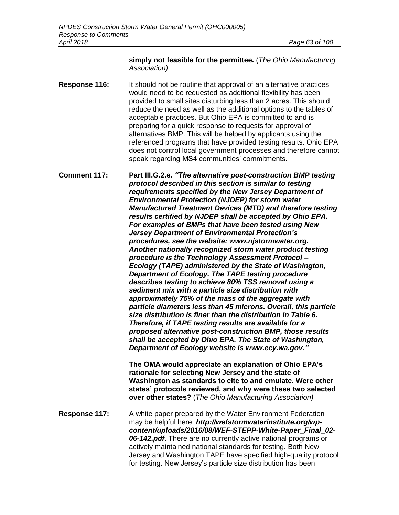#### **simply not feasible for the permittee.** (*The Ohio Manufacturing Association)*

**Response 116:** It should not be routine that approval of an alternative practices would need to be requested as additional flexibility has been provided to small sites disturbing less than 2 acres. This should reduce the need as well as the additional options to the tables of acceptable practices. But Ohio EPA is committed to and is preparing for a quick response to requests for approval of alternatives BMP. This will be helped by applicants using the referenced programs that have provided testing results. Ohio EPA does not control local government processes and therefore cannot speak regarding MS4 communities' commitments.

**Comment 117: Part III.G.2.e.** *"The alternative post-construction BMP testing protocol described in this section is similar to testing requirements specified by the New Jersey Department of Environmental Protection (NJDEP) for storm water Manufactured Treatment Devices (MTD) and therefore testing results certified by NJDEP shall be accepted by Ohio EPA. For examples of BMPs that have been tested using New Jersey Department of Environmental Protection's procedures, see the website: [www.njstormwater.org.](http://www.njstormwater.org/) Another nationally recognized storm water product testing procedure is the Technology Assessment Protocol – Ecology (TAPE) administered by the State of Washington, Department of Ecology. The TAPE testing procedure describes testing to achieve 80% TSS removal using a sediment mix with a particle size distribution with approximately 75% of the mass of the aggregate with particle diameters less than 45 microns. Overall, this particle size distribution is finer than the distribution in Table 6. Therefore, if TAPE testing results are available for a proposed alternative post-construction BMP, those results shall be accepted by Ohio EPA. The State of Washington, Department of Ecology website is www.ecy.wa.gov."*

> **The OMA would appreciate an explanation of Ohio EPA's rationale for selecting New Jersey and the state of Washington as standards to cite to and emulate. Were other states' protocols reviewed, and why were these two selected over other states?** (*The Ohio Manufacturing Association)*

**Response 117:** A white paper prepared by the Water Environment Federation may be helpful here: *http://wefstormwaterinstitute.org/wpcontent/uploads/2016/08/WEF-STEPP-White-Paper\_Final\_02- 06-142.pdf*. There are no currently active national programs or actively maintained national standards for testing. Both New Jersey and Washington TAPE have specified high-quality protocol for testing. New Jersey's particle size distribution has been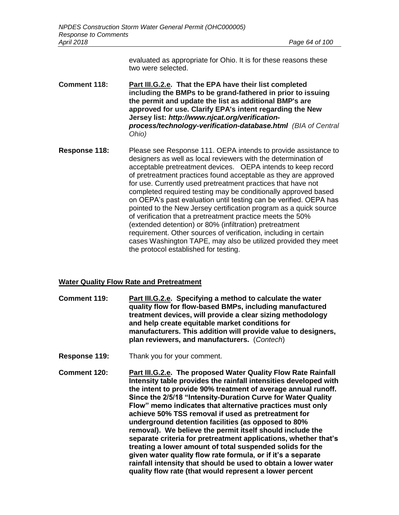evaluated as appropriate for Ohio. It is for these reasons these two were selected.

- **Comment 118: Part III.G.2.e. That the EPA have their list completed including the BMPs to be grand-fathered in prior to issuing the permit and update the list as additional BMP's are approved for use. Clarify EPA's intent regarding the New Jersey list:** *http://www.njcat.org/verificationprocess/technology-verification-database.html (BIA of Central Ohio)*
- **Response 118:** Please see Response 111. OEPA intends to provide assistance to designers as well as local reviewers with the determination of acceptable pretreatment devices. OEPA intends to keep record of pretreatment practices found acceptable as they are approved for use. Currently used pretreatment practices that have not completed required testing may be conditionally approved based on OEPA's past evaluation until testing can be verified. OEPA has pointed to the New Jersey certification program as a quick source of verification that a pretreatment practice meets the 50% (extended detention) or 80% (infiltration) pretreatment requirement. Other sources of verification, including in certain cases Washington TAPE, may also be utilized provided they meet the protocol established for testing.

## **Water Quality Flow Rate and Pretreatment**

- **Comment 119: Part III.G.2.e. Specifying a method to calculate the water quality flow for flow-based BMPs, including manufactured treatment devices, will provide a clear sizing methodology and help create equitable market conditions for manufacturers. This addition will provide value to designers, plan reviewers, and manufacturers.** (*Contech*)
- **Response 119:** Thank you for your comment.
- **Comment 120: Part III.G.2.e. The proposed Water Quality Flow Rate Rainfall Intensity table provides the rainfall intensities developed with the intent to provide 90% treatment of average annual runoff. Since the 2/5/18 "Intensity-Duration Curve for Water Quality Flow" memo indicates that alternative practices must only achieve 50% TSS removal if used as pretreatment for underground detention facilities (as opposed to 80% removal). We believe the permit itself should include the separate criteria for pretreatment applications, whether that's treating a lower amount of total suspended solids for the given water quality flow rate formula, or if it's a separate rainfall intensity that should be used to obtain a lower water quality flow rate (that would represent a lower percent**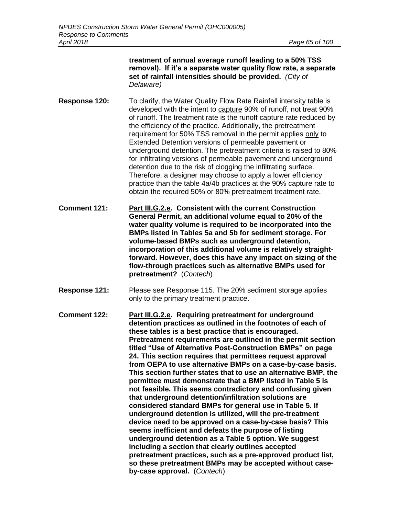**treatment of annual average runoff leading to a 50% TSS removal). If it's a separate water quality flow rate, a separate set of rainfall intensities should be provided.** *(City of Delaware)*

- **Response 120:** To clarify, the Water Quality Flow Rate Rainfall intensity table is developed with the intent to capture 90% of runoff, not treat 90% of runoff. The treatment rate is the runoff capture rate reduced by the efficiency of the practice. Additionally, the pretreatment requirement for 50% TSS removal in the permit applies only to Extended Detention versions of permeable pavement or underground detention. The pretreatment criteria is raised to 80% for infiltrating versions of permeable pavement and underground detention due to the risk of clogging the infiltrating surface. Therefore, a designer may choose to apply a lower efficiency practice than the table 4a/4b practices at the 90% capture rate to obtain the required 50% or 80% pretreatment treatment rate.
- **Comment 121: Part III.G.2.e. Consistent with the current Construction General Permit, an additional volume equal to 20% of the water quality volume is required to be incorporated into the BMPs listed in Tables 5a and 5b for sediment storage. For volume-based BMPs such as underground detention, incorporation of this additional volume is relatively straightforward. However, does this have any impact on sizing of the flow-through practices such as alternative BMPs used for pretreatment?** (*Contech*)
- **Response 121:** Please see Response 115. The 20% sediment storage applies only to the primary treatment practice.
- **Comment 122: Part III.G.2.e. Requiring pretreatment for underground detention practices as outlined in the footnotes of each of these tables is a best practice that is encouraged. Pretreatment requirements are outlined in the permit section titled "Use of Alternative Post-Construction BMPs" on page 24. This section requires that permittees request approval from OEPA to use alternative BMPs on a case-by-case basis. This section further states that to use an alternative BMP, the permittee must demonstrate that a BMP listed in Table 5 is not feasible. This seems contradictory and confusing given that underground detention/infiltration solutions are considered standard BMPs for general use in Table 5. If underground detention is utilized, will the pre-treatment device need to be approved on a case-by-case basis? This seems inefficient and defeats the purpose of listing underground detention as a Table 5 option. We suggest including a section that clearly outlines accepted pretreatment practices, such as a pre-approved product list, so these pretreatment BMPs may be accepted without caseby-case approval.** (*Contech*)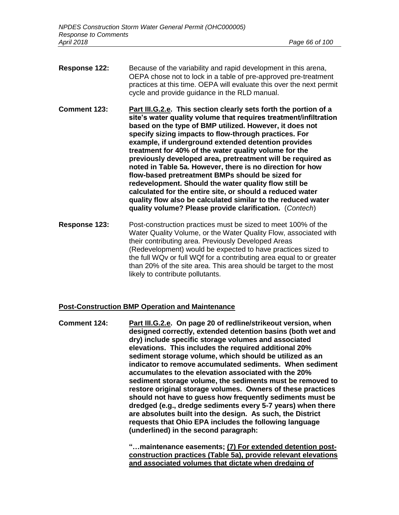- **Response 122:** Because of the variability and rapid development in this arena, OEPA chose not to lock in a table of pre-approved pre-treatment practices at this time. OEPA will evaluate this over the next permit cycle and provide guidance in the RLD manual.
- **Comment 123: Part III.G.2.e. This section clearly sets forth the portion of a site's water quality volume that requires treatment/infiltration based on the type of BMP utilized. However, it does not specify sizing impacts to flow-through practices. For example, if underground extended detention provides treatment for 40% of the water quality volume for the previously developed area, pretreatment will be required as noted in Table 5a. However, there is no direction for how flow-based pretreatment BMPs should be sized for redevelopment. Should the water quality flow still be calculated for the entire site, or should a reduced water quality flow also be calculated similar to the reduced water quality volume? Please provide clarification.** (*Contech*)
- **Response 123:** Post-construction practices must be sized to meet 100% of the Water Quality Volume, or the Water Quality Flow, associated with their contributing area. Previously Developed Areas (Redevelopment) would be expected to have practices sized to the full WQv or full WQf for a contributing area equal to or greater than 20% of the site area. This area should be target to the most likely to contribute pollutants.

#### **Post-Construction BMP Operation and Maintenance**

**Comment 124: Part III.G.2.e. On page 20 of redline/strikeout version, when designed correctly, extended detention basins (both wet and dry) include specific storage volumes and associated elevations. This includes the required additional 20% sediment storage volume, which should be utilized as an indicator to remove accumulated sediments. When sediment accumulates to the elevation associated with the 20% sediment storage volume, the sediments must be removed to restore original storage volumes. Owners of these practices should not have to guess how frequently sediments must be dredged (e.g., dredge sediments every 5-7 years) when there are absolutes built into the design. As such, the District requests that Ohio EPA includes the following language (underlined) in the second paragraph:**

> **"…maintenance easements; (7) For extended detention postconstruction practices (Table 5a), provide relevant elevations and associated volumes that dictate when dredging of**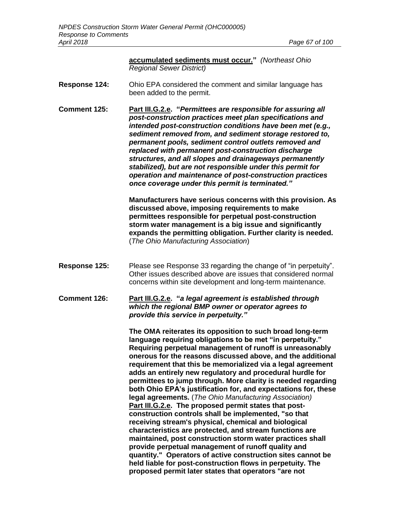| accumulated sediments must occur." (Northeast Ohio |  |
|----------------------------------------------------|--|
| <b>Regional Sewer District)</b>                    |  |

- **Response 124:** Ohio EPA considered the comment and similar language has been added to the permit.
- **Comment 125: Part III.G.2.e. "***Permittees are responsible for assuring all post-construction practices meet plan specifications and intended post-construction conditions have been met (e.g., sediment removed from, and sediment storage restored to, permanent pools, sediment control outlets removed and replaced with permanent post-construction discharge structures, and all slopes and drainageways permanently stabilized), but are not responsible under this permit for operation and maintenance of post-construction practices once coverage under this permit is terminated."*

**Manufacturers have serious concerns with this provision. As discussed above, imposing requirements to make permittees responsible for perpetual post-construction storm water management is a big issue and significantly expands the permitting obligation. Further clarity is needed.**  (*The Ohio Manufacturing Association*)

- **Response 125:** Please see Response 33 regarding the change of "in perpetuity". Other issues described above are issues that considered normal concerns within site development and long-term maintenance.
- **Comment 126: Part III.G.2.e. "***a legal agreement is established through which the regional BMP owner or operator agrees to provide this service in perpetuity."*

**The OMA reiterates its opposition to such broad long-term language requiring obligations to be met "in perpetuity." Requiring perpetual management of runoff is unreasonably onerous for the reasons discussed above, and the additional requirement that this be memorialized via a legal agreement adds an entirely new regulatory and procedural hurdle for permittees to jump through. More clarity is needed regarding both Ohio EPA's justification for, and expectations for, these legal agreements.** (*The Ohio Manufacturing Association)* **Part III.G.2.e. The proposed permit states that postconstruction controls shall be implemented, "so that receiving stream's physical, chemical and biological characteristics are protected, and stream functions are maintained, post construction storm water practices shall provide perpetual management of runoff quality and quantity." Operators of active construction sites cannot be held liable for post-construction flows in perpetuity. The proposed permit later states that operators "are not**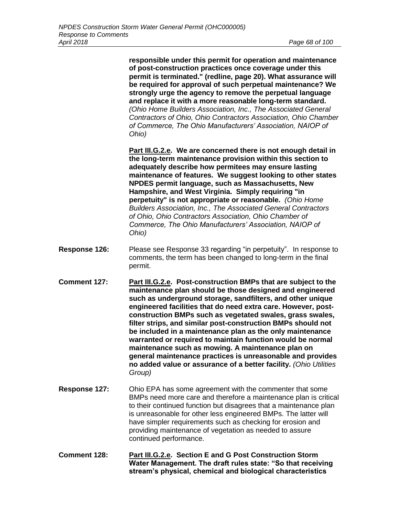**responsible under this permit for operation and maintenance of post-construction practices once coverage under this permit is terminated." (redline, page 20). What assurance will be required for approval of such perpetual maintenance? We strongly urge the agency to remove the perpetual language and replace it with a more reasonable long-term standard.**  *(Ohio Home Builders Association, Inc., The Associated General Contractors of Ohio, Ohio Contractors Association, Ohio Chamber of Commerce, The Ohio Manufacturers' Association, NAIOP of Ohio)*

**Part III.G.2.e. We are concerned there is not enough detail in the long-term maintenance provision within this section to adequately describe how permitees may ensure lasting maintenance of features. We suggest looking to other states NPDES permit language, such as Massachusetts, New Hampshire, and West Virginia. Simply requiring "in perpetuity" is not appropriate or reasonable.** *(Ohio Home Builders Association, Inc., The Associated General Contractors of Ohio, Ohio Contractors Association, Ohio Chamber of Commerce, The Ohio Manufacturers' Association, NAIOP of Ohio)*

- **Response 126:** Please see Response 33 regarding "in perpetuity". In response to comments, the term has been changed to long-term in the final permit.
- **Comment 127: Part III.G.2.e. Post-construction BMPs that are subject to the maintenance plan should be those designed and engineered such as underground storage, sandfilters, and other unique engineered facilities that do need extra care. However, postconstruction BMPs such as vegetated swales, grass swales, filter strips, and similar post-construction BMPs should not be included in a maintenance plan as the only maintenance warranted or required to maintain function would be normal maintenance such as mowing. A maintenance plan on general maintenance practices is unreasonable and provides no added value or assurance of a better facility.** *(Ohio Utilities Group)*
- **Response 127:** Ohio EPA has some agreement with the commenter that some BMPs need more care and therefore a maintenance plan is critical to their continued function but disagrees that a maintenance plan is unreasonable for other less engineered BMPs. The latter will have simpler requirements such as checking for erosion and providing maintenance of vegetation as needed to assure continued performance.
- **Comment 128: Part III.G.2.e. Section E and G Post Construction Storm Water Management. The draft rules state: "So that receiving stream's physical, chemical and biological characteristics**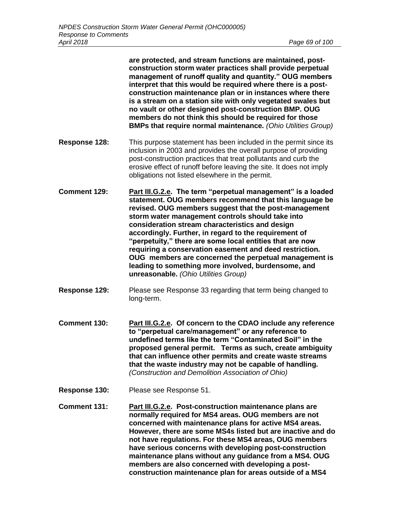**are protected, and stream functions are maintained, postconstruction storm water practices shall provide perpetual management of runoff quality and quantity." OUG members interpret that this would be required where there is a postconstruction maintenance plan or in instances where there is a stream on a station site with only vegetated swales but no vault or other designed post-construction BMP. OUG members do not think this should be required for those BMPs that require normal maintenance.** *(Ohio Utilities Group)*

- **Response 128:** This purpose statement has been included in the permit since its inclusion in 2003 and provides the overall purpose of providing post-construction practices that treat pollutants and curb the erosive effect of runoff before leaving the site. It does not imply obligations not listed elsewhere in the permit.
- **Comment 129: Part III.G.2.e. The term "perpetual management" is a loaded statement. OUG members recommend that this language be revised. OUG members suggest that the post-management storm water management controls should take into consideration stream characteristics and design accordingly. Further, in regard to the requirement of "perpetuity," there are some local entities that are now requiring a conservation easement and deed restriction. OUG members are concerned the perpetual management is leading to something more involved, burdensome, and unreasonable.** *(Ohio Utilities Group)*
- **Response 129:** Please see Response 33 regarding that term being changed to long-term.
- **Comment 130: Part III.G.2.e. Of concern to the CDAO include any reference to "perpetual care/management" or any reference to undefined terms like the term "Contaminated Soil" in the proposed general permit. Terms as such, create ambiguity that can influence other permits and create waste streams that the waste industry may not be capable of handling.** *(Construction and Demolition Association of Ohio)*
- **Response 130:** Please see Response 51.
- **Comment 131: Part III.G.2.e. Post-construction maintenance plans are normally required for MS4 areas. OUG members are not concerned with maintenance plans for active MS4 areas. However, there are some MS4s listed but are inactive and do not have regulations. For these MS4 areas, OUG members have serious concerns with developing post-construction maintenance plans without any guidance from a MS4. OUG members are also concerned with developing a postconstruction maintenance plan for areas outside of a MS4**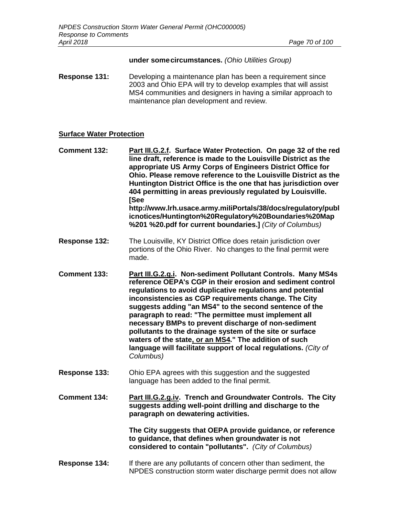#### **under somecircumstances.** *(Ohio Utilities Group)*

**Response 131:** Developing a maintenance plan has been a requirement since 2003 and Ohio EPA will try to develop examples that will assist MS4 communities and designers in having a similar approach to maintenance plan development and review.

## **Surface Water Protection**

**Comment 132: Part III.G.2.f. Surface Water Protection. On page 32 of the red line draft, reference is made to the Louisville District as the appropriate US Army Corps of Engineers District Office for Ohio. Please remove reference to the Louisville District as the Huntington District Office is the one that has jurisdiction over 404 permitting in areas previously regulated by Louisville. [See http://www.lrh.usace.army.miIiPortals/38/docs/regulatory/publ icnotices/Huntington%20Regulatory%20Boundaries%20Map %201 %20.pdf for current boundaries.]** *(City of Columbus)*

- **Response 132:** The Louisville, KY District Office does retain jurisdiction over portions of the Ohio River. No changes to the final permit were made.
- **Comment 133: Part III.G.2.g.i. Non-sediment Pollutant Controls. Many MS4s reference OEPA's CGP in their erosion and sediment control regulations to avoid duplicative regulations and potential inconsistencies as CGP requirements change. The City suggests adding "an MS4" to the second sentence of the paragraph to read: "The permittee must implement all necessary BMPs to prevent discharge of non-sediment pollutants to the drainage system of the site or surface waters of the state, or an MS4." The addition of such language will facilitate support of local regulations.** *(City of Columbus)*
- **Response 133:** Ohio EPA agrees with this suggestion and the suggested language has been added to the final permit.

**Comment 134: Part III.G.2.g.iv. Trench and Groundwater Controls. The City suggests adding well-point drilling and discharge to the paragraph on dewatering activities.**

> **The City suggests that OEPA provide guidance, or reference to guidance, that defines when groundwater is not considered to contain "pollutants".** *(City of Columbus)*

#### **Response 134:** If there are any pollutants of concern other than sediment, the NPDES construction storm water discharge permit does not allow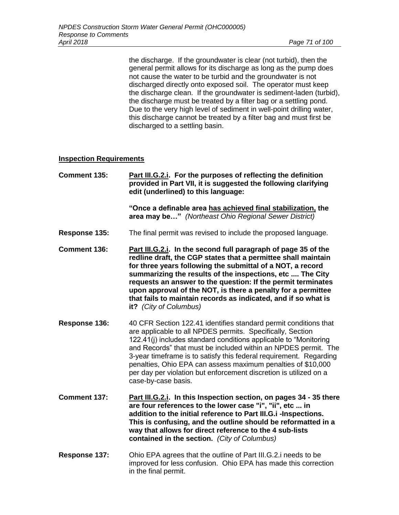the discharge. If the groundwater is clear (not turbid), then the general permit allows for its discharge as long as the pump does not cause the water to be turbid and the groundwater is not discharged directly onto exposed soil. The operator must keep the discharge clean. If the groundwater is sediment-laden (turbid), the discharge must be treated by a filter bag or a settling pond. Due to the very high level of sediment in well-point drilling water, this discharge cannot be treated by a filter bag and must first be discharged to a settling basin.

## **Inspection Requirements**

| Comment 135: | Part III.G.2. i. For the purposes of reflecting the definition<br>provided in Part VII, it is suggested the following clarifying<br>edit (underlined) to this language: |
|--------------|-------------------------------------------------------------------------------------------------------------------------------------------------------------------------|
|              | "Once a definable area has achieved final stabilization, the<br><b>area may be</b> " (Northeast Ohio Regional Sewer District)                                           |

- **Response 135:** The final permit was revised to include the proposed language.
- **Comment 136: Part III.G.2.i. In the second full paragraph of page 35 of the redline draft, the CGP states that a permittee shall maintain for three years following the submittal of a NOT, a record summarizing the results of the inspections, etc .... The City requests an answer to the question: If the permit terminates upon approval of the NOT, is there a penalty for a permittee that fails to maintain records as indicated, and if so what is it?** *(City of Columbus)*
- **Response 136:** 40 CFR Section 122.41 identifies standard permit conditions that are applicable to all NPDES permits. Specifically, Section 122.41(j) includes standard conditions applicable to "Monitoring and Records" that must be included within an NPDES permit. The 3-year timeframe is to satisfy this federal requirement. Regarding penalties, Ohio EPA can assess maximum penalties of \$10,000 per day per violation but enforcement discretion is utilized on a case-by-case basis.
- **Comment 137: Part III.G.2.i. In this Inspection section, on pages 34 - 35 there are four references to the lower case "i", "ii", etc ... in addition to the initial reference to Part III.G.i -Inspections. This is confusing, and the outline should be reformatted in a way that allows for direct reference to the 4 sub-lists contained in the section.** *(City of Columbus)*
- **Response 137:** Ohio EPA agrees that the outline of Part III.G.2.i needs to be improved for less confusion. Ohio EPA has made this correction in the final permit.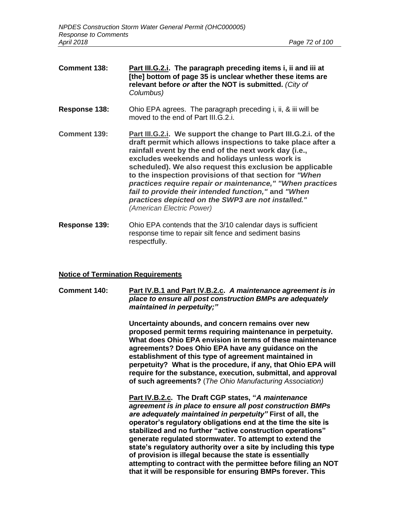**Comment 138: Part III.G.2.i. The paragraph preceding items i, ii and iii at [the] bottom of page 35 is unclear whether these items are relevant before** *or* **after the NOT is submitted.** *(City of Columbus)* **Response 138:** Ohio EPA agrees. The paragraph preceding i, ii, & iii will be moved to the end of Part III.G.2.i. **Comment 139: Part III.G.2.i. We support the change to Part III.G.2.i. of the draft permit which allows inspections to take place after a rainfall event by the end of the next work day (i.e., excludes weekends and holidays unless work is scheduled). We also request this exclusion be applicable to the inspection provisions of that section for** *"When practices require repair or maintenance," "When practices fail to provide their intended function,"* **and** *"When practices depicted on the SWP3 are not installed." (American Electric Power)* **Response 139:** Ohio EPA contends that the 3/10 calendar days is sufficient response time to repair silt fence and sediment basins

respectfully.

## **Notice of Termination Requirements**

**Comment 140: Part IV.B.1 and Part IV.B.2.c.** *A maintenance agreement is in place to ensure all post construction BMPs are adequately maintained in perpetuity;"*

> **Uncertainty abounds, and concern remains over new proposed permit terms requiring maintenance in perpetuity. What does Ohio EPA envision in terms of these maintenance agreements? Does Ohio EPA have any guidance on the establishment of this type of agreement maintained in perpetuity? What is the procedure, if any, that Ohio EPA will require for the substance, execution, submittal, and approval of such agreements?** (*The Ohio Manufacturing Association)*

> **Part IV.B.2.c. The Draft CGP states, "***A maintenance agreement is in place to ensure all post construction BMPs are adequately maintained in perpetuity"* **First of all, the operator's regulatory obligations end at the time the site is stabilized and no further "active construction operations" generate regulated stormwater. To attempt to extend the state's regulatory authority over a site by including this type of provision is illegal because the state is essentially attempting to contract with the permittee before filing an NOT that it will be responsible for ensuring BMPs forever. This**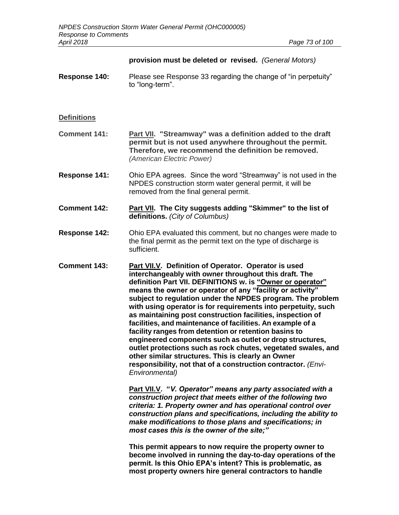|                     | provision must be deleted or revised. (General Motors)                                                                                                                                                                                                                                                                                                                                                                                                                                                                                                                                                                                                                                                                                                                                                                                                                                            |
|---------------------|---------------------------------------------------------------------------------------------------------------------------------------------------------------------------------------------------------------------------------------------------------------------------------------------------------------------------------------------------------------------------------------------------------------------------------------------------------------------------------------------------------------------------------------------------------------------------------------------------------------------------------------------------------------------------------------------------------------------------------------------------------------------------------------------------------------------------------------------------------------------------------------------------|
| Response 140:       | Please see Response 33 regarding the change of "in perpetuity"<br>to "long-term".                                                                                                                                                                                                                                                                                                                                                                                                                                                                                                                                                                                                                                                                                                                                                                                                                 |
| <b>Definitions</b>  |                                                                                                                                                                                                                                                                                                                                                                                                                                                                                                                                                                                                                                                                                                                                                                                                                                                                                                   |
| <b>Comment 141:</b> | Part VII. "Streamway" was a definition added to the draft<br>permit but is not used anywhere throughout the permit.<br>Therefore, we recommend the definition be removed.<br>(American Electric Power)                                                                                                                                                                                                                                                                                                                                                                                                                                                                                                                                                                                                                                                                                            |
| Response 141:       | Ohio EPA agrees. Since the word "Streamway" is not used in the<br>NPDES construction storm water general permit, it will be<br>removed from the final general permit.                                                                                                                                                                                                                                                                                                                                                                                                                                                                                                                                                                                                                                                                                                                             |
| <b>Comment 142:</b> | Part VII. The City suggests adding "Skimmer" to the list of<br>definitions. (City of Columbus)                                                                                                                                                                                                                                                                                                                                                                                                                                                                                                                                                                                                                                                                                                                                                                                                    |
| Response 142:       | Ohio EPA evaluated this comment, but no changes were made to<br>the final permit as the permit text on the type of discharge is<br>sufficient.                                                                                                                                                                                                                                                                                                                                                                                                                                                                                                                                                                                                                                                                                                                                                    |
| <b>Comment 143:</b> | Part VII.V. Definition of Operator. Operator is used<br>interchangeably with owner throughout this draft. The<br>definition Part VII. DEFINITIONS w. is "Owner or operator"<br>means the owner or operator of any "facility or activity"<br>subject to regulation under the NPDES program. The problem<br>with using operator is for requirements into perpetuity, such<br>as maintaining post construction facilities, inspection of<br>facilities, and maintenance of facilities. An example of a<br>facility ranges from detention or retention basins to<br>engineered components such as outlet or drop structures,<br>outlet protections such as rock chutes, vegetated swales, and<br>other similar structures. This is clearly an Owner<br>responsibility, not that of a construction contractor. (Envi-<br>Environmental)<br>Part VII.V. "V. Operator" means any party associated with a |
|                     | construction project that meets either of the following two<br>criteria: 1. Property owner and has operational control over<br>construction plans and specifications, including the ability to<br>make modifications to those plans and specifications; in<br>most cases this is the owner of the site;"                                                                                                                                                                                                                                                                                                                                                                                                                                                                                                                                                                                          |
|                     | This permit appears to now require the property owner to<br>become involved in running the day-to-day operations of the<br>permit. Is this Ohio EPA's intent? This is problematic, as<br>most property owners hire general contractors to handle                                                                                                                                                                                                                                                                                                                                                                                                                                                                                                                                                                                                                                                  |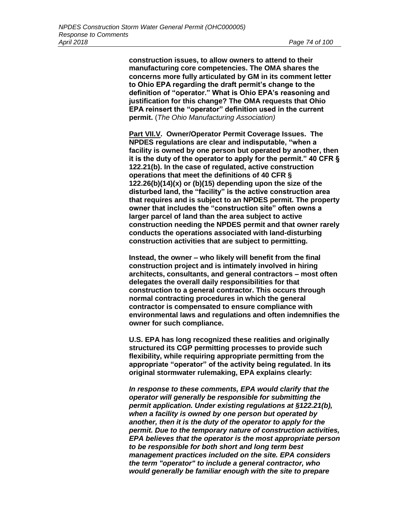**construction issues, to allow owners to attend to their manufacturing core competencies. The OMA shares the concerns more fully articulated by GM in its comment letter to Ohio EPA regarding the draft permit's change to the definition of "operator." What is Ohio EPA's reasoning and justification for this change? The OMA requests that Ohio EPA reinsert the "operator" definition used in the current permit.** (*The Ohio Manufacturing Association)*

**Part VII.V. Owner/Operator Permit Coverage Issues. The NPDES regulations are clear and indisputable, "when a facility is owned by one person but operated by another, then it is the duty of the operator to apply for the permit." 40 CFR § 122.21(b). In the case of regulated, active construction operations that meet the definitions of 40 CFR § 122.26(b)(14)(x) or (b)(15) depending upon the size of the disturbed land, the "facility" is the active construction area that requires and is subject to an NPDES permit. The property owner that includes the "construction site" often owns a larger parcel of land than the area subject to active construction needing the NPDES permit and that owner rarely conducts the operations associated with land-disturbing construction activities that are subject to permitting.**

**Instead, the owner – who likely will benefit from the final construction project and is intimately involved in hiring architects, consultants, and general contractors – most often delegates the overall daily responsibilities for that construction to a general contractor. This occurs through normal contracting procedures in which the general contractor is compensated to ensure compliance with environmental laws and regulations and often indemnifies the owner for such compliance.**

**U.S. EPA has long recognized these realities and originally structured its CGP permitting processes to provide such flexibility, while requiring appropriate permitting from the appropriate "operator" of the activity being regulated. In its original stormwater rulemaking, EPA explains clearly:**

*In response to these comments, EPA would clarify that the operator will generally be responsible for submitting the permit application. Under existing regulations at §122.21(b), when a facility is owned by one person but operated by another, then it is the duty of the operator to apply for the permit. Due to the temporary nature of construction activities, EPA believes that the operator is the most appropriate person to be responsible for both short and long term best management practices included on the site. EPA considers the term "operator" to include a general contractor, who would generally be familiar enough with the site to prepare*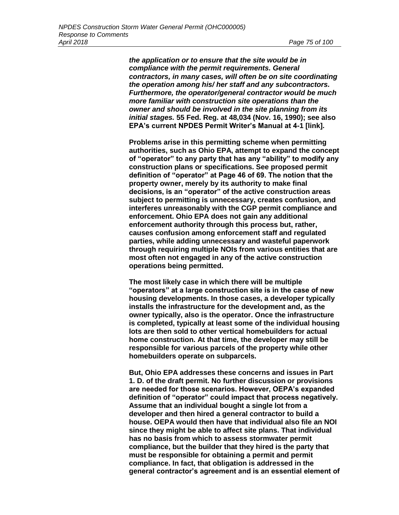*the application or to ensure that the site would be in compliance with the permit requirements. General contractors, in many cases, will often be on site coordinating the operation among his/ her staff and any subcontractors. Furthermore, the operator/general contractor would be much more familiar with construction site operations than the owner and should be involved in the site planning from its initial stages.* **55 Fed. Reg. at 48,034 (Nov. 16, 1990); see also EPA's current NPDES Permit Writer's Manual at 4-1 [link].**

**Problems arise in this permitting scheme when permitting authorities, such as Ohio EPA, attempt to expand the concept of "operator" to any party that has any "ability" to modify any construction plans or specifications. See proposed permit definition of "operator" at Page 46 of 69. The notion that the property owner, merely by its authority to make final decisions, is an "operator" of the active construction areas subject to permitting is unnecessary, creates confusion, and interferes unreasonably with the CGP permit compliance and enforcement. Ohio EPA does not gain any additional enforcement authority through this process but, rather, causes confusion among enforcement staff and regulated parties, while adding unnecessary and wasteful paperwork through requiring multiple NOIs from various entities that are most often not engaged in any of the active construction operations being permitted.**

**The most likely case in which there will be multiple "operators" at a large construction site is in the case of new housing developments. In those cases, a developer typically installs the infrastructure for the development and, as the owner typically, also is the operator. Once the infrastructure is completed, typically at least some of the individual housing lots are then sold to other vertical homebuilders for actual home construction. At that time, the developer may still be responsible for various parcels of the property while other homebuilders operate on subparcels.**

**But, Ohio EPA addresses these concerns and issues in Part 1. D. of the draft permit. No further discussion or provisions are needed for those scenarios. However, OEPA's expanded definition of "operator" could impact that process negatively. Assume that an individual bought a single lot from a developer and then hired a general contractor to build a house. OEPA would then have that individual also file an NOI since they might be able to affect site plans. That individual has no basis from which to assess stormwater permit compliance, but the builder that they hired is the party that must be responsible for obtaining a permit and permit compliance. In fact, that obligation is addressed in the general contractor's agreement and is an essential element of**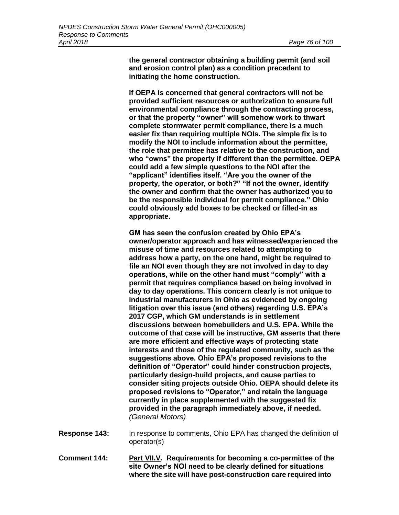**the general contractor obtaining a building permit (and soil and erosion control plan) as a condition precedent to initiating the home construction.**

**If OEPA is concerned that general contractors will not be provided sufficient resources or authorization to ensure full environmental compliance through the contracting process, or that the property "owner" will somehow work to thwart complete stormwater permit compliance, there is a much easier fix than requiring multiple NOIs. The simple fix is to modify the NOI to include information about the permittee, the role that permittee has relative to the construction, and who "owns" the property if different than the permittee. OEPA could add a few simple questions to the NOI after the "applicant" identifies itself. "Are you the owner of the property, the operator, or both?" "If not the owner, identify the owner and confirm that the owner has authorized you to be the responsible individual for permit compliance." Ohio could obviously add boxes to be checked or filled-in as appropriate.**

**GM has seen the confusion created by Ohio EPA's owner/operator approach and has witnessed/experienced the misuse of time and resources related to attempting to address how a party, on the one hand, might be required to file an NOI even though they are not involved in day to day operations, while on the other hand must "comply" with a permit that requires compliance based on being involved in day to day operations. This concern clearly is not unique to industrial manufacturers in Ohio as evidenced by ongoing litigation over this issue (and others) regarding U.S. EPA's 2017 CGP, which GM understands is in settlement discussions between homebuilders and U.S. EPA. While the outcome of that case will be instructive, GM asserts that there are more efficient and effective ways of protecting state interests and those of the regulated community, such as the suggestions above. Ohio EPA's proposed revisions to the definition of "Operator" could hinder construction projects, particularly design-build projects, and cause parties to consider siting projects outside Ohio. OEPA should delete its proposed revisions to "Operator," and retain the language currently in place supplemented with the suggested fix provided in the paragraph immediately above, if needed.**  *(General Motors)*

- **Response 143:** In response to comments, Ohio EPA has changed the definition of operator(s)
- **Comment 144: Part VII.V. Requirements for becoming a co-permittee of the site Owner's NOI need to be clearly defined for situations where the site will have post-construction care required into**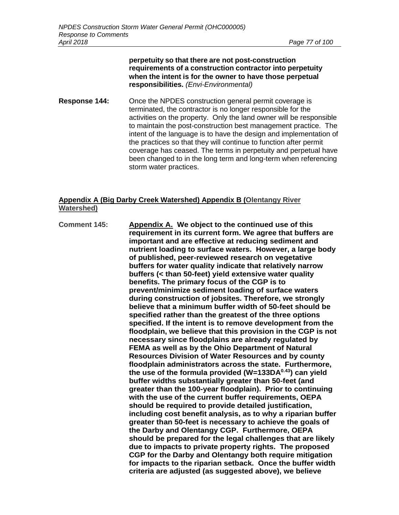#### **perpetuity so that there are not post-construction requirements of a construction contractor into perpetuity when the intent is for the owner to have those perpetual responsibilities.** *(Envi-Environmental)*

**Response 144:** Once the NPDES construction general permit coverage is terminated, the contractor is no longer responsible for the activities on the property. Only the land owner will be responsible to maintain the post-construction best management practice. The intent of the language is to have the design and implementation of the practices so that they will continue to function after permit coverage has ceased. The terms in perpetuity and perpetual have been changed to in the long term and long-term when referencing storm water practices.

# **Appendix A (Big Darby Creek Watershed) Appendix B (Olentangy River Watershed)**

**Comment 145: Appendix A. We object to the continued use of this requirement in its current form. We agree that buffers are important and are effective at reducing sediment and nutrient loading to surface waters. However, a large body of published, peer-reviewed research on vegetative buffers for water quality indicate that relatively narrow buffers (< than 50-feet) yield extensive water quality benefits. The primary focus of the CGP is to prevent/minimize sediment loading of surface waters during construction of jobsites. Therefore, we strongly believe that a minimum buffer width of 50-feet should be specified rather than the greatest of the three options specified. If the intent is to remove development from the floodplain, we believe that this provision in the CGP is not necessary since floodplains are already regulated by FEMA as well as by the Ohio Department of Natural Resources Division of Water Resources and by county floodplain administrators across the state. Furthermore, the use of the formula provided (W=133DA0.43) can yield buffer widths substantially greater than 50-feet (and greater than the 100-year floodplain). Prior to continuing with the use of the current buffer requirements, OEPA should be required to provide detailed justification, including cost benefit analysis, as to why a riparian buffer greater than 50-feet is necessary to achieve the goals of the Darby and Olentangy CGP. Furthermore, OEPA should be prepared for the legal challenges that are likely due to impacts to private property rights. The proposed CGP for the Darby and Olentangy both require mitigation for impacts to the riparian setback. Once the buffer width criteria are adjusted (as suggested above), we believe**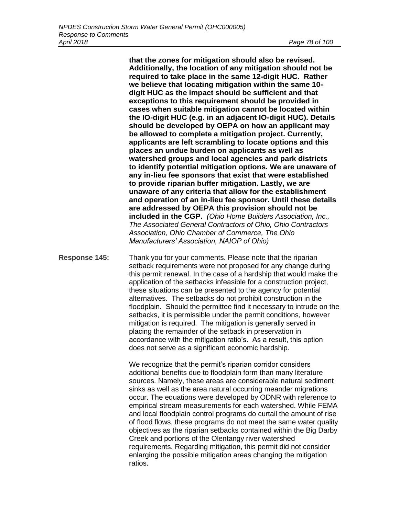**that the zones for mitigation should also be revised. Additionally, the location of any mitigation should not be required to take place in the same 12-digit HUC. Rather we believe that locating mitigation within the same 10 digit HUC as the impact should be sufficient and that exceptions to this requirement should be provided in cases when suitable mitigation cannot be located within the IO-digit HUC (e.g. in an adjacent IO-digit HUC). Details should be developed by OEPA on how an applicant may be allowed to complete a mitigation project. Currently, applicants are left scrambling to locate options and this places an undue burden on applicants as well as watershed groups and local agencies and park districts to identify potential mitigation options. We are unaware of any in-lieu fee sponsors that exist that were established to provide riparian buffer mitigation. Lastly, we are unaware of any criteria that allow for the establishment and operation of an in-lieu fee sponsor. Until these details are addressed by OEPA this provision should not be included in the CGP.** *(Ohio Home Builders Association, Inc., The Associated General Contractors of Ohio, Ohio Contractors Association, Ohio Chamber of Commerce, The Ohio Manufacturers' Association, NAIOP of Ohio)*

**Response 145:** Thank you for your comments. Please note that the riparian setback requirements were not proposed for any change during this permit renewal. In the case of a hardship that would make the application of the setbacks infeasible for a construction project, these situations can be presented to the agency for potential alternatives. The setbacks do not prohibit construction in the floodplain. Should the permittee find it necessary to intrude on the setbacks, it is permissible under the permit conditions, however mitigation is required. The mitigation is generally served in placing the remainder of the setback in preservation in accordance with the mitigation ratio's. As a result, this option does not serve as a significant economic hardship.

> We recognize that the permit's riparian corridor considers additional benefits due to floodplain form than many literature sources. Namely, these areas are considerable natural sediment sinks as well as the area natural occurring meander migrations occur. The equations were developed by ODNR with reference to empirical stream measurements for each watershed. While FEMA and local floodplain control programs do curtail the amount of rise of flood flows, these programs do not meet the same water quality objectives as the riparian setbacks contained within the Big Darby Creek and portions of the Olentangy river watershed requirements. Regarding mitigation, this permit did not consider enlarging the possible mitigation areas changing the mitigation ratios.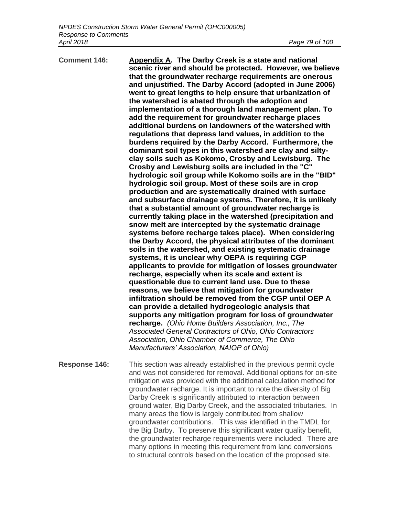| <b>Comment 146:</b> | Appendix A. The Darby Creek is a state and national<br>scenic river and should be protected. However, we believe<br>that the groundwater recharge requirements are onerous<br>and unjustified. The Darby Accord (adopted in June 2006)<br>went to great lengths to help ensure that urbanization of<br>the watershed is abated through the adoption and<br>implementation of a thorough land management plan. To<br>add the requirement for groundwater recharge places<br>additional burdens on landowners of the watershed with<br>regulations that depress land values, in addition to the<br>burdens required by the Darby Accord. Furthermore, the<br>dominant soil types in this watershed are clay and silty-<br>clay soils such as Kokomo, Crosby and Lewisburg. The<br>Crosby and Lewisburg soils are included in the "C"<br>hydrologic soil group while Kokomo soils are in the "BID"<br>hydrologic soil group. Most of these soils are in crop<br>production and are systematically drained with surface<br>and subsurface drainage systems. Therefore, it is unlikely<br>that a substantial amount of groundwater recharge is<br>currently taking place in the watershed (precipitation and<br>snow melt are intercepted by the systematic drainage<br>systems before recharge takes place). When considering<br>the Darby Accord, the physical attributes of the dominant<br>soils in the watershed, and existing systematic drainage<br>systems, it is unclear why OEPA is requiring CGP<br>applicants to provide for mitigation of losses groundwater<br>recharge, especially when its scale and extent is<br>questionable due to current land use. Due to these<br>reasons, we believe that mitigation for groundwater<br>infiltration should be removed from the CGP until OEP A<br>can provide a detailed hydrogeologic analysis that<br>supports any mitigation program for loss of groundwater<br>recharge. (Ohio Home Builders Association, Inc., The<br>Associated General Contractors of Ohio, Ohio Contractors<br>Association, Ohio Chamber of Commerce, The Ohio<br>Manufacturers' Association, NAIOP of Ohio) |
|---------------------|-----------------------------------------------------------------------------------------------------------------------------------------------------------------------------------------------------------------------------------------------------------------------------------------------------------------------------------------------------------------------------------------------------------------------------------------------------------------------------------------------------------------------------------------------------------------------------------------------------------------------------------------------------------------------------------------------------------------------------------------------------------------------------------------------------------------------------------------------------------------------------------------------------------------------------------------------------------------------------------------------------------------------------------------------------------------------------------------------------------------------------------------------------------------------------------------------------------------------------------------------------------------------------------------------------------------------------------------------------------------------------------------------------------------------------------------------------------------------------------------------------------------------------------------------------------------------------------------------------------------------------------------------------------------------------------------------------------------------------------------------------------------------------------------------------------------------------------------------------------------------------------------------------------------------------------------------------------------------------------------------------------------------------------------------------------------------------------------------------------------------------------------|
| Response 146:       | This section was already established in the previous permit cycle                                                                                                                                                                                                                                                                                                                                                                                                                                                                                                                                                                                                                                                                                                                                                                                                                                                                                                                                                                                                                                                                                                                                                                                                                                                                                                                                                                                                                                                                                                                                                                                                                                                                                                                                                                                                                                                                                                                                                                                                                                                                       |

and was not considered for removal. Additional options for on-site mitigation was provided with the additional calculation method for groundwater recharge. It is important to note the diversity of Big Darby Creek is significantly attributed to interaction between ground water, Big Darby Creek, and the associated tributaries. In many areas the flow is largely contributed from shallow groundwater contributions. This was identified in the TMDL for the Big Darby. To preserve this significant water quality benefit, the groundwater recharge requirements were included. There are many options in meeting this requirement from land conversions to structural controls based on the location of the proposed site.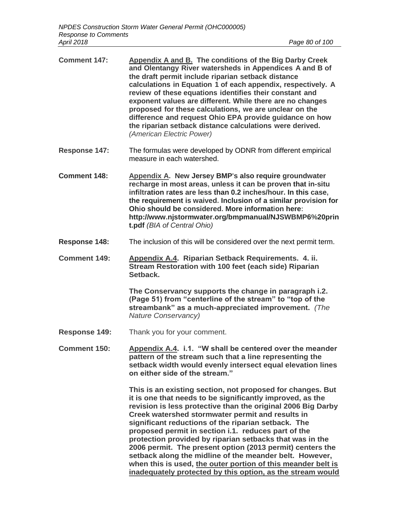| <b>Comment 147:</b>  | Appendix A and B. The conditions of the Big Darby Creek<br>and Olentangy River watersheds in Appendices A and B of<br>the draft permit include riparian setback distance<br>calculations in Equation 1 of each appendix, respectively. A<br>review of these equations identifies their constant and<br>exponent values are different. While there are no changes<br>proposed for these calculations, we are unclear on the<br>difference and request Ohio EPA provide guidance on how<br>the riparian setback distance calculations were derived.<br>(American Electric Power)                                |
|----------------------|---------------------------------------------------------------------------------------------------------------------------------------------------------------------------------------------------------------------------------------------------------------------------------------------------------------------------------------------------------------------------------------------------------------------------------------------------------------------------------------------------------------------------------------------------------------------------------------------------------------|
| Response 147:        | The formulas were developed by ODNR from different empirical<br>measure in each watershed.                                                                                                                                                                                                                                                                                                                                                                                                                                                                                                                    |
| <b>Comment 148:</b>  | Appendix A. New Jersey BMP's also require groundwater<br>recharge in most areas, unless it can be proven that in-situ<br>infiltration rates are less than 0.2 inches/hour. In this case,<br>the requirement is waived. Inclusion of a similar provision for<br>Ohio should be considered. More information here:<br>http://www.njstormwater.org/bmpmanual/NJSWBMP6%20prin<br>t.pdf (BIA of Central Ohio)                                                                                                                                                                                                      |
| Response 148:        | The inclusion of this will be considered over the next permit term.                                                                                                                                                                                                                                                                                                                                                                                                                                                                                                                                           |
| <b>Comment 149:</b>  | Appendix A.4. Riparian Setback Requirements. 4. ii.<br>Stream Restoration with 100 feet (each side) Riparian<br>Setback.                                                                                                                                                                                                                                                                                                                                                                                                                                                                                      |
|                      | The Conservancy supports the change in paragraph i.2.<br>(Page 51) from "centerline of the stream" to "top of the<br>streambank" as a much-appreciated improvement. (The<br><b>Nature Conservancy)</b>                                                                                                                                                                                                                                                                                                                                                                                                        |
| <b>Response 149:</b> | Thank you for your comment.                                                                                                                                                                                                                                                                                                                                                                                                                                                                                                                                                                                   |
| <b>Comment 150:</b>  | Appendix A.4. i.1. "W shall be centered over the meander<br>pattern of the stream such that a line representing the<br>setback width would evenly intersect equal elevation lines<br>on either side of the stream."                                                                                                                                                                                                                                                                                                                                                                                           |
|                      | This is an existing section, not proposed for changes. But<br>it is one that needs to be significantly improved, as the<br>revision is less protective than the original 2006 Big Darby<br>Creek watershed stormwater permit and results in<br>significant reductions of the riparian setback. The<br>proposed permit in section i.1. reduces part of the<br>protection provided by riparian setbacks that was in the<br>2006 permit. The present option (2013 permit) centers the<br>setback along the midline of the meander belt. However,<br>when this is used, the outer portion of this meander belt is |

**inadequately protected by this option, as the stream would**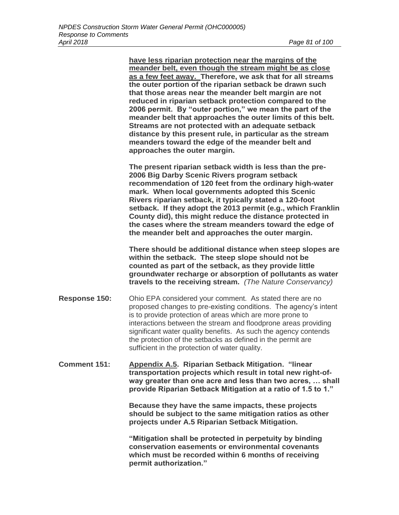**have less riparian protection near the margins of the meander belt, even though the stream might be as close as a few feet away. Therefore, we ask that for all streams the outer portion of the riparian setback be drawn such that those areas near the meander belt margin are not reduced in riparian setback protection compared to the 2006 permit. By "outer portion," we mean the part of the meander belt that approaches the outer limits of this belt. Streams are not protected with an adequate setback distance by this present rule, in particular as the stream meanders toward the edge of the meander belt and approaches the outer margin.** 

**The present riparian setback width is less than the pre-2006 Big Darby Scenic Rivers program setback recommendation of 120 feet from the ordinary high-water mark. When local governments adopted this Scenic Rivers riparian setback, it typically stated a 120-foot setback. If they adopt the 2013 permit (e.g., which Franklin County did), this might reduce the distance protected in the cases where the stream meanders toward the edge of the meander belt and approaches the outer margin.**

**There should be additional distance when steep slopes are within the setback. The steep slope should not be counted as part of the setback, as they provide little groundwater recharge or absorption of pollutants as water travels to the receiving stream.** *(The Nature Conservancy)*

- **Response 150:** Ohio EPA considered your comment. As stated there are no proposed changes to pre-existing conditions. The agency's intent is to provide protection of areas which are more prone to interactions between the stream and floodprone areas providing significant water quality benefits. As such the agency contends the protection of the setbacks as defined in the permit are sufficient in the protection of water quality.
- **Comment 151: Appendix A.5. Riparian Setback Mitigation. "linear transportation projects which result in total new right-ofway greater than one acre and less than two acres, … shall provide Riparian Setback Mitigation at a ratio of 1.5 to 1."**

**Because they have the same impacts, these projects should be subject to the same mitigation ratios as other projects under A.5 Riparian Setback Mitigation.**

**"Mitigation shall be protected in perpetuity by binding conservation easements or environmental covenants which must be recorded within 6 months of receiving permit authorization."**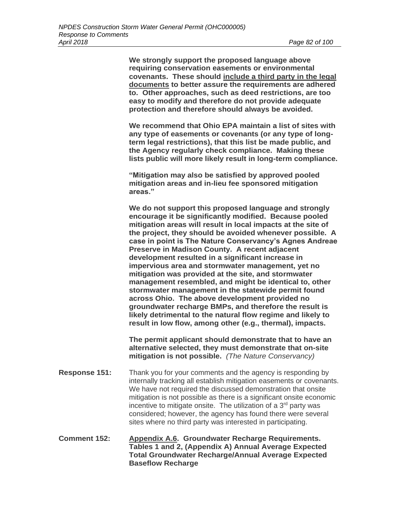**We strongly support the proposed language above requiring conservation easements or environmental covenants. These should include a third party in the legal documents to better assure the requirements are adhered to. Other approaches, such as deed restrictions, are too easy to modify and therefore do not provide adequate protection and therefore should always be avoided.** 

**We recommend that Ohio EPA maintain a list of sites with any type of easements or covenants (or any type of longterm legal restrictions), that this list be made public, and the Agency regularly check compliance. Making these lists public will more likely result in long-term compliance.**

**"Mitigation may also be satisfied by approved pooled mitigation areas and in-lieu fee sponsored mitigation areas."**

**We do not support this proposed language and strongly encourage it be significantly modified. Because pooled mitigation areas will result in local impacts at the site of the project, they should be avoided whenever possible. A case in point is The Nature Conservancy's Agnes Andreae Preserve in Madison County. A recent adjacent development resulted in a significant increase in impervious area and stormwater management, yet no mitigation was provided at the site, and stormwater management resembled, and might be identical to, other stormwater management in the statewide permit found across Ohio. The above development provided no groundwater recharge BMPs, and therefore the result is likely detrimental to the natural flow regime and likely to result in low flow, among other (e.g., thermal), impacts.** 

**The permit applicant should demonstrate that to have an alternative selected, they must demonstrate that on-site mitigation is not possible.** *(The Nature Conservancy)*

- **Response 151:** Thank you for your comments and the agency is responding by internally tracking all establish mitigation easements or covenants. We have not required the discussed demonstration that onsite mitigation is not possible as there is a significant onsite economic incentive to mitigate onsite. The utilization of a  $3<sup>rd</sup>$  party was considered; however, the agency has found there were several sites where no third party was interested in participating.
- **Comment 152: Appendix A.6. Groundwater Recharge Requirements. Tables 1 and 2, (Appendix A) Annual Average Expected Total Groundwater Recharge/Annual Average Expected Baseflow Recharge**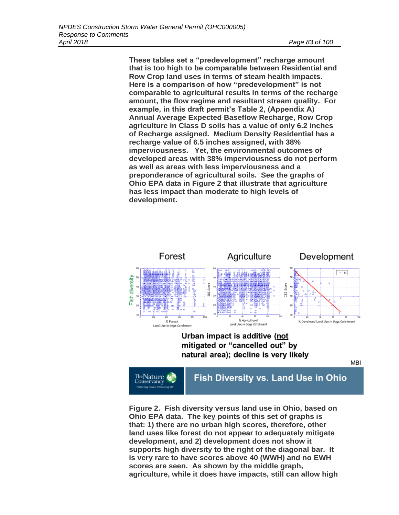**These tables set a "predevelopment" recharge amount that is too high to be comparable between Residential and Row Crop land uses in terms of steam health impacts. Here is a comparison of how "predevelopment" is not comparable to agricultural results in terms of the recharge amount, the flow regime and resultant stream quality. For example, in this draft permit's Table 2, (Appendix A) Annual Average Expected Baseflow Recharge, Row Crop agriculture in Class D soils has a value of only 6.2 inches of Recharge assigned. Medium Density Residential has a recharge value of 6.5 inches assigned, with 38% imperviousness. Yet, the environmental outcomes of developed areas with 38% imperviousness do not perform as well as areas with less imperviousness and a preponderance of agricultural soils. See the graphs of Ohio EPA data in Figure 2 that illustrate that agriculture has less impact than moderate to high levels of development.** 



# Urban impact is additive (not mitigated or "cancelled out" by natural area); decline is very likely

**MBI** 



# Fish Diversity vs. Land Use in Ohio

**Figure 2. Fish diversity versus land use in Ohio, based on Ohio EPA data. The key points of this set of graphs is that: 1) there are no urban high scores, therefore, other land uses like forest do not appear to adequately mitigate development, and 2) development does not show it supports high diversity to the right of the diagonal bar. It is very rare to have scores above 40 (WWH) and no EWH scores are seen. As shown by the middle graph, agriculture, while it does have impacts, still can allow high**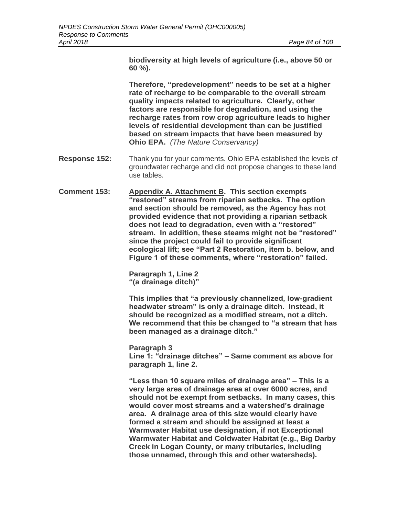**biodiversity at high levels of agriculture (i.e., above 50 or 60 %).** 

**Therefore, "predevelopment" needs to be set at a higher rate of recharge to be comparable to the overall stream quality impacts related to agriculture. Clearly, other factors are responsible for degradation, and using the recharge rates from row crop agriculture leads to higher levels of residential development than can be justified based on stream impacts that have been measured by Ohio EPA.** *(The Nature Conservancy)*

- **Response 152:** Thank you for your comments. Ohio EPA established the levels of groundwater recharge and did not propose changes to these land use tables.
- **Comment 153: Appendix A. Attachment B. This section exempts "restored" streams from riparian setbacks. The option and section should be removed, as the Agency has not provided evidence that not providing a riparian setback does not lead to degradation, even with a "restored" stream. In addition, these steams might not be "restored" since the project could fail to provide significant ecological lift; see "Part 2 Restoration, item b. below, and Figure 1 of these comments, where "restoration" failed.**

**Paragraph 1, Line 2 "(a drainage ditch)"** 

**This implies that "a previously channelized, low-gradient headwater stream" is only a drainage ditch. Instead, it should be recognized as a modified stream, not a ditch. We recommend that this be changed to "a stream that has been managed as a drainage ditch."**

**Paragraph 3 Line 1: "drainage ditches" – Same comment as above for paragraph 1, line 2.** 

**"Less than 10 square miles of drainage area" – This is a very large area of drainage area at over 6000 acres, and should not be exempt from setbacks. In many cases, this would cover most streams and a watershed's drainage area. A drainage area of this size would clearly have formed a stream and should be assigned at least a Warmwater Habitat use designation, if not Exceptional Warmwater Habitat and Coldwater Habitat (e.g., Big Darby Creek in Logan County, or many tributaries, including those unnamed, through this and other watersheds).**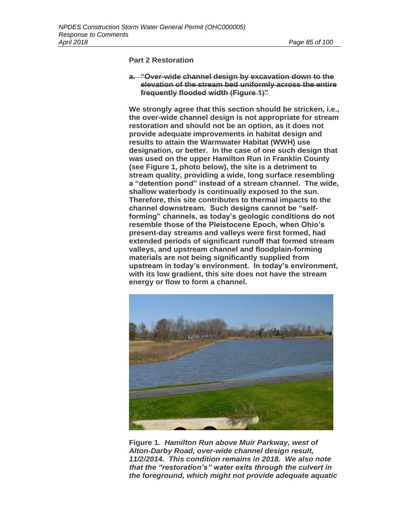#### **Part 2 Restoration**

**a. "Over-wide channel design by excavation down to the elevation of the stream bed uniformly across the entire frequently flooded width (Figure 1)"**

**We strongly agree that this section should be stricken, i.e., the over-wide channel design is not appropriate for stream restoration and should not be an option, as it does not provide adequate improvements in habitat design and results to attain the Warmwater Habitat (WWH) use designation, or better. In the case of one such design that was used on the upper Hamilton Run in Franklin County (see Figure 1, photo below), the site is a detriment to stream quality, providing a wide, long surface resembling a "detention pond" instead of a stream channel. The wide, shallow waterbody is continually exposed to the sun. Therefore, this site contributes to thermal impacts to the channel downstream. Such designs cannot be "selfforming" channels, as today's geologic conditions do not resemble those of the Pleistocene Epoch, when Ohio's present-day streams and valleys were first formed, had extended periods of significant runoff that formed stream valleys, and upstream channel and floodplain-forming materials are not being significantly supplied from upstream in today's environment. In today's environment, with its low gradient, this site does not have the stream energy or flow to form a channel.**



**Figure 1***. Hamilton Run above Muir Parkway, west of Alton-Darby Road, over-wide channel design result, 11/2/2014. This condition remains in 2018. We also note that the "restoration's" water exits through the culvert in the foreground, which might not provide adequate aquatic*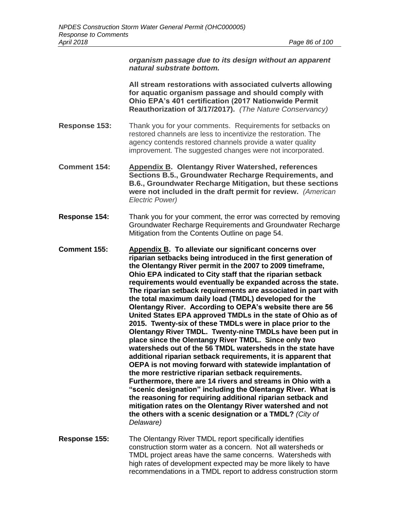*organism passage due to its design without an apparent natural substrate bottom.* 

**All stream restorations with associated culverts allowing for aquatic organism passage and should comply with Ohio EPA's 401 certification (2017 Nationwide Permit Reauthorization of 3/17/2017).** *(The Nature Conservancy)*

- **Response 153:** Thank you for your comments. Requirements for setbacks on restored channels are less to incentivize the restoration. The agency contends restored channels provide a water quality improvement. The suggested changes were not incorporated.
- **Comment 154: Appendix B. Olentangy River Watershed, references Sections B.5., Groundwater Recharge Requirements, and B.6., Groundwater Recharge Mitigation, but these sections were not included in the draft permit for review.** *(American Electric Power)*
- **Response 154:** Thank you for your comment, the error was corrected by removing Groundwater Recharge Requirements and Groundwater Recharge Mitigation from the Contents Outline on page 54.
- **Comment 155: Appendix B. To alleviate our significant concerns over riparian setbacks being introduced in the first generation of the Olentangy River permit in the 2007 to 2009 timeframe, Ohio EPA indicated to City staff that the riparian setback requirements would eventually be expanded across the state. The riparian setback requirements are associated in part with the total maximum daily load (TMDL) developed for the Olentangy River. According to OEPA's website there are 56 United States EPA approved TMDLs in the state of Ohio as of 2015. Twenty-six of these TMDLs were in place prior to the Olentangy River TMDL. Twenty-nine TMDLs have been put in place since the Olentangy River TMDL. Since only two watersheds out of the 56 TMDL watersheds in the state have additional riparian setback requirements, it is apparent that OEPA is not moving forward with statewide implantation of the more restrictive riparian setback requirements. Furthermore, there are 14 rivers and streams in Ohio with a "scenic designation" including the Olentangy River. What is the reasoning for requiring additional riparian setback and mitigation rates on the Olentangy River watershed and not the others with a scenic designation or a TMDL?** *(City of Delaware)*
- **Response 155:** The Olentangy River TMDL report specifically identifies construction storm water as a concern. Not all watersheds or TMDL project areas have the same concerns. Watersheds with high rates of development expected may be more likely to have recommendations in a TMDL report to address construction storm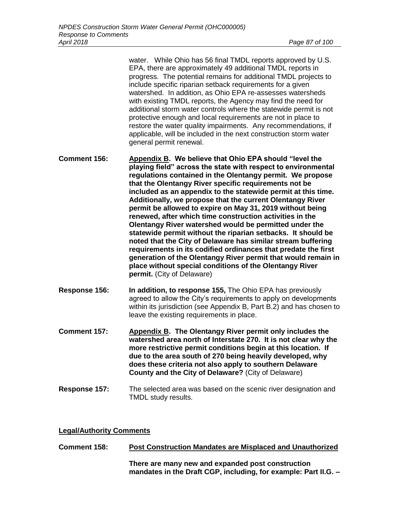water. While Ohio has 56 final TMDL reports approved by U.S. EPA, there are approximately 49 additional TMDL reports in progress. The potential remains for additional TMDL projects to include specific riparian setback requirements for a given watershed. In addition, as Ohio EPA re-assesses watersheds with existing TMDL reports, the Agency may find the need for additional storm water controls where the statewide permit is not protective enough and local requirements are not in place to restore the water quality impairments. Any recommendations, if applicable, will be included in the next construction storm water general permit renewal.

- **Comment 156: Appendix B. We believe that Ohio EPA should "level the playing field" across the state with respect to environmental regulations contained in the Olentangy permit. We propose that the Olentangy River specific requirements not be included as an appendix to the statewide permit at this time. Additionally, we propose that the current Olentangy River permit be allowed to expire on May 31, 2019 without being renewed, after which time construction activities in the Olentangy River watershed would be permitted under the statewide permit without the riparian setbacks. It should be noted that the City of Delaware has similar stream buffering requirements in its codified ordinances that predate the first generation of the Olentangy River permit that would remain in place without special conditions of the Olentangy River permit.** (City of Delaware)
- **Response 156: In addition, to response 155,** The Ohio EPA has previously agreed to allow the City's requirements to apply on developments within its jurisdiction (see Appendix B, Part B.2) and has chosen to leave the existing requirements in place.
- **Comment 157: Appendix B. The Olentangy River permit only includes the watershed area north of Interstate 270. It is not clear why the more restrictive permit conditions begin at this location. If due to the area south of 270 being heavily developed, why does these criteria not also apply to southern Delaware County and the City of Delaware?** (City of Delaware)
- **Response 157:** The selected area was based on the scenic river designation and TMDL study results.

## **Legal/Authority Comments**

**Comment 158: Post Construction Mandates are Misplaced and Unauthorized There are many new and expanded post construction mandates in the Draft CGP, including, for example: Part II.G. –**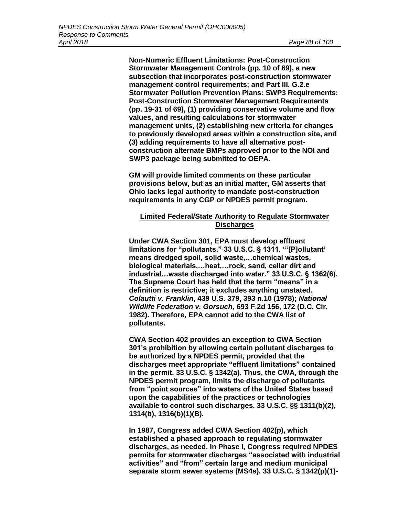**Non-Numeric Effluent Limitations: Post-Construction Stormwater Management Controls (pp. 10 of 69), a new subsection that incorporates post-construction stormwater management control requirements; and Part III. G.2.e Stormwater Pollution Prevention Plans: SWP3 Requirements: Post-Construction Stormwater Management Requirements (pp. 19-31 of 69), (1) providing conservative volume and flow values, and resulting calculations for stormwater management units, (2) establishing new criteria for changes to previously developed areas within a construction site, and (3) adding requirements to have all alternative postconstruction alternate BMPs approved prior to the NOI and SWP3 package being submitted to OEPA.**

**GM will provide limited comments on these particular provisions below, but as an initial matter, GM asserts that Ohio lacks legal authority to mandate post-construction requirements in any CGP or NPDES permit program.**

# **Limited Federal/State Authority to Regulate Stormwater Discharges**

**Under CWA Section 301, EPA must develop effluent limitations for "pollutants." 33 U.S.C. § 1311. "'[P]ollutant' means dredged spoil, solid waste,…chemical wastes, biological materials,…heat,…rock, sand, cellar dirt and industrial…waste discharged into water." 33 U.S.C. § 1362(6). The Supreme Court has held that the term "means" in a definition is restrictive; it excludes anything unstated.**  *Colautti v. Franklin***, 439 U.S. 379, 393 n.10 (1978);** *National Wildlife Federation v. Gorsuch***, 693 F.2d 156, 172 (D.C. Cir. 1982). Therefore, EPA cannot add to the CWA list of pollutants.**

**CWA Section 402 provides an exception to CWA Section 301's prohibition by allowing certain pollutant discharges to be authorized by a NPDES permit, provided that the discharges meet appropriate "effluent limitations" contained in the permit. 33 U.S.C. § 1342(a). Thus, the CWA, through the NPDES permit program, limits the discharge of pollutants from "point sources" into waters of the United States based upon the capabilities of the practices or technologies available to control such discharges. 33 U.S.C. §§ 1311(b)(2), 1314(b), 1316(b)(1)(B).**

**In 1987, Congress added CWA Section 402(p), which established a phased approach to regulating stormwater discharges, as needed. In Phase I, Congress required NPDES permits for stormwater discharges "associated with industrial activities" and "from" certain large and medium municipal separate storm sewer systems (MS4s). 33 U.S.C. § 1342(p)(1)-**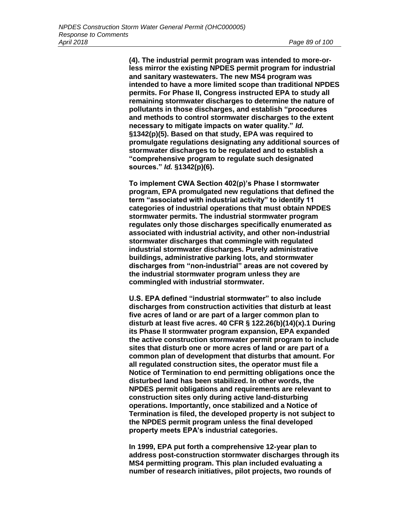**(4). The industrial permit program was intended to more-orless mirror the existing NPDES permit program for industrial and sanitary wastewaters. The new MS4 program was intended to have a more limited scope than traditional NPDES permits. For Phase II, Congress instructed EPA to study all remaining stormwater discharges to determine the nature of pollutants in those discharges, and establish "procedures and methods to control stormwater discharges to the extent necessary to mitigate impacts on water quality."** *Id.*  **§1342(p)(5). Based on that study, EPA was required to promulgate regulations designating any additional sources of stormwater discharges to be regulated and to establish a "comprehensive program to regulate such designated sources."** *Id.* **§1342(p)(6).**

**To implement CWA Section 402(p)'s Phase I stormwater program, EPA promulgated new regulations that defined the term "associated with industrial activity" to identify 11 categories of industrial operations that must obtain NPDES stormwater permits. The industrial stormwater program regulates only those discharges specifically enumerated as associated with industrial activity, and other non-industrial stormwater discharges that commingle with regulated industrial stormwater discharges. Purely administrative buildings, administrative parking lots, and stormwater discharges from "non-industrial" areas are not covered by the industrial stormwater program unless they are commingled with industrial stormwater.**

**U.S. EPA defined "industrial stormwater" to also include discharges from construction activities that disturb at least five acres of land or are part of a larger common plan to disturb at least five acres. 40 CFR § 122.26(b)(14)(x).1 During its Phase II stormwater program expansion, EPA expanded the active construction stormwater permit program to include sites that disturb one or more acres of land or are part of a common plan of development that disturbs that amount. For all regulated construction sites, the operator must file a Notice of Termination to end permitting obligations once the disturbed land has been stabilized. In other words, the NPDES permit obligations and requirements are relevant to construction sites only during active land-disturbing operations. Importantly, once stabilized and a Notice of Termination is filed, the developed property is not subject to the NPDES permit program unless the final developed property meets EPA's industrial categories.**

**In 1999, EPA put forth a comprehensive 12-year plan to address post-construction stormwater discharges through its MS4 permitting program. This plan included evaluating a number of research initiatives, pilot projects, two rounds of**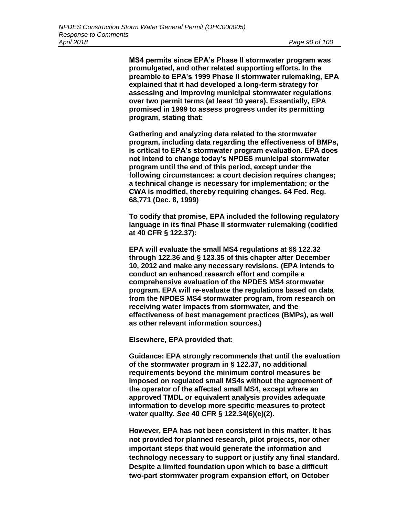**MS4 permits since EPA's Phase II stormwater program was promulgated, and other related supporting efforts. In the preamble to EPA's 1999 Phase II stormwater rulemaking, EPA explained that it had developed a long-term strategy for assessing and improving municipal stormwater regulations over two permit terms (at least 10 years). Essentially, EPA promised in 1999 to assess progress under its permitting program, stating that:**

**Gathering and analyzing data related to the stormwater program, including data regarding the effectiveness of BMPs, is critical to EPA's stormwater program evaluation. EPA does not intend to change today's NPDES municipal stormwater program until the end of this period, except under the following circumstances: a court decision requires changes; a technical change is necessary for implementation; or the CWA is modified, thereby requiring changes. 64 Fed. Reg. 68,771 (Dec. 8, 1999)**

**To codify that promise, EPA included the following regulatory language in its final Phase II stormwater rulemaking (codified at 40 CFR § 122.37):**

**EPA will evaluate the small MS4 regulations at §§ 122.32 through 122.36 and § 123.35 of this chapter after December 10, 2012 and make any necessary revisions. (EPA intends to conduct an enhanced research effort and compile a comprehensive evaluation of the NPDES MS4 stormwater program. EPA will re-evaluate the regulations based on data from the NPDES MS4 stormwater program, from research on receiving water impacts from stormwater, and the effectiveness of best management practices (BMPs), as well as other relevant information sources.)**

**Elsewhere, EPA provided that:**

**Guidance: EPA strongly recommends that until the evaluation of the stormwater program in § 122.37, no additional requirements beyond the minimum control measures be imposed on regulated small MS4s without the agreement of the operator of the affected small MS4, except where an approved TMDL or equivalent analysis provides adequate information to develop more specific measures to protect water quality.** *See* **40 CFR § 122.34(6)(e)(2).**

**However, EPA has not been consistent in this matter. It has not provided for planned research, pilot projects, nor other important steps that would generate the information and technology necessary to support or justify any final standard. Despite a limited foundation upon which to base a difficult two-part stormwater program expansion effort, on October**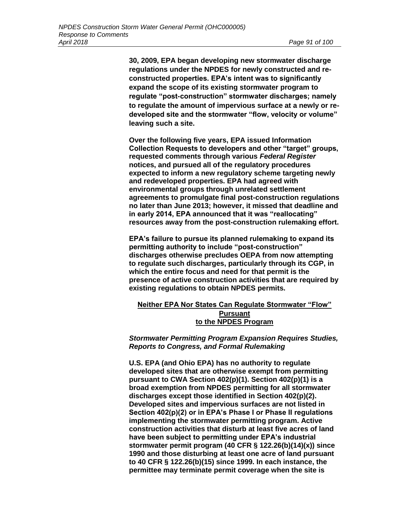**30, 2009, EPA began developing new stormwater discharge regulations under the NPDES for newly constructed and reconstructed properties. EPA's intent was to significantly expand the scope of its existing stormwater program to regulate "post-construction" stormwater discharges; namely to regulate the amount of impervious surface at a newly or redeveloped site and the stormwater "flow, velocity or volume" leaving such a site.**

**Over the following five years, EPA issued Information Collection Requests to developers and other "target" groups, requested comments through various** *Federal Register*  **notices, and pursued all of the regulatory procedures expected to inform a new regulatory scheme targeting newly and redeveloped properties. EPA had agreed with environmental groups through unrelated settlement agreements to promulgate final post-construction regulations no later than June 2013; however, it missed that deadline and in early 2014, EPA announced that it was "reallocating" resources away from the post-construction rulemaking effort.**

**EPA's failure to pursue its planned rulemaking to expand its permitting authority to include "post-construction" discharges otherwise precludes OEPA from now attempting to regulate such discharges, particularly through its CGP, in which the entire focus and need for that permit is the presence of active construction activities that are required by existing regulations to obtain NPDES permits.**

## **Neither EPA Nor States Can Regulate Stormwater "Flow" Pursuant to the NPDES Program**

*Stormwater Permitting Program Expansion Requires Studies, Reports to Congress, and Formal Rulemaking*

**U.S. EPA (and Ohio EPA) has no authority to regulate developed sites that are otherwise exempt from permitting pursuant to CWA Section 402(p)(1). Section 402(p)(1) is a broad exemption from NPDES permitting for all stormwater discharges except those identified in Section 402(p)(2). Developed sites and impervious surfaces are not listed in Section 402(p)(2) or in EPA's Phase I or Phase II regulations implementing the stormwater permitting program. Active construction activities that disturb at least five acres of land have been subject to permitting under EPA's industrial stormwater permit program (40 CFR § 122.26(b)(14)(x)) since 1990 and those disturbing at least one acre of land pursuant to 40 CFR § 122.26(b)(15) since 1999. In each instance, the permittee may terminate permit coverage when the site is**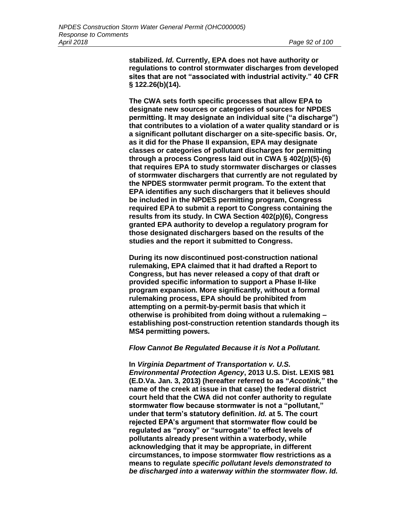**stabilized.** *Id.* **Currently, EPA does not have authority or regulations to control stormwater discharges from developed sites that are not "associated with industrial activity." 40 CFR § 122.26(b)(14).**

**The CWA sets forth specific processes that allow EPA to designate new sources or categories of sources for NPDES permitting. It may designate an individual site ("a discharge") that contributes to a violation of a water quality standard or is a significant pollutant discharger on a site-specific basis. Or, as it did for the Phase II expansion, EPA may designate classes or categories of pollutant discharges for permitting through a process Congress laid out in CWA § 402(p)(5)-(6) that requires EPA to study stormwater discharges or classes of stormwater dischargers that currently are not regulated by the NPDES stormwater permit program. To the extent that EPA identifies any such dischargers that it believes should be included in the NPDES permitting program, Congress required EPA to submit a report to Congress containing the results from its study. In CWA Section 402(p)(6), Congress granted EPA authority to develop a regulatory program for those designated dischargers based on the results of the studies and the report it submitted to Congress.**

**During its now discontinued post-construction national rulemaking, EPA claimed that it had drafted a Report to Congress, but has never released a copy of that draft or provided specific information to support a Phase II-like program expansion. More significantly, without a formal rulemaking process, EPA should be prohibited from attempting on a permit-by-permit basis that which it otherwise is prohibited from doing without a rulemaking – establishing post-construction retention standards though its MS4 permitting powers.**

#### *Flow Cannot Be Regulated Because it is Not a Pollutant.*

**In** *Virginia Department of Transportation v. U.S. Environmental Protection Agency***, 2013 U.S. Dist. LEXIS 981 (E.D.Va. Jan. 3, 2013) (hereafter referred to as "***Accotink,***" the name of the creek at issue in that case) the federal district court held that the CWA did not confer authority to regulate stormwater flow because stormwater is not a "pollutant," under that term's statutory definition.** *Id.* **at 5. The court rejected EPA's argument that stormwater flow could be regulated as "proxy" or "surrogate" to effect levels of pollutants already present within a waterbody, while acknowledging that it may be appropriate, in different circumstances, to impose stormwater flow restrictions as a means to regulate** *specific pollutant levels demonstrated to be discharged into a waterway within the stormwater flow***.** *Id.*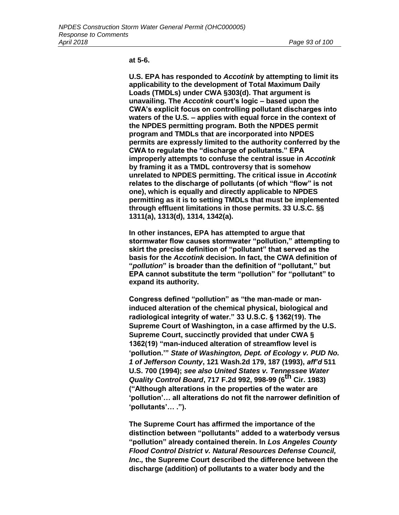#### **at 5-6.**

**U.S. EPA has responded to** *Accotink* **by attempting to limit its applicability to the development of Total Maximum Daily Loads (TMDLs) under CWA §303(d). That argument is unavailing. The** *Accotink* **court's logic – based upon the CWA's explicit focus on controlling pollutant discharges into waters of the U.S. – applies with equal force in the context of the NPDES permitting program. Both the NPDES permit program and TMDLs that are incorporated into NPDES permits are expressly limited to the authority conferred by the CWA to regulate the "discharge of pollutants." EPA improperly attempts to confuse the central issue in** *Accotink*  **by framing it as a TMDL controversy that is somehow unrelated to NPDES permitting. The critical issue in** *Accotink*  **relates to the discharge of pollutants (of which "flow" is not one), which is equally and directly applicable to NPDES permitting as it is to setting TMDLs that must be implemented through effluent limitations in those permits. 33 U.S.C. §§ 1311(a), 1313(d), 1314, 1342(a).**

**In other instances, EPA has attempted to argue that stormwater flow causes stormwater "pollution," attempting to skirt the precise definition of "pollutant" that served as the basis for the** *Accotink* **decision. In fact, the CWA definition of "***pollution***" is broader than the definition of "pollutant," but EPA cannot substitute the term "pollution" for "pollutant" to expand its authority.**

**Congress defined "pollution" as "the man-made or maninduced alteration of the chemical physical, biological and radiological integrity of water." 33 U.S.C. § 1362(19). The Supreme Court of Washington, in a case affirmed by the U.S. Supreme Court, succinctly provided that under CWA § 1362(19) "man-induced alteration of streamflow level is 'pollution.'"** *State of Washington, Dept. of Ecology v. PUD No. 1 of Jefferson County***, 121 Wash.2d 179, 187 (1993),** *aff'd* **511 U.S. 700 (1994);** *see also United States v. Tennessee Water Quality Control Board***, 717 F.2d 992, 998-99 (6th Cir. 1983) ("Although alterations in the properties of the water are 'pollution'… all alterations do not fit the narrower definition of 'pollutants'… .").**

**The Supreme Court has affirmed the importance of the distinction between "pollutants" added to a waterbody versus "pollution" already contained therein. In** *Los Angeles County Flood Control District v. Natural Resources Defense Council, Inc.,* **the Supreme Court described the difference between the discharge (addition) of pollutants to a water body and the**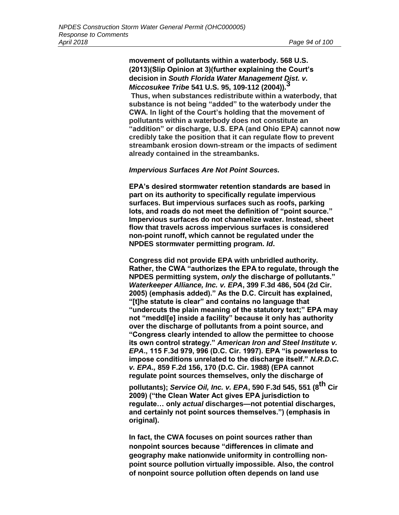**movement of pollutants within a waterbody. 568 U.S. (2013)(Slip Opinion at 3)(further explaining the Court's decision in** *South Florida Water Management Dist. v. Miccosukee Tribe* **541 U.S. 95, 109-112 (2004)).<sup>3</sup> Thus, when substances redistribute within a waterbody, that substance is not being "added" to the waterbody under the CWA. In light of the Court's holding that the movement of pollutants within a waterbody does not constitute an "addition" or discharge, U.S. EPA (and Ohio EPA) cannot now credibly take the position that it can regulate flow to prevent streambank erosion down-stream or the impacts of sediment already contained in the streambanks.**

#### *Impervious Surfaces Are Not Point Sources.*

**EPA's desired stormwater retention standards are based in part on its authority to specifically regulate impervious surfaces. But impervious surfaces such as roofs, parking lots, and roads do not meet the definition of "point source." Impervious surfaces do not channelize water. Instead, sheet flow that travels across impervious surfaces is considered non-point runoff, which cannot be regulated under the NPDES stormwater permitting program.** *Id***.**

**Congress did not provide EPA with unbridled authority. Rather, the CWA "authorizes the EPA to regulate, through the NPDES permitting system,** *only* **the discharge of pollutants."**  *Waterkeeper Alliance, Inc. v. EPA***, 399 F.3d 486, 504 (2d Cir. 2005) (emphasis added)." As the D.C. Circuit has explained, "[t]he statute is clear" and contains no language that "undercuts the plain meaning of the statutory text;" EPA may not "meddl[e] inside a facility" because it only has authority over the discharge of pollutants from a point source, and "Congress clearly intended to allow the permittee to choose its own control strategy."** *American Iron and Steel Institute v. EPA***., 115 F.3d 979, 996 (D.C. Cir. 1997). EPA "is powerless to impose conditions unrelated to the discharge itself."** *N.R.D.C. v. EPA.,* **859 F.2d 156, 170 (D.C. Cir. 1988) (EPA cannot regulate point sources themselves, only the discharge of** 

**pollutants);** *Service Oil, Inc. v. EPA***, 590 F.3d 545, 551 (8th Cir 2009) ("the Clean Water Act gives EPA jurisdiction to regulate… only** *actual* **discharges—not potential discharges, and certainly not point sources themselves.") (emphasis in original).**

**In fact, the CWA focuses on point sources rather than nonpoint sources because "differences in climate and geography make nationwide uniformity in controlling nonpoint source pollution virtually impossible. Also, the control of nonpoint source pollution often depends on land use**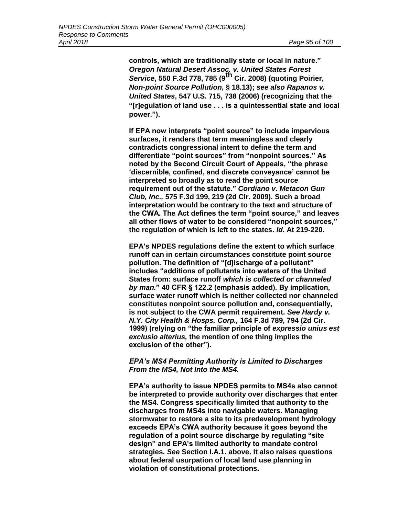**controls, which are traditionally state or local in nature."**  *Oregon Natural Desert Assoc. v. United States Forest Service***, 550 F.3d 778, 785 (9th Cir. 2008) (quoting Poirier,**  *Non-point Source Pollution***, § 18.13);** *see also Rapanos v. United States***, 547 U.S. 715, 738 (2006) (recognizing that the "[r]egulation of land use . . . is a quintessential state and local power.").**

**If EPA now interprets "point source" to include impervious surfaces, it renders that term meaningless and clearly contradicts congressional intent to define the term and differentiate "point sources" from "nonpoint sources." As noted by the Second Circuit Court of Appeals, "the phrase 'discernible, confined, and discrete conveyance' cannot be interpreted so broadly as to read the point source requirement out of the statute."** *Cordiano v. Metacon Gun Club, Inc.,* **575 F.3d 199, 219 (2d Cir. 2009). Such a broad interpretation would be contrary to the text and structure of the CWA. The Act defines the term "point source," and leaves all other flows of water to be considered "nonpoint sources," the regulation of which is left to the states.** *Id***. At 219-220.**

**EPA's NPDES regulations define the extent to which surface runoff can in certain circumstances constitute point source pollution. The definition of "[d]ischarge of a pollutant" includes "additions of pollutants into waters of the United States from: surface runoff** *which is collected or channeled by man.***" 40 CFR § 122.2 (emphasis added). By implication, surface water runoff which is neither collected nor channeled constitutes nonpoint source pollution and, consequentially, is not subject to the CWA permit requirement.** *See Hardy v. N.Y. City Health & Hosps. Corp.,* **164 F.3d 789, 794 (2d Cir. 1999) (relying on "the familiar principle of** *expressio unius est exclusio alterius,* **the mention of one thing implies the exclusion of the other").**

## *EPA's MS4 Permitting Authority is Limited to Discharges From the MS4, Not Into the MS4.*

**EPA's authority to issue NPDES permits to MS4s also cannot be interpreted to provide authority over discharges that enter the MS4. Congress specifically limited that authority to the discharges from MS4s into navigable waters. Managing stormwater to restore a site to its predevelopment hydrology exceeds EPA's CWA authority because it goes beyond the regulation of a point source discharge by regulating "site design" and EPA's limited authority to mandate control strategies.** *See* **Section I.A.1. above. It also raises questions about federal usurpation of local land use planning in violation of constitutional protections.**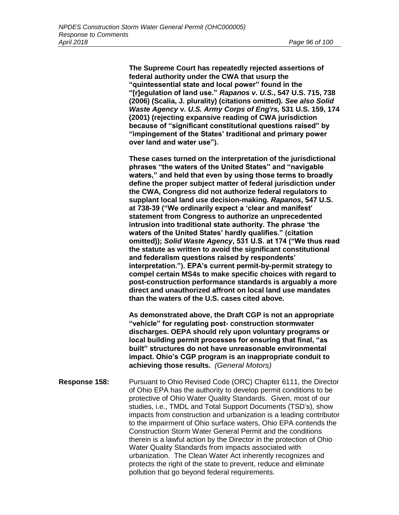**The Supreme Court has repeatedly rejected assertions of federal authority under the CWA that usurp the "quintessential state and local power" found in the "[r]egulation of land use."** *Rapanos v. U.S.***, 547 U.S. 715, 738 (2006) (Scalia, J. plurality) (citations omitted).** *See also Solid Waste Agency* **v.** *U.S. Army Corps of Eng'rs,* **531 U.S. 159, 174 (2001) (rejecting expansive reading of CWA jurisdiction because of "significant constitutional questions raised" by "impingement of the States' traditional and primary power over land and water use").**

**These cases turned on the interpretation of the jurisdictional phrases "the waters of the United States" and "navigable waters," and held that even by using those terms to broadly define the proper subject matter of federal jurisdiction under the CWA, Congress did not authorize federal regulators to supplant local land use decision-making.** *Rapanos***, 547 U.S. at 738-39 ("We ordinarily expect a 'clear and manifest' statement from Congress to authorize an unprecedented intrusion into traditional state authority. The phrase 'the waters of the United States' hardly qualifies." (citation omitted));** *Solid Waste Agency***, 531 U.S. at 174 ("We thus read the statute as written to avoid the significant constitutional and federalism questions raised by respondents' interpretation."). EPA's current permit-by-permit strategy to compel certain MS4s to make specific choices with regard to post-construction performance standards is arguably a more direct and unauthorized affront on local land use mandates than the waters of the U.S. cases cited above.**

**As demonstrated above, the Draft CGP is not an appropriate "vehicle" for regulating post- construction stormwater discharges. OEPA should rely upon voluntary programs or local building permit processes for ensuring that final, "as built" structures do not have unreasonable environmental impact. Ohio's CGP program is an inappropriate conduit to achieving those results.** *(General Motors)*

**Response 158:** Pursuant to Ohio Revised Code (ORC) Chapter 6111, the Director of Ohio EPA has the authority to develop permit conditions to be protective of Ohio Water Quality Standards. Given, most of our studies, i.e., TMDL and Total Support Documents (TSD's), show impacts from construction and urbanization is a leading contributor to the impairment of Ohio surface waters, Ohio EPA contends the Construction Storm Water General Permit and the conditions therein is a lawful action by the Director in the protection of Ohio Water Quality Standards from impacts associated with urbanization. The Clean Water Act inherently recognizes and protects the right of the state to prevent, reduce and eliminate pollution that go beyond federal requirements.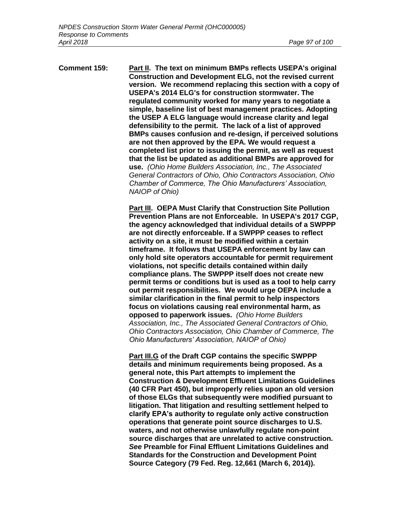**Comment 159: Part II. The text on minimum BMPs reflects USEPA's original Construction and Development ELG, not the revised current version. We recommend replacing this section with a copy of USEPA's 2014 ELG's for construction stormwater. The regulated community worked for many years to negotiate a simple, baseline list of best management practices. Adopting the USEP A ELG language would increase clarity and legal defensibility to the permit. The lack of a list of approved BMPs causes confusion and re-design, if perceived solutions are not then approved by the EPA. We would request a completed list prior to issuing the permit, as well as request that the list be updated as additional BMPs are approved for use.** *(Ohio Home Builders Association, Inc., The Associated General Contractors of Ohio, Ohio Contractors Association, Ohio Chamber of Commerce, The Ohio Manufacturers' Association, NAIOP of Ohio)*

> **Part III. OEPA Must Clarify that Construction Site Pollution Prevention Plans are not Enforceable. In USEPA's 2017 CGP, the agency acknowledged that individual details of a SWPPP are not directly enforceable. If a SWPPP ceases to reflect activity on a site, it must be modified within a certain timeframe. It follows that USEPA enforcement by law can only hold site operators accountable for permit requirement violations, not specific details contained within daily compliance plans. The SWPPP itself does not create new permit terms or conditions but is used as a tool to help carry out permit responsibilities. We would urge OEPA include a similar clarification in the final permit to help inspectors focus on violations causing real environmental harm, as opposed to paperwork issues.** *(Ohio Home Builders Association, Inc., The Associated General Contractors of Ohio, Ohio Contractors Association, Ohio Chamber of Commerce, The Ohio Manufacturers' Association, NAIOP of Ohio)*

> **Part III.G of the Draft CGP contains the specific SWPPP details and minimum requirements being proposed. As a general note, this Part attempts to implement the Construction & Development Effluent Limitations Guidelines (40 CFR Part 450), but improperly relies upon an old version of those ELGs that subsequently were modified pursuant to litigation. That litigation and resulting settlement helped to clarify EPA's authority to regulate only active construction operations that generate point source discharges to U.S. waters, and not otherwise unlawfully regulate non-point source discharges that are unrelated to active construction.**  *See* **Preamble for Final Effluent Limitations Guidelines and Standards for the Construction and Development Point Source Category (79 Fed. Reg. 12,661 (March 6, 2014)).**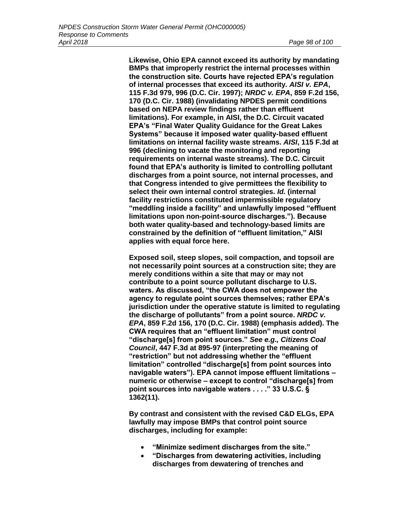**Likewise, Ohio EPA cannot exceed its authority by mandating BMPs that improperly restrict the internal processes within the construction site. Courts have rejected EPA's regulation of internal processes that exceed its authority.** *AISI v. EPA***, 115 F.3d 979, 996 (D.C. Cir. 1997);** *NRDC v. EPA***, 859 F.2d 156, 170 (D.C. Cir. 1988) (invalidating NPDES permit conditions based on NEPA review findings rather than effluent limitations). For example, in AISI, the D.C. Circuit vacated EPA's "Final Water Quality Guidance for the Great Lakes Systems" because it imposed water quality-based effluent limitations on internal facility waste streams.** *AISI***, 115 F.3d at 996 (declining to vacate the monitoring and reporting requirements on internal waste streams). The D.C. Circuit found that EPA's authority is limited to controlling pollutant discharges from a point source, not internal processes, and that Congress intended to give permittees the flexibility to select their own internal control strategies.** *Id.* **(internal facility restrictions constituted impermissible regulatory "meddling inside a facility" and unlawfully imposed "effluent limitations upon non-point-source discharges."). Because both water quality-based and technology-based limits are constrained by the definition of "effluent limitation," AISI applies with equal force here.**

**Exposed soil, steep slopes, soil compaction, and topsoil are not necessarily point sources at a construction site; they are merely conditions within a site that may or may not contribute to a point source pollutant discharge to U.S. waters. As discussed, "the CWA does not empower the agency to regulate point sources themselves; rather EPA's jurisdiction under the operative statute is limited to regulating the discharge of pollutants" from a point source.** *NRDC v. EPA***, 859 F.2d 156, 170 (D.C. Cir. 1988) (emphasis added). The CWA requires that an "effluent limitation" must control "discharge[s] from point sources."** *See e.g., Citizens Coal Council***, 447 F.3d at 895-97 (interpreting the meaning of "restriction" but not addressing whether the "effluent limitation" controlled "discharge[s] from point sources into navigable waters"). EPA cannot impose effluent limitations – numeric or otherwise – except to control "discharge[s] from point sources into navigable waters . . . ." 33 U.S.C. § 1362(11).**

**By contrast and consistent with the revised C&D ELGs, EPA lawfully may impose BMPs that control point source discharges, including for example:**

- **"Minimize sediment discharges from the site."**
- **"Discharges from dewatering activities, including discharges from dewatering of trenches and**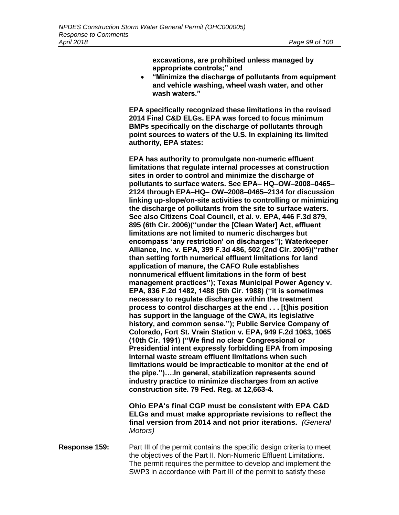**excavations, are prohibited unless managed by appropriate controls;" and**

• **"Minimize the discharge of pollutants from equipment and vehicle washing, wheel wash water, and other wash waters."**

**EPA specifically recognized these limitations in the revised 2014 Final C&D ELGs. EPA was forced to focus minimum BMPs specifically on the discharge of pollutants through point sources to waters of the U.S. In explaining its limited authority, EPA states:**

**EPA has authority to promulgate non-numeric effluent limitations that regulate internal processes at construction sites in order to control and minimize the discharge of pollutants to surface waters. See EPA– HQ–OW–2008–0465– 2124 through EPA–HQ– OW–2008–0465–2134 for discussion linking up-slope/on-site activities to controlling or minimizing the discharge of pollutants from the site to surface waters. See also Citizens Coal Council, et al. v. EPA, 446 F.3d 879, 895 (6th Cir. 2006)(''under the [Clean Water] Act, effluent limitations are not limited to numeric discharges but encompass 'any restriction' on discharges''); Waterkeeper Alliance, Inc. v. EPA, 399 F.3d 486, 502 (2nd Cir. 2005)(''rather than setting forth numerical effluent limitations for land application of manure, the CAFO Rule establishes nonnumerical effluent limitations in the form of best management practices''); Texas Municipal Power Agency v. EPA, 836 F.2d 1482, 1488 (5th Cir. 1988) (''it is sometimes necessary to regulate discharges within the treatment process to control discharges at the end . . . [t]his position has support in the language of the CWA, its legislative history, and common sense.''); Public Service Company of Colorado, Fort St. Vrain Station v. EPA, 949 F.2d 1063, 1065 (10th Cir. 1991) (''We find no clear Congressional or Presidential intent expressly forbidding EPA from imposing internal waste stream effluent limitations when such limitations would be impracticable to monitor at the end of the pipe.'')….In general, stabilization represents sound industry practice to minimize discharges from an active construction site. 79 Fed. Reg. at 12,663-4.** 

**Ohio EPA's final CGP must be consistent with EPA C&D ELGs and must make appropriate revisions to reflect the final version from 2014 and not prior iterations.** *(General Motors)*

**Response 159:** Part III of the permit contains the specific design criteria to meet the objectives of the Part II. Non-Numeric Effluent Limitations. The permit requires the permittee to develop and implement the SWP3 in accordance with Part III of the permit to satisfy these